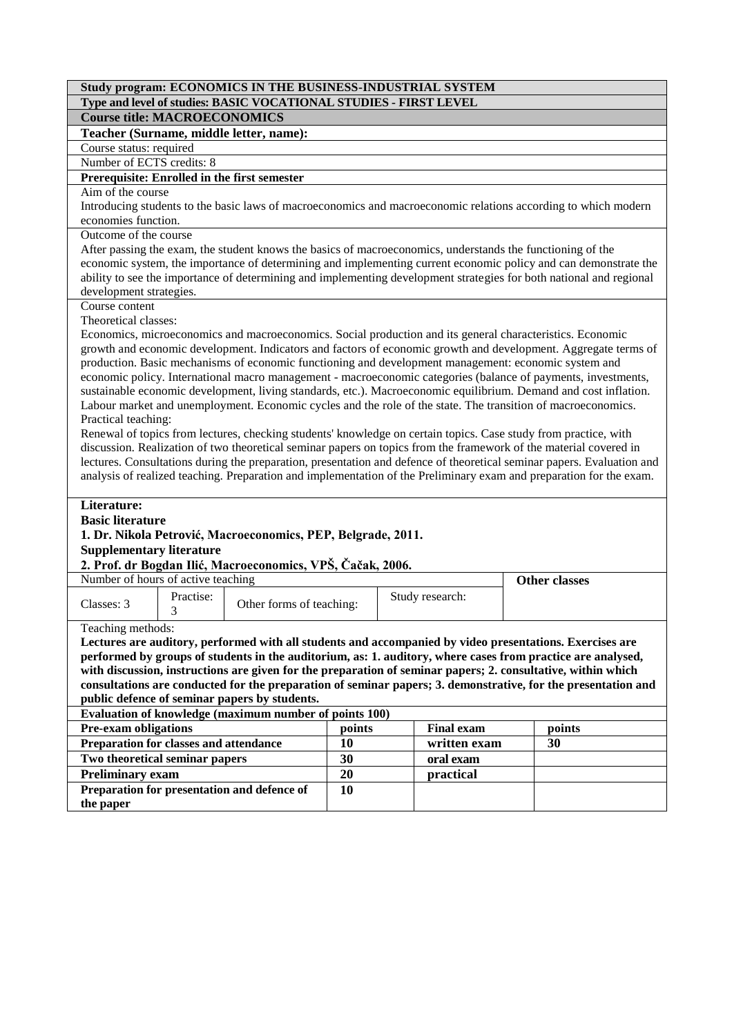| Study program: ECONOMICS IN THE BUSINESS-INDUSTRIAL SYSTEM                                                                                                                                                                  |                                              |                                                                                                                 |        |  |                 |  |                                                                                                                        |  |  |
|-----------------------------------------------------------------------------------------------------------------------------------------------------------------------------------------------------------------------------|----------------------------------------------|-----------------------------------------------------------------------------------------------------------------|--------|--|-----------------|--|------------------------------------------------------------------------------------------------------------------------|--|--|
| Type and level of studies: BASIC VOCATIONAL STUDIES - FIRST LEVEL                                                                                                                                                           |                                              |                                                                                                                 |        |  |                 |  |                                                                                                                        |  |  |
| <b>Course title: MACROECONOMICS</b>                                                                                                                                                                                         |                                              |                                                                                                                 |        |  |                 |  |                                                                                                                        |  |  |
|                                                                                                                                                                                                                             |                                              | Teacher (Surname, middle letter, name):                                                                         |        |  |                 |  |                                                                                                                        |  |  |
| Course status: required                                                                                                                                                                                                     |                                              |                                                                                                                 |        |  |                 |  |                                                                                                                        |  |  |
| Number of ECTS credits: 8                                                                                                                                                                                                   |                                              |                                                                                                                 |        |  |                 |  |                                                                                                                        |  |  |
|                                                                                                                                                                                                                             | Prerequisite: Enrolled in the first semester |                                                                                                                 |        |  |                 |  |                                                                                                                        |  |  |
| Aim of the course                                                                                                                                                                                                           |                                              |                                                                                                                 |        |  |                 |  |                                                                                                                        |  |  |
| Introducing students to the basic laws of macroeconomics and macroeconomic relations according to which modern                                                                                                              |                                              |                                                                                                                 |        |  |                 |  |                                                                                                                        |  |  |
| economies function.                                                                                                                                                                                                         |                                              |                                                                                                                 |        |  |                 |  |                                                                                                                        |  |  |
| Outcome of the course                                                                                                                                                                                                       |                                              |                                                                                                                 |        |  |                 |  |                                                                                                                        |  |  |
|                                                                                                                                                                                                                             |                                              | After passing the exam, the student knows the basics of macroeconomics, understands the functioning of the      |        |  |                 |  |                                                                                                                        |  |  |
|                                                                                                                                                                                                                             |                                              |                                                                                                                 |        |  |                 |  | economic system, the importance of determining and implementing current economic policy and can demonstrate the        |  |  |
|                                                                                                                                                                                                                             |                                              |                                                                                                                 |        |  |                 |  | ability to see the importance of determining and implementing development strategies for both national and regional    |  |  |
| development strategies.                                                                                                                                                                                                     |                                              |                                                                                                                 |        |  |                 |  |                                                                                                                        |  |  |
| Course content                                                                                                                                                                                                              |                                              |                                                                                                                 |        |  |                 |  |                                                                                                                        |  |  |
| Theoretical classes:                                                                                                                                                                                                        |                                              |                                                                                                                 |        |  |                 |  |                                                                                                                        |  |  |
|                                                                                                                                                                                                                             |                                              | Economics, microeconomics and macroeconomics. Social production and its general characteristics. Economic       |        |  |                 |  |                                                                                                                        |  |  |
|                                                                                                                                                                                                                             |                                              |                                                                                                                 |        |  |                 |  | growth and economic development. Indicators and factors of economic growth and development. Aggregate terms of         |  |  |
|                                                                                                                                                                                                                             |                                              | production. Basic mechanisms of economic functioning and development management: economic system and            |        |  |                 |  |                                                                                                                        |  |  |
|                                                                                                                                                                                                                             |                                              |                                                                                                                 |        |  |                 |  | economic policy. International macro management - macroeconomic categories (balance of payments, investments,          |  |  |
|                                                                                                                                                                                                                             |                                              |                                                                                                                 |        |  |                 |  | sustainable economic development, living standards, etc.). Macroeconomic equilibrium. Demand and cost inflation.       |  |  |
|                                                                                                                                                                                                                             |                                              | Labour market and unemployment. Economic cycles and the role of the state. The transition of macroeconomics.    |        |  |                 |  |                                                                                                                        |  |  |
| Practical teaching:                                                                                                                                                                                                         |                                              |                                                                                                                 |        |  |                 |  |                                                                                                                        |  |  |
|                                                                                                                                                                                                                             |                                              | Renewal of topics from lectures, checking students' knowledge on certain topics. Case study from practice, with |        |  |                 |  |                                                                                                                        |  |  |
|                                                                                                                                                                                                                             |                                              |                                                                                                                 |        |  |                 |  | discussion. Realization of two theoretical seminar papers on topics from the framework of the material covered in      |  |  |
|                                                                                                                                                                                                                             |                                              |                                                                                                                 |        |  |                 |  | lectures. Consultations during the preparation, presentation and defence of theoretical seminar papers. Evaluation and |  |  |
|                                                                                                                                                                                                                             |                                              |                                                                                                                 |        |  |                 |  | analysis of realized teaching. Preparation and implementation of the Preliminary exam and preparation for the exam.    |  |  |
|                                                                                                                                                                                                                             |                                              |                                                                                                                 |        |  |                 |  |                                                                                                                        |  |  |
| Literature:                                                                                                                                                                                                                 |                                              |                                                                                                                 |        |  |                 |  |                                                                                                                        |  |  |
| <b>Basic literature</b>                                                                                                                                                                                                     |                                              |                                                                                                                 |        |  |                 |  |                                                                                                                        |  |  |
|                                                                                                                                                                                                                             |                                              | 1. Dr. Nikola Petrović, Macroeconomics, PEP, Belgrade, 2011.                                                    |        |  |                 |  |                                                                                                                        |  |  |
| <b>Supplementary literature</b>                                                                                                                                                                                             |                                              |                                                                                                                 |        |  |                 |  |                                                                                                                        |  |  |
|                                                                                                                                                                                                                             |                                              | 2. Prof. dr Bogdan Ilić, Macroeconomics, VPŠ, Čačak, 2006.                                                      |        |  |                 |  |                                                                                                                        |  |  |
| Number of hours of active teaching                                                                                                                                                                                          |                                              |                                                                                                                 |        |  |                 |  | <b>Other classes</b>                                                                                                   |  |  |
|                                                                                                                                                                                                                             | Practise:                                    |                                                                                                                 |        |  | Study research: |  |                                                                                                                        |  |  |
| Classes: 3                                                                                                                                                                                                                  | 3                                            | Other forms of teaching:                                                                                        |        |  |                 |  |                                                                                                                        |  |  |
| Teaching methods:                                                                                                                                                                                                           |                                              |                                                                                                                 |        |  |                 |  |                                                                                                                        |  |  |
|                                                                                                                                                                                                                             |                                              |                                                                                                                 |        |  |                 |  | Lectures are auditory, performed with all students and accompanied by video presentations. Exercises are               |  |  |
|                                                                                                                                                                                                                             |                                              |                                                                                                                 |        |  |                 |  |                                                                                                                        |  |  |
| performed by groups of students in the auditorium, as: 1. auditory, where cases from practice are analysed,<br>with discussion, instructions are given for the preparation of seminar papers; 2. consultative, within which |                                              |                                                                                                                 |        |  |                 |  |                                                                                                                        |  |  |
| consultations are conducted for the preparation of seminar papers; 3. demonstrative, for the presentation and                                                                                                               |                                              |                                                                                                                 |        |  |                 |  |                                                                                                                        |  |  |
| public defence of seminar papers by students.                                                                                                                                                                               |                                              |                                                                                                                 |        |  |                 |  |                                                                                                                        |  |  |
| Evaluation of knowledge (maximum number of points 100)                                                                                                                                                                      |                                              |                                                                                                                 |        |  |                 |  |                                                                                                                        |  |  |
| <b>Pre-exam obligations</b><br><b>Final exam</b>                                                                                                                                                                            |                                              |                                                                                                                 |        |  |                 |  |                                                                                                                        |  |  |
|                                                                                                                                                                                                                             |                                              |                                                                                                                 | points |  |                 |  | points                                                                                                                 |  |  |
| Preparation for classes and attendance                                                                                                                                                                                      |                                              |                                                                                                                 | 10     |  | written exam    |  | 30                                                                                                                     |  |  |
| Two theoretical seminar papers                                                                                                                                                                                              |                                              |                                                                                                                 | 30     |  | oral exam       |  |                                                                                                                        |  |  |
| <b>Preliminary exam</b>                                                                                                                                                                                                     |                                              |                                                                                                                 | 20     |  | practical       |  |                                                                                                                        |  |  |
|                                                                                                                                                                                                                             |                                              | Preparation for presentation and defence of                                                                     | 10     |  |                 |  |                                                                                                                        |  |  |

**the paper**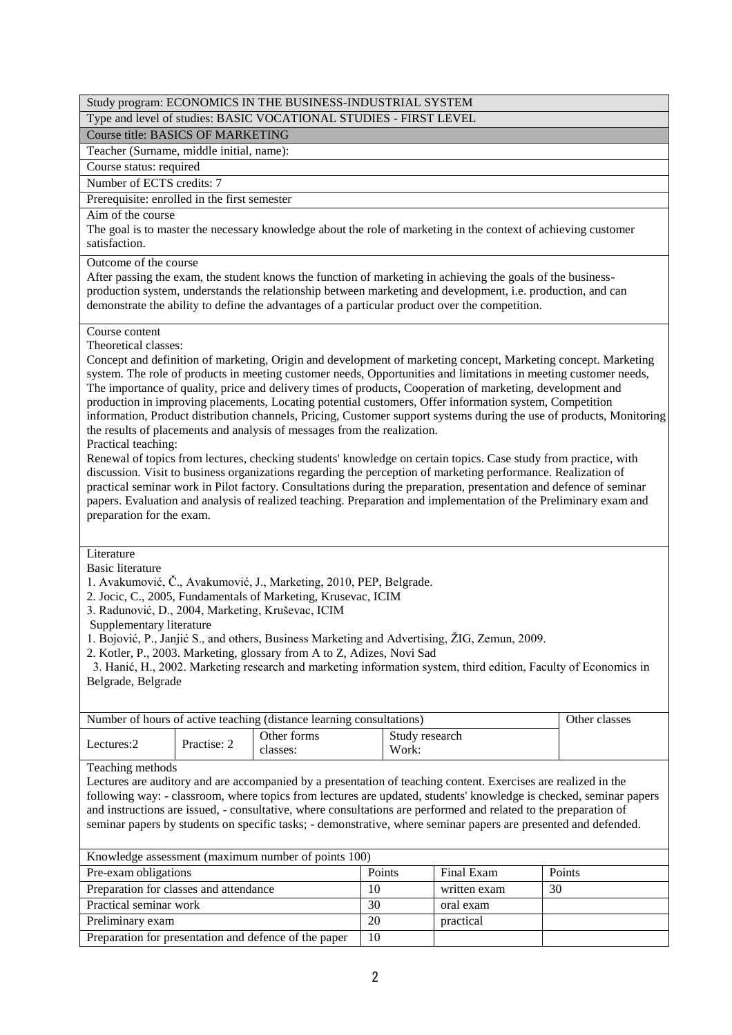### Type and level of studies: BASIC VOCATIONAL STUDIES - FIRST LEVEL

Course title: BASICS OF MARKETING

Teacher (Surname, middle initial, name):

Course status: required

Number of ECTS credits: 7

Prerequisite: enrolled in the first semester

Aim of the course

The goal is to master the necessary knowledge about the role of marketing in the context of achieving customer satisfaction.

Outcome of the course

After passing the exam, the student knows the function of marketing in achieving the goals of the businessproduction system, understands the relationship between marketing and development, i.e. production, and can demonstrate the ability to define the advantages of a particular product over the competition.

# Course content

Theoretical classes:

Concept and definition of marketing, Origin and development of marketing concept, Marketing concept. Marketing system. The role of products in meeting customer needs, Opportunities and limitations in meeting customer needs, The importance of quality, price and delivery times of products, Cooperation of marketing, development and production in improving placements, Locating potential customers, Offer information system, Competition information, Product distribution channels, Pricing, Customer support systems during the use of products, Monitoring the results of placements and analysis of messages from the realization.

Practical teaching:

Renewal of topics from lectures, checking students' knowledge on certain topics. Case study from practice, with discussion. Visit to business organizations regarding the perception of marketing performance. Realization of practical seminar work in Pilot factory. Consultations during the preparation, presentation and defence of seminar papers. Evaluation and analysis of realized teaching. Preparation and implementation of the Preliminary exam and preparation for the exam.

Literature

Basic literature

1. Avakumović, Č., Avakumović, J., Marketing, 2010, PEP, Belgrade.

2. Jocic, C., 2005, Fundamentals of Marketing, Krusevac, ICIM

3. Radunović, D., 2004, Marketing, Kruševac, ICIM

Supplementary literature

1. Bojović, P., Janjić S., and others, Business Marketing and Advertising, ŽIG, Zemun, 2009.

2. Kotler, P., 2003. Marketing, glossary from A to Z, Adizes, Novi Sad

 3. Hanić, H., 2002. Marketing research and marketing information system, third edition, Faculty of Economics in Belgrade, Belgrade

| Number of hours of active teaching (distance learning consultations) |             |                         | Other classes           |  |
|----------------------------------------------------------------------|-------------|-------------------------|-------------------------|--|
| Lectures:2                                                           | Practise: 2 | Other forms<br>classes: | Study research<br>Work: |  |

Teaching methods

Lectures are auditory and are accompanied by a presentation of teaching content. Exercises are realized in the following way: - classroom, where topics from lectures are updated, students' knowledge is checked, seminar papers and instructions are issued, - consultative, where consultations are performed and related to the preparation of seminar papers by students on specific tasks; - demonstrative, where seminar papers are presented and defended.

| Knowledge assessment (maximum number of points 100)   |               |              |        |  |  |  |  |  |
|-------------------------------------------------------|---------------|--------------|--------|--|--|--|--|--|
| Pre-exam obligations                                  | <b>Points</b> | Final Exam   | Points |  |  |  |  |  |
| Preparation for classes and attendance                | 10            | written exam | 30     |  |  |  |  |  |
| Practical seminar work                                | 30            | oral exam    |        |  |  |  |  |  |
| Preliminary exam                                      | 20            | practical    |        |  |  |  |  |  |
| Preparation for presentation and defence of the paper | 10            |              |        |  |  |  |  |  |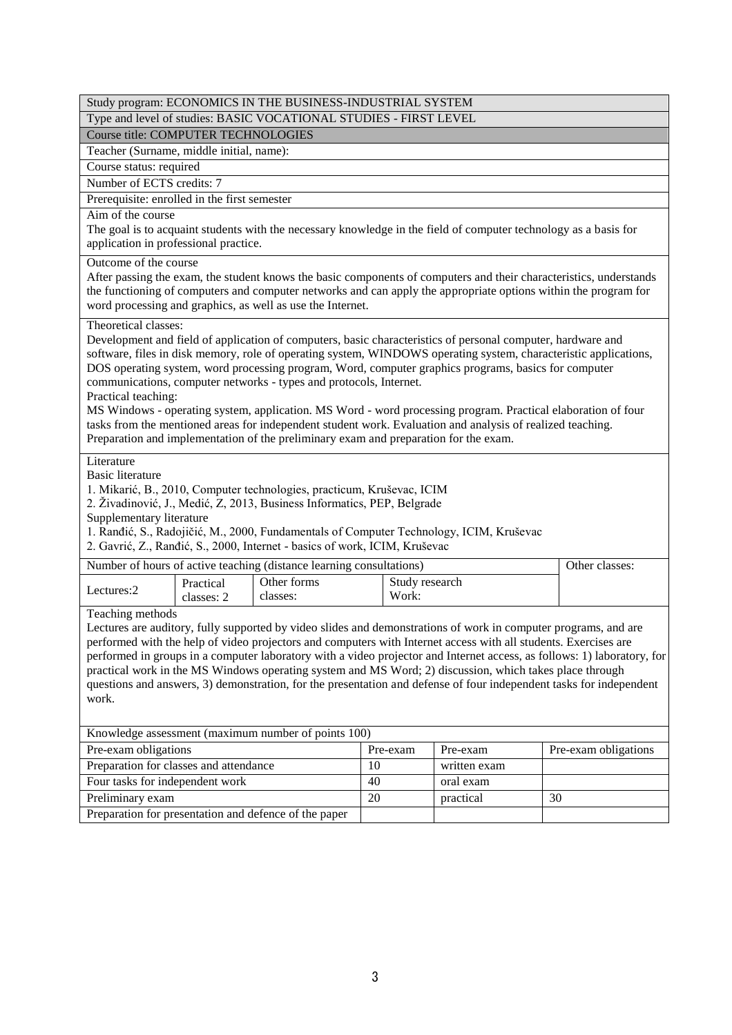|                                                                                                                                                                                                                                                                                                                                                                                                                                                                                                                                                                                                                                                                                                                                                                                    | Study program: ECONOMICS IN THE BUSINESS-INDUSTRIAL SYSTEM                                                                                                                                                                                                                                                                   |                                                                                                                                                                                                                                 |    |                         |                                                                                         |    |                |  |
|------------------------------------------------------------------------------------------------------------------------------------------------------------------------------------------------------------------------------------------------------------------------------------------------------------------------------------------------------------------------------------------------------------------------------------------------------------------------------------------------------------------------------------------------------------------------------------------------------------------------------------------------------------------------------------------------------------------------------------------------------------------------------------|------------------------------------------------------------------------------------------------------------------------------------------------------------------------------------------------------------------------------------------------------------------------------------------------------------------------------|---------------------------------------------------------------------------------------------------------------------------------------------------------------------------------------------------------------------------------|----|-------------------------|-----------------------------------------------------------------------------------------|----|----------------|--|
|                                                                                                                                                                                                                                                                                                                                                                                                                                                                                                                                                                                                                                                                                                                                                                                    | Type and level of studies: BASIC VOCATIONAL STUDIES - FIRST LEVEL                                                                                                                                                                                                                                                            |                                                                                                                                                                                                                                 |    |                         |                                                                                         |    |                |  |
|                                                                                                                                                                                                                                                                                                                                                                                                                                                                                                                                                                                                                                                                                                                                                                                    | <b>Course title: COMPUTER TECHNOLOGIES</b>                                                                                                                                                                                                                                                                                   |                                                                                                                                                                                                                                 |    |                         |                                                                                         |    |                |  |
| Teacher (Surname, middle initial, name):                                                                                                                                                                                                                                                                                                                                                                                                                                                                                                                                                                                                                                                                                                                                           |                                                                                                                                                                                                                                                                                                                              |                                                                                                                                                                                                                                 |    |                         |                                                                                         |    |                |  |
| Course status: required                                                                                                                                                                                                                                                                                                                                                                                                                                                                                                                                                                                                                                                                                                                                                            |                                                                                                                                                                                                                                                                                                                              |                                                                                                                                                                                                                                 |    |                         |                                                                                         |    |                |  |
| Number of ECTS credits: 7                                                                                                                                                                                                                                                                                                                                                                                                                                                                                                                                                                                                                                                                                                                                                          |                                                                                                                                                                                                                                                                                                                              |                                                                                                                                                                                                                                 |    |                         |                                                                                         |    |                |  |
| Prerequisite: enrolled in the first semester                                                                                                                                                                                                                                                                                                                                                                                                                                                                                                                                                                                                                                                                                                                                       |                                                                                                                                                                                                                                                                                                                              |                                                                                                                                                                                                                                 |    |                         |                                                                                         |    |                |  |
|                                                                                                                                                                                                                                                                                                                                                                                                                                                                                                                                                                                                                                                                                                                                                                                    | Aim of the course<br>The goal is to acquaint students with the necessary knowledge in the field of computer technology as a basis for<br>application in professional practice.                                                                                                                                               |                                                                                                                                                                                                                                 |    |                         |                                                                                         |    |                |  |
|                                                                                                                                                                                                                                                                                                                                                                                                                                                                                                                                                                                                                                                                                                                                                                                    | Outcome of the course<br>After passing the exam, the student knows the basic components of computers and their characteristics, understands<br>the functioning of computers and computer networks and can apply the appropriate options within the program for<br>word processing and graphics, as well as use the Internet. |                                                                                                                                                                                                                                 |    |                         |                                                                                         |    |                |  |
| Theoretical classes:<br>Development and field of application of computers, basic characteristics of personal computer, hardware and<br>software, files in disk memory, role of operating system, WINDOWS operating system, characteristic applications,<br>DOS operating system, word processing program, Word, computer graphics programs, basics for computer<br>communications, computer networks - types and protocols, Internet.<br>Practical teaching:<br>MS Windows - operating system, application. MS Word - word processing program. Practical elaboration of four<br>tasks from the mentioned areas for independent student work. Evaluation and analysis of realized teaching.<br>Preparation and implementation of the preliminary exam and preparation for the exam. |                                                                                                                                                                                                                                                                                                                              |                                                                                                                                                                                                                                 |    |                         |                                                                                         |    |                |  |
| Literature<br><b>Basic literature</b><br>Supplementary literature                                                                                                                                                                                                                                                                                                                                                                                                                                                                                                                                                                                                                                                                                                                  |                                                                                                                                                                                                                                                                                                                              | 1. Mikarić, B., 2010, Computer technologies, practicum, Kruševac, ICIM<br>2. Živadinović, J., Medić, Z, 2013, Business Informatics, PEP, Belgrade<br>2. Gavrić, Z., Ranđić, S., 2000, Internet - basics of work, ICIM, Kruševac |    |                         | 1. Ranđić, S., Radojičić, M., 2000, Fundamentals of Computer Technology, ICIM, Kruševac |    |                |  |
|                                                                                                                                                                                                                                                                                                                                                                                                                                                                                                                                                                                                                                                                                                                                                                                    |                                                                                                                                                                                                                                                                                                                              | Number of hours of active teaching (distance learning consultations)                                                                                                                                                            |    |                         |                                                                                         |    | Other classes: |  |
| Lectures:2                                                                                                                                                                                                                                                                                                                                                                                                                                                                                                                                                                                                                                                                                                                                                                         | Practical<br>classes: 2                                                                                                                                                                                                                                                                                                      | Other forms<br>classes:                                                                                                                                                                                                         |    | Study research<br>Work: |                                                                                         |    |                |  |
| Teaching methods<br>Lectures are auditory, fully supported by video slides and demonstrations of work in computer programs, and are<br>performed with the help of video projectors and computers with Internet access with all students. Exercises are<br>performed in groups in a computer laboratory with a video projector and Internet access, as follows: 1) laboratory, for<br>practical work in the MS Windows operating system and MS Word; 2) discussion, which takes place through<br>questions and answers, 3) demonstration, for the presentation and defense of four independent tasks for independent<br>work.                                                                                                                                                       |                                                                                                                                                                                                                                                                                                                              |                                                                                                                                                                                                                                 |    |                         |                                                                                         |    |                |  |
|                                                                                                                                                                                                                                                                                                                                                                                                                                                                                                                                                                                                                                                                                                                                                                                    |                                                                                                                                                                                                                                                                                                                              | Knowledge assessment (maximum number of points 100)                                                                                                                                                                             |    |                         |                                                                                         |    |                |  |
| Pre-exam obligations<br>Pre-exam obligations<br>Pre-exam<br>Pre-exam                                                                                                                                                                                                                                                                                                                                                                                                                                                                                                                                                                                                                                                                                                               |                                                                                                                                                                                                                                                                                                                              |                                                                                                                                                                                                                                 |    |                         |                                                                                         |    |                |  |
| Preparation for classes and attendance                                                                                                                                                                                                                                                                                                                                                                                                                                                                                                                                                                                                                                                                                                                                             |                                                                                                                                                                                                                                                                                                                              |                                                                                                                                                                                                                                 | 10 |                         | written exam                                                                            |    |                |  |
| Four tasks for independent work                                                                                                                                                                                                                                                                                                                                                                                                                                                                                                                                                                                                                                                                                                                                                    |                                                                                                                                                                                                                                                                                                                              |                                                                                                                                                                                                                                 | 40 |                         | oral exam                                                                               |    |                |  |
| Preliminary exam                                                                                                                                                                                                                                                                                                                                                                                                                                                                                                                                                                                                                                                                                                                                                                   |                                                                                                                                                                                                                                                                                                                              |                                                                                                                                                                                                                                 | 20 |                         | practical                                                                               | 30 |                |  |
|                                                                                                                                                                                                                                                                                                                                                                                                                                                                                                                                                                                                                                                                                                                                                                                    |                                                                                                                                                                                                                                                                                                                              | Preparation for presentation and defence of the paper                                                                                                                                                                           |    |                         |                                                                                         |    |                |  |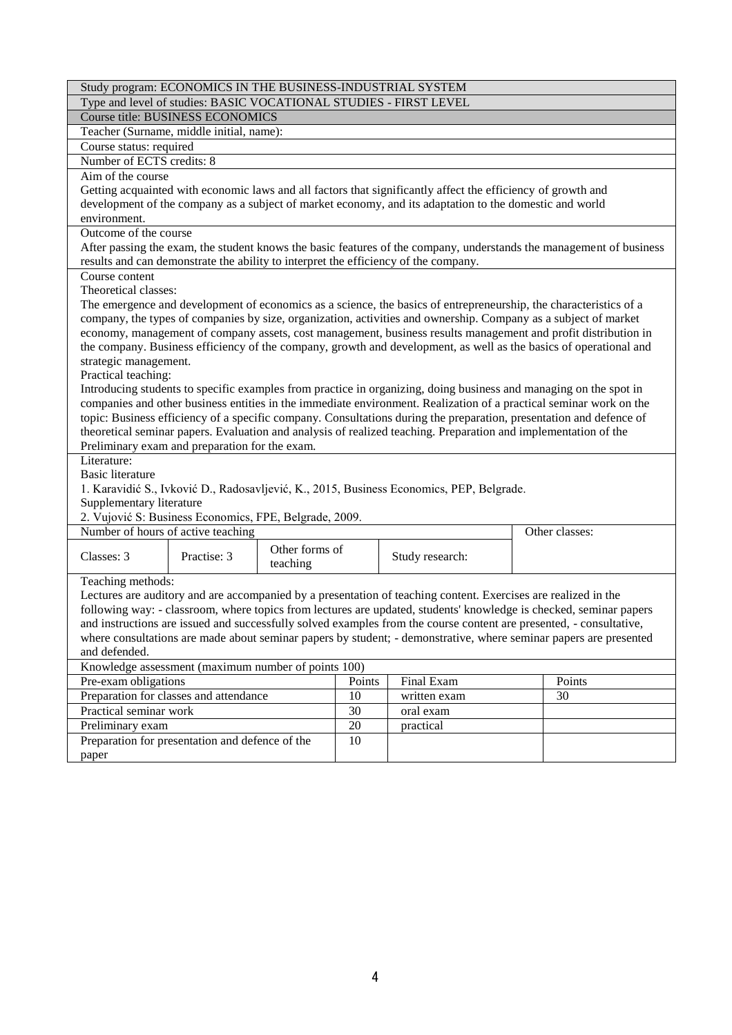| Study program: ECONOMICS IN THE BUSINESS-INDUSTRIAL SYSTEM                                                          |                                                                                                                   |                |        |                                                                                                                                                                                                                                      |  |                                                                                                                     |  |  |
|---------------------------------------------------------------------------------------------------------------------|-------------------------------------------------------------------------------------------------------------------|----------------|--------|--------------------------------------------------------------------------------------------------------------------------------------------------------------------------------------------------------------------------------------|--|---------------------------------------------------------------------------------------------------------------------|--|--|
|                                                                                                                     | Type and level of studies: BASIC VOCATIONAL STUDIES - FIRST LEVEL                                                 |                |        |                                                                                                                                                                                                                                      |  |                                                                                                                     |  |  |
|                                                                                                                     | <b>Course title: BUSINESS ECONOMICS</b>                                                                           |                |        |                                                                                                                                                                                                                                      |  |                                                                                                                     |  |  |
|                                                                                                                     | Teacher (Surname, middle initial, name):                                                                          |                |        |                                                                                                                                                                                                                                      |  |                                                                                                                     |  |  |
| Course status: required                                                                                             |                                                                                                                   |                |        |                                                                                                                                                                                                                                      |  |                                                                                                                     |  |  |
| Number of ECTS credits: 8                                                                                           |                                                                                                                   |                |        |                                                                                                                                                                                                                                      |  |                                                                                                                     |  |  |
| Aim of the course                                                                                                   |                                                                                                                   |                |        |                                                                                                                                                                                                                                      |  |                                                                                                                     |  |  |
|                                                                                                                     |                                                                                                                   |                |        | Getting acquainted with economic laws and all factors that significantly affect the efficiency of growth and                                                                                                                         |  |                                                                                                                     |  |  |
|                                                                                                                     |                                                                                                                   |                |        | development of the company as a subject of market economy, and its adaptation to the domestic and world                                                                                                                              |  |                                                                                                                     |  |  |
| environment.                                                                                                        |                                                                                                                   |                |        |                                                                                                                                                                                                                                      |  |                                                                                                                     |  |  |
| Outcome of the course                                                                                               |                                                                                                                   |                |        |                                                                                                                                                                                                                                      |  |                                                                                                                     |  |  |
|                                                                                                                     |                                                                                                                   |                |        |                                                                                                                                                                                                                                      |  | After passing the exam, the student knows the basic features of the company, understands the management of business |  |  |
|                                                                                                                     |                                                                                                                   |                |        | results and can demonstrate the ability to interpret the efficiency of the company.                                                                                                                                                  |  |                                                                                                                     |  |  |
| Course content                                                                                                      |                                                                                                                   |                |        |                                                                                                                                                                                                                                      |  |                                                                                                                     |  |  |
| Theoretical classes:                                                                                                |                                                                                                                   |                |        |                                                                                                                                                                                                                                      |  |                                                                                                                     |  |  |
|                                                                                                                     |                                                                                                                   |                |        | The emergence and development of economics as a science, the basics of entrepreneurship, the characteristics of a                                                                                                                    |  |                                                                                                                     |  |  |
|                                                                                                                     |                                                                                                                   |                |        | company, the types of companies by size, organization, activities and ownership. Company as a subject of market                                                                                                                      |  |                                                                                                                     |  |  |
|                                                                                                                     |                                                                                                                   |                |        | economy, management of company assets, cost management, business results management and profit distribution in                                                                                                                       |  |                                                                                                                     |  |  |
|                                                                                                                     |                                                                                                                   |                |        | the company. Business efficiency of the company, growth and development, as well as the basics of operational and                                                                                                                    |  |                                                                                                                     |  |  |
| strategic management.                                                                                               |                                                                                                                   |                |        |                                                                                                                                                                                                                                      |  |                                                                                                                     |  |  |
| Practical teaching:                                                                                                 |                                                                                                                   |                |        |                                                                                                                                                                                                                                      |  |                                                                                                                     |  |  |
|                                                                                                                     |                                                                                                                   |                |        | Introducing students to specific examples from practice in organizing, doing business and managing on the spot in                                                                                                                    |  |                                                                                                                     |  |  |
|                                                                                                                     |                                                                                                                   |                |        | companies and other business entities in the immediate environment. Realization of a practical seminar work on the                                                                                                                   |  |                                                                                                                     |  |  |
|                                                                                                                     |                                                                                                                   |                |        | topic: Business efficiency of a specific company. Consultations during the preparation, presentation and defence of                                                                                                                  |  |                                                                                                                     |  |  |
|                                                                                                                     | Preliminary exam and preparation for the exam.                                                                    |                |        | theoretical seminar papers. Evaluation and analysis of realized teaching. Preparation and implementation of the                                                                                                                      |  |                                                                                                                     |  |  |
| Literature:                                                                                                         |                                                                                                                   |                |        |                                                                                                                                                                                                                                      |  |                                                                                                                     |  |  |
| <b>Basic literature</b>                                                                                             |                                                                                                                   |                |        |                                                                                                                                                                                                                                      |  |                                                                                                                     |  |  |
|                                                                                                                     |                                                                                                                   |                |        | 1. Karavidić S., Ivković D., Radosavljević, K., 2015, Business Economics, PEP, Belgrade.                                                                                                                                             |  |                                                                                                                     |  |  |
| Supplementary literature                                                                                            |                                                                                                                   |                |        |                                                                                                                                                                                                                                      |  |                                                                                                                     |  |  |
|                                                                                                                     | 2. Vujović S: Business Economics, FPE, Belgrade, 2009.                                                            |                |        |                                                                                                                                                                                                                                      |  |                                                                                                                     |  |  |
|                                                                                                                     | Number of hours of active teaching                                                                                |                |        |                                                                                                                                                                                                                                      |  | Other classes:                                                                                                      |  |  |
|                                                                                                                     |                                                                                                                   | Other forms of |        |                                                                                                                                                                                                                                      |  |                                                                                                                     |  |  |
| Classes: 3                                                                                                          | Practise: 3                                                                                                       | teaching       |        | Study research:                                                                                                                                                                                                                      |  |                                                                                                                     |  |  |
|                                                                                                                     |                                                                                                                   |                |        |                                                                                                                                                                                                                                      |  |                                                                                                                     |  |  |
| Teaching methods:                                                                                                   |                                                                                                                   |                |        |                                                                                                                                                                                                                                      |  |                                                                                                                     |  |  |
|                                                                                                                     |                                                                                                                   |                |        | Lectures are auditory and are accompanied by a presentation of teaching content. Exercises are realized in the<br>following way: - classroom, where topics from lectures are updated, students' knowledge is checked, seminar papers |  |                                                                                                                     |  |  |
|                                                                                                                     |                                                                                                                   |                |        |                                                                                                                                                                                                                                      |  |                                                                                                                     |  |  |
| and instructions are issued and successfully solved examples from the course content are presented, - consultative, |                                                                                                                   |                |        |                                                                                                                                                                                                                                      |  |                                                                                                                     |  |  |
| and defended.                                                                                                       | where consultations are made about seminar papers by student; - demonstrative, where seminar papers are presented |                |        |                                                                                                                                                                                                                                      |  |                                                                                                                     |  |  |
|                                                                                                                     |                                                                                                                   |                |        |                                                                                                                                                                                                                                      |  |                                                                                                                     |  |  |
|                                                                                                                     | Knowledge assessment (maximum number of points 100)                                                               |                |        |                                                                                                                                                                                                                                      |  |                                                                                                                     |  |  |
|                                                                                                                     | Pre-exam obligations<br>Final Exam<br>Points<br>Points                                                            |                |        |                                                                                                                                                                                                                                      |  |                                                                                                                     |  |  |
|                                                                                                                     | Preparation for classes and attendance<br>10<br>30<br>written exam<br>Practical seminar work                      |                |        |                                                                                                                                                                                                                                      |  |                                                                                                                     |  |  |
|                                                                                                                     |                                                                                                                   |                | 30     | oral exam                                                                                                                                                                                                                            |  |                                                                                                                     |  |  |
| Preliminary exam                                                                                                    |                                                                                                                   |                | $20\,$ | practical                                                                                                                                                                                                                            |  |                                                                                                                     |  |  |
|                                                                                                                     | Preparation for presentation and defence of the                                                                   |                | 10     |                                                                                                                                                                                                                                      |  |                                                                                                                     |  |  |
| paper                                                                                                               |                                                                                                                   |                |        |                                                                                                                                                                                                                                      |  |                                                                                                                     |  |  |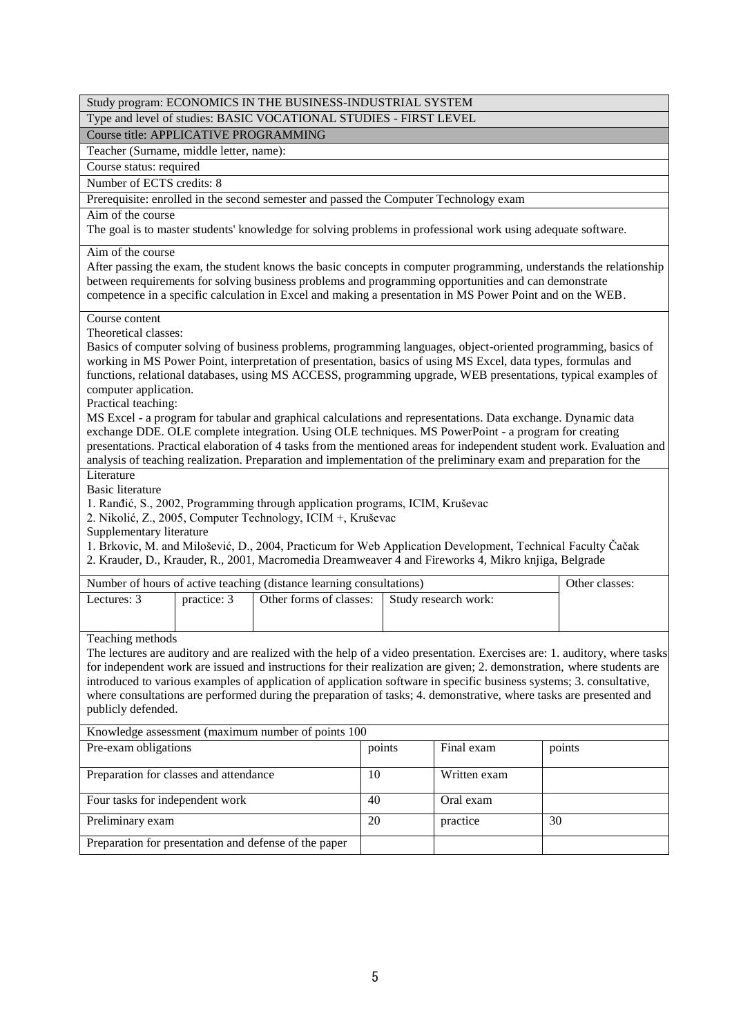|                                                    |                          | Study program: ECONOMICS IN THE BUSINESS-INDUSTRIAL SYSTEM                                                                                                                                                                      |        |  |                      |    |                                                                                                                           |
|----------------------------------------------------|--------------------------|---------------------------------------------------------------------------------------------------------------------------------------------------------------------------------------------------------------------------------|--------|--|----------------------|----|---------------------------------------------------------------------------------------------------------------------------|
|                                                    |                          | Type and level of studies: BASIC VOCATIONAL STUDIES - FIRST LEVEL                                                                                                                                                               |        |  |                      |    |                                                                                                                           |
| <b>Course title: APPLICATIVE PROGRAMMING</b>       |                          |                                                                                                                                                                                                                                 |        |  |                      |    |                                                                                                                           |
| Teacher (Surname, middle letter, name):            |                          |                                                                                                                                                                                                                                 |        |  |                      |    |                                                                                                                           |
| Course status: required                            |                          |                                                                                                                                                                                                                                 |        |  |                      |    |                                                                                                                           |
| Number of ECTS credits: 8                          |                          |                                                                                                                                                                                                                                 |        |  |                      |    |                                                                                                                           |
|                                                    |                          | Prerequisite: enrolled in the second semester and passed the Computer Technology exam                                                                                                                                           |        |  |                      |    |                                                                                                                           |
| Aim of the course                                  |                          |                                                                                                                                                                                                                                 |        |  |                      |    |                                                                                                                           |
|                                                    |                          | The goal is to master students' knowledge for solving problems in professional work using adequate software.                                                                                                                    |        |  |                      |    |                                                                                                                           |
| Aim of the course                                  |                          |                                                                                                                                                                                                                                 |        |  |                      |    |                                                                                                                           |
|                                                    |                          | After passing the exam, the student knows the basic concepts in computer programming, understands the relationship<br>between requirements for solving business problems and programming opportunities and can demonstrate      |        |  |                      |    |                                                                                                                           |
|                                                    |                          | competence in a specific calculation in Excel and making a presentation in MS Power Point and on the WEB.                                                                                                                       |        |  |                      |    |                                                                                                                           |
| Course content                                     |                          |                                                                                                                                                                                                                                 |        |  |                      |    |                                                                                                                           |
| Theoretical classes:                               |                          |                                                                                                                                                                                                                                 |        |  |                      |    |                                                                                                                           |
|                                                    |                          | Basics of computer solving of business problems, programming languages, object-oriented programming, basics of<br>working in MS Power Point, interpretation of presentation, basics of using MS Excel, data types, formulas and |        |  |                      |    |                                                                                                                           |
|                                                    |                          | functions, relational databases, using MS ACCESS, programming upgrade, WEB presentations, typical examples of                                                                                                                   |        |  |                      |    |                                                                                                                           |
| computer application.                              |                          |                                                                                                                                                                                                                                 |        |  |                      |    |                                                                                                                           |
| Practical teaching:                                |                          |                                                                                                                                                                                                                                 |        |  |                      |    |                                                                                                                           |
|                                                    |                          | MS Excel - a program for tabular and graphical calculations and representations. Data exchange. Dynamic data                                                                                                                    |        |  |                      |    |                                                                                                                           |
|                                                    |                          | exchange DDE. OLE complete integration. Using OLE techniques. MS PowerPoint - a program for creating                                                                                                                            |        |  |                      |    |                                                                                                                           |
|                                                    |                          |                                                                                                                                                                                                                                 |        |  |                      |    | presentations. Practical elaboration of 4 tasks from the mentioned areas for independent student work. Evaluation and     |
|                                                    |                          | analysis of teaching realization. Preparation and implementation of the preliminary exam and preparation for the                                                                                                                |        |  |                      |    |                                                                                                                           |
| Literature                                         |                          |                                                                                                                                                                                                                                 |        |  |                      |    |                                                                                                                           |
| <b>Basic literature</b>                            |                          |                                                                                                                                                                                                                                 |        |  |                      |    |                                                                                                                           |
|                                                    |                          | 1. Ranđić, S., 2002, Programming through application programs, ICIM, Kruševac<br>2. Nikolić, Z., 2005, Computer Technology, ICIM +, Kruševac                                                                                    |        |  |                      |    |                                                                                                                           |
| Supplementary literature                           |                          |                                                                                                                                                                                                                                 |        |  |                      |    |                                                                                                                           |
|                                                    |                          | 1. Brkovic, M. and Milošević, D., 2004, Practicum for Web Application Development, Technical Faculty Čačak                                                                                                                      |        |  |                      |    |                                                                                                                           |
|                                                    |                          | 2. Krauder, D., Krauder, R., 2001, Macromedia Dreamweaver 4 and Fireworks 4, Mikro knjiga, Belgrade                                                                                                                             |        |  |                      |    |                                                                                                                           |
|                                                    |                          | Number of hours of active teaching (distance learning consultations)                                                                                                                                                            |        |  |                      |    | Other classes:                                                                                                            |
| Lectures: $3$                                      | practice: $\overline{3}$ | Other forms of classes:                                                                                                                                                                                                         |        |  | Study research work: |    |                                                                                                                           |
|                                                    |                          |                                                                                                                                                                                                                                 |        |  |                      |    |                                                                                                                           |
| Teaching methods                                   |                          |                                                                                                                                                                                                                                 |        |  |                      |    |                                                                                                                           |
|                                                    |                          |                                                                                                                                                                                                                                 |        |  |                      |    | The lectures are auditory and are realized with the help of a video presentation. Exercises are: 1. auditory, where tasks |
|                                                    |                          | for independent work are issued and instructions for their realization are given; 2. demonstration, where students are                                                                                                          |        |  |                      |    |                                                                                                                           |
|                                                    |                          | introduced to various examples of application of application software in specific business systems; 3. consultative,                                                                                                            |        |  |                      |    |                                                                                                                           |
|                                                    |                          | where consultations are performed during the preparation of tasks; 4. demonstrative, where tasks are presented and                                                                                                              |        |  |                      |    |                                                                                                                           |
| publicly defended.                                 |                          |                                                                                                                                                                                                                                 |        |  |                      |    |                                                                                                                           |
| Knowledge assessment (maximum number of points 100 |                          |                                                                                                                                                                                                                                 |        |  |                      |    |                                                                                                                           |
| Pre-exam obligations                               |                          |                                                                                                                                                                                                                                 | points |  | Final exam           |    | points                                                                                                                    |
| Preparation for classes and attendance             |                          |                                                                                                                                                                                                                                 | 10     |  | Written exam         |    |                                                                                                                           |
| Four tasks for independent work                    |                          |                                                                                                                                                                                                                                 | 40     |  | Oral exam            |    |                                                                                                                           |
| Preliminary exam                                   |                          |                                                                                                                                                                                                                                 | 20     |  | practice             | 30 |                                                                                                                           |
|                                                    |                          | Preparation for presentation and defense of the paper                                                                                                                                                                           |        |  |                      |    |                                                                                                                           |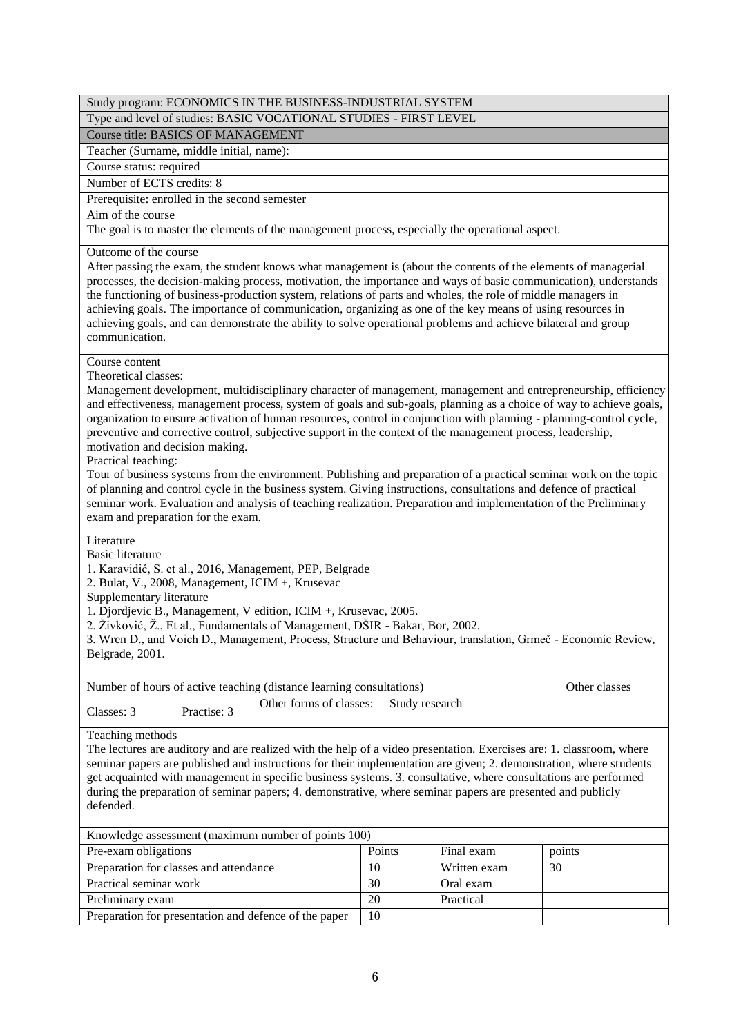| Study program: ECONOMICS IN THE BUSINESS-INDUSTRIAL SYSTEM                                                                                                                                                                                                                                                                                                                                                                                                                                                                                                                                                                                                                                                                                                                                                                                                                                                                                                                            |                                                                                                                                                                                                                                                                                                                                              |                |               |  |  |  |  |  |
|---------------------------------------------------------------------------------------------------------------------------------------------------------------------------------------------------------------------------------------------------------------------------------------------------------------------------------------------------------------------------------------------------------------------------------------------------------------------------------------------------------------------------------------------------------------------------------------------------------------------------------------------------------------------------------------------------------------------------------------------------------------------------------------------------------------------------------------------------------------------------------------------------------------------------------------------------------------------------------------|----------------------------------------------------------------------------------------------------------------------------------------------------------------------------------------------------------------------------------------------------------------------------------------------------------------------------------------------|----------------|---------------|--|--|--|--|--|
| Type and level of studies: BASIC VOCATIONAL STUDIES - FIRST LEVEL                                                                                                                                                                                                                                                                                                                                                                                                                                                                                                                                                                                                                                                                                                                                                                                                                                                                                                                     |                                                                                                                                                                                                                                                                                                                                              |                |               |  |  |  |  |  |
| <b>Course title: BASICS OF MANAGEMENT</b>                                                                                                                                                                                                                                                                                                                                                                                                                                                                                                                                                                                                                                                                                                                                                                                                                                                                                                                                             |                                                                                                                                                                                                                                                                                                                                              |                |               |  |  |  |  |  |
| Teacher (Surname, middle initial, name):                                                                                                                                                                                                                                                                                                                                                                                                                                                                                                                                                                                                                                                                                                                                                                                                                                                                                                                                              |                                                                                                                                                                                                                                                                                                                                              |                |               |  |  |  |  |  |
| Course status: required                                                                                                                                                                                                                                                                                                                                                                                                                                                                                                                                                                                                                                                                                                                                                                                                                                                                                                                                                               |                                                                                                                                                                                                                                                                                                                                              |                |               |  |  |  |  |  |
| Number of ECTS credits: 8                                                                                                                                                                                                                                                                                                                                                                                                                                                                                                                                                                                                                                                                                                                                                                                                                                                                                                                                                             |                                                                                                                                                                                                                                                                                                                                              |                |               |  |  |  |  |  |
| Prerequisite: enrolled in the second semester                                                                                                                                                                                                                                                                                                                                                                                                                                                                                                                                                                                                                                                                                                                                                                                                                                                                                                                                         |                                                                                                                                                                                                                                                                                                                                              |                |               |  |  |  |  |  |
| Aim of the course<br>The goal is to master the elements of the management process, especially the operational aspect.                                                                                                                                                                                                                                                                                                                                                                                                                                                                                                                                                                                                                                                                                                                                                                                                                                                                 |                                                                                                                                                                                                                                                                                                                                              |                |               |  |  |  |  |  |
| Outcome of the course<br>After passing the exam, the student knows what management is (about the contents of the elements of managerial<br>processes, the decision-making process, motivation, the importance and ways of basic communication), understands<br>the functioning of business-production system, relations of parts and wholes, the role of middle managers in<br>achieving goals. The importance of communication, organizing as one of the key means of using resources in<br>achieving goals, and can demonstrate the ability to solve operational problems and achieve bilateral and group<br>communication.                                                                                                                                                                                                                                                                                                                                                         |                                                                                                                                                                                                                                                                                                                                              |                |               |  |  |  |  |  |
| Course content<br>Theoretical classes:<br>Management development, multidisciplinary character of management, management and entrepreneurship, efficiency<br>and effectiveness, management process, system of goals and sub-goals, planning as a choice of way to achieve goals,<br>organization to ensure activation of human resources, control in conjunction with planning - planning-control cycle,<br>preventive and corrective control, subjective support in the context of the management process, leadership,<br>motivation and decision making.<br>Practical teaching:<br>Tour of business systems from the environment. Publishing and preparation of a practical seminar work on the topic<br>of planning and control cycle in the business system. Giving instructions, consultations and defence of practical<br>seminar work. Evaluation and analysis of teaching realization. Preparation and implementation of the Preliminary<br>exam and preparation for the exam. |                                                                                                                                                                                                                                                                                                                                              |                |               |  |  |  |  |  |
| <b>Basic literature</b><br>2. Bulat, V., 2008, Management, ICIM +, Krusevac<br>Supplementary literature<br>Belgrade, 2001.                                                                                                                                                                                                                                                                                                                                                                                                                                                                                                                                                                                                                                                                                                                                                                                                                                                            | Literature<br>1. Karavidić, S. et al., 2016, Management, PEP, Belgrade<br>1. Djordjevic B., Management, V edition, ICIM +, Krusevac, 2005.<br>2. Živković, Ž., Et al., Fundamentals of Management, DŠIR - Bakar, Bor, 2002.<br>3. Wren D., and Voich D., Management, Process, Structure and Behaviour, translation, Grmeč - Economic Review, |                |               |  |  |  |  |  |
| Number of hours of active teaching (distance learning consultations)                                                                                                                                                                                                                                                                                                                                                                                                                                                                                                                                                                                                                                                                                                                                                                                                                                                                                                                  |                                                                                                                                                                                                                                                                                                                                              |                | Other classes |  |  |  |  |  |
| Other forms of classes:<br>Classes: 3<br>Practise: 3                                                                                                                                                                                                                                                                                                                                                                                                                                                                                                                                                                                                                                                                                                                                                                                                                                                                                                                                  |                                                                                                                                                                                                                                                                                                                                              | Study research |               |  |  |  |  |  |
| Teaching methods<br>The lectures are auditory and are realized with the help of a video presentation. Exercises are: 1. classroom, where<br>seminar papers are published and instructions for their implementation are given; 2. demonstration, where students<br>get acquainted with management in specific business systems. 3. consultative, where consultations are performed<br>during the preparation of seminar papers; 4. demonstrative, where seminar papers are presented and publicly<br>defended.                                                                                                                                                                                                                                                                                                                                                                                                                                                                         |                                                                                                                                                                                                                                                                                                                                              |                |               |  |  |  |  |  |
| Knowledge assessment (maximum number of points 100)                                                                                                                                                                                                                                                                                                                                                                                                                                                                                                                                                                                                                                                                                                                                                                                                                                                                                                                                   |                                                                                                                                                                                                                                                                                                                                              |                |               |  |  |  |  |  |
| Pre-exam obligations<br>Points<br>Final exam<br>points                                                                                                                                                                                                                                                                                                                                                                                                                                                                                                                                                                                                                                                                                                                                                                                                                                                                                                                                |                                                                                                                                                                                                                                                                                                                                              |                |               |  |  |  |  |  |
| Preparation for classes and attendance                                                                                                                                                                                                                                                                                                                                                                                                                                                                                                                                                                                                                                                                                                                                                                                                                                                                                                                                                | 10                                                                                                                                                                                                                                                                                                                                           | Written exam   | 30            |  |  |  |  |  |
| Practical seminar work                                                                                                                                                                                                                                                                                                                                                                                                                                                                                                                                                                                                                                                                                                                                                                                                                                                                                                                                                                | 30                                                                                                                                                                                                                                                                                                                                           | Oral exam      |               |  |  |  |  |  |
| Preliminary exam                                                                                                                                                                                                                                                                                                                                                                                                                                                                                                                                                                                                                                                                                                                                                                                                                                                                                                                                                                      | 20                                                                                                                                                                                                                                                                                                                                           | Practical      |               |  |  |  |  |  |
| Preparation for presentation and defence of the paper                                                                                                                                                                                                                                                                                                                                                                                                                                                                                                                                                                                                                                                                                                                                                                                                                                                                                                                                 | 10                                                                                                                                                                                                                                                                                                                                           |                |               |  |  |  |  |  |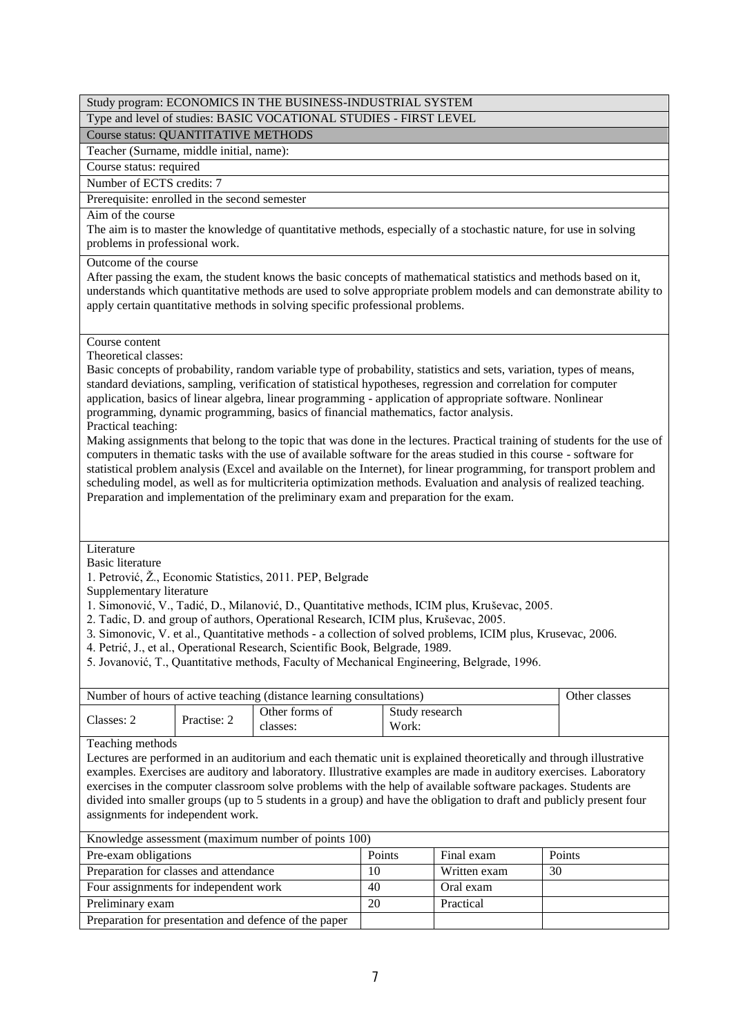|                                                                                                               |             | Study program: ECONOMICS IN THE BUSINESS-INDUSTRIAL SYSTEM                                                                                                                                                                                                                                                                                                                                                                                                                                                                                                                                                                                                                                                                                                                                                                                                                                                                                                                                                                          |    |                         |              |    |               |
|---------------------------------------------------------------------------------------------------------------|-------------|-------------------------------------------------------------------------------------------------------------------------------------------------------------------------------------------------------------------------------------------------------------------------------------------------------------------------------------------------------------------------------------------------------------------------------------------------------------------------------------------------------------------------------------------------------------------------------------------------------------------------------------------------------------------------------------------------------------------------------------------------------------------------------------------------------------------------------------------------------------------------------------------------------------------------------------------------------------------------------------------------------------------------------------|----|-------------------------|--------------|----|---------------|
|                                                                                                               |             | Type and level of studies: BASIC VOCATIONAL STUDIES - FIRST LEVEL                                                                                                                                                                                                                                                                                                                                                                                                                                                                                                                                                                                                                                                                                                                                                                                                                                                                                                                                                                   |    |                         |              |    |               |
| Course status: QUANTITATIVE METHODS                                                                           |             |                                                                                                                                                                                                                                                                                                                                                                                                                                                                                                                                                                                                                                                                                                                                                                                                                                                                                                                                                                                                                                     |    |                         |              |    |               |
| Teacher (Surname, middle initial, name):                                                                      |             |                                                                                                                                                                                                                                                                                                                                                                                                                                                                                                                                                                                                                                                                                                                                                                                                                                                                                                                                                                                                                                     |    |                         |              |    |               |
| Course status: required                                                                                       |             |                                                                                                                                                                                                                                                                                                                                                                                                                                                                                                                                                                                                                                                                                                                                                                                                                                                                                                                                                                                                                                     |    |                         |              |    |               |
| Number of ECTS credits: 7                                                                                     |             |                                                                                                                                                                                                                                                                                                                                                                                                                                                                                                                                                                                                                                                                                                                                                                                                                                                                                                                                                                                                                                     |    |                         |              |    |               |
| Prerequisite: enrolled in the second semester                                                                 |             |                                                                                                                                                                                                                                                                                                                                                                                                                                                                                                                                                                                                                                                                                                                                                                                                                                                                                                                                                                                                                                     |    |                         |              |    |               |
| Aim of the course<br>problems in professional work.                                                           |             | The aim is to master the knowledge of quantitative methods, especially of a stochastic nature, for use in solving                                                                                                                                                                                                                                                                                                                                                                                                                                                                                                                                                                                                                                                                                                                                                                                                                                                                                                                   |    |                         |              |    |               |
| Outcome of the course                                                                                         |             | After passing the exam, the student knows the basic concepts of mathematical statistics and methods based on it,<br>understands which quantitative methods are used to solve appropriate problem models and can demonstrate ability to<br>apply certain quantitative methods in solving specific professional problems.                                                                                                                                                                                                                                                                                                                                                                                                                                                                                                                                                                                                                                                                                                             |    |                         |              |    |               |
| Course content<br>Theoretical classes:                                                                        |             |                                                                                                                                                                                                                                                                                                                                                                                                                                                                                                                                                                                                                                                                                                                                                                                                                                                                                                                                                                                                                                     |    |                         |              |    |               |
| Practical teaching:                                                                                           |             | Basic concepts of probability, random variable type of probability, statistics and sets, variation, types of means,<br>standard deviations, sampling, verification of statistical hypotheses, regression and correlation for computer<br>application, basics of linear algebra, linear programming - application of appropriate software. Nonlinear<br>programming, dynamic programming, basics of financial mathematics, factor analysis.<br>Making assignments that belong to the topic that was done in the lectures. Practical training of students for the use of<br>computers in thematic tasks with the use of available software for the areas studied in this course - software for<br>statistical problem analysis (Excel and available on the Internet), for linear programming, for transport problem and<br>scheduling model, as well as for multicriteria optimization methods. Evaluation and analysis of realized teaching.<br>Preparation and implementation of the preliminary exam and preparation for the exam. |    |                         |              |    |               |
| Literature<br><b>Basic literature</b>                                                                         |             |                                                                                                                                                                                                                                                                                                                                                                                                                                                                                                                                                                                                                                                                                                                                                                                                                                                                                                                                                                                                                                     |    |                         |              |    |               |
|                                                                                                               |             | 1. Petrović, Ž., Economic Statistics, 2011. PEP, Belgrade                                                                                                                                                                                                                                                                                                                                                                                                                                                                                                                                                                                                                                                                                                                                                                                                                                                                                                                                                                           |    |                         |              |    |               |
| Supplementary literature                                                                                      |             | 1. Simonović, V., Tadić, D., Milanović, D., Quantitative methods, ICIM plus, Kruševac, 2005.<br>2. Tadic, D. and group of authors, Operational Research, ICIM plus, Kruševac, 2005.<br>3. Simonovic, V. et al., Quantitative methods - a collection of solved problems, ICIM plus, Krusevac, 2006.<br>4. Petrić, J., et al., Operational Research, Scientific Book, Belgrade, 1989.<br>5. Jovanović, T., Quantitative methods, Faculty of Mechanical Engineering, Belgrade, 1996.                                                                                                                                                                                                                                                                                                                                                                                                                                                                                                                                                   |    |                         |              |    |               |
|                                                                                                               |             | Number of hours of active teaching (distance learning consultations)                                                                                                                                                                                                                                                                                                                                                                                                                                                                                                                                                                                                                                                                                                                                                                                                                                                                                                                                                                |    |                         |              |    | Other classes |
| Classes: 2                                                                                                    | Practise: 2 | Other forms of<br>classes:                                                                                                                                                                                                                                                                                                                                                                                                                                                                                                                                                                                                                                                                                                                                                                                                                                                                                                                                                                                                          |    | Study research<br>Work: |              |    |               |
| Teaching methods<br>assignments for independent work.                                                         |             | Lectures are performed in an auditorium and each thematic unit is explained theoretically and through illustrative<br>examples. Exercises are auditory and laboratory. Illustrative examples are made in auditory exercises. Laboratory<br>exercises in the computer classroom solve problems with the help of available software packages. Students are<br>divided into smaller groups (up to 5 students in a group) and have the obligation to draft and publicly present four                                                                                                                                                                                                                                                                                                                                                                                                                                                                                                                                                    |    |                         |              |    |               |
|                                                                                                               |             |                                                                                                                                                                                                                                                                                                                                                                                                                                                                                                                                                                                                                                                                                                                                                                                                                                                                                                                                                                                                                                     |    |                         |              |    |               |
| Knowledge assessment (maximum number of points 100)<br>Points<br>Points<br>Final exam<br>Pre-exam obligations |             |                                                                                                                                                                                                                                                                                                                                                                                                                                                                                                                                                                                                                                                                                                                                                                                                                                                                                                                                                                                                                                     |    |                         |              |    |               |
| Preparation for classes and attendance                                                                        |             |                                                                                                                                                                                                                                                                                                                                                                                                                                                                                                                                                                                                                                                                                                                                                                                                                                                                                                                                                                                                                                     | 10 |                         | Written exam | 30 |               |
| Four assignments for independent work                                                                         |             |                                                                                                                                                                                                                                                                                                                                                                                                                                                                                                                                                                                                                                                                                                                                                                                                                                                                                                                                                                                                                                     | 40 |                         | Oral exam    |    |               |
|                                                                                                               |             |                                                                                                                                                                                                                                                                                                                                                                                                                                                                                                                                                                                                                                                                                                                                                                                                                                                                                                                                                                                                                                     |    |                         |              |    |               |
| Preliminary exam                                                                                              |             |                                                                                                                                                                                                                                                                                                                                                                                                                                                                                                                                                                                                                                                                                                                                                                                                                                                                                                                                                                                                                                     | 20 |                         | Practical    |    |               |

7

Preparation for presentation and defence of the paper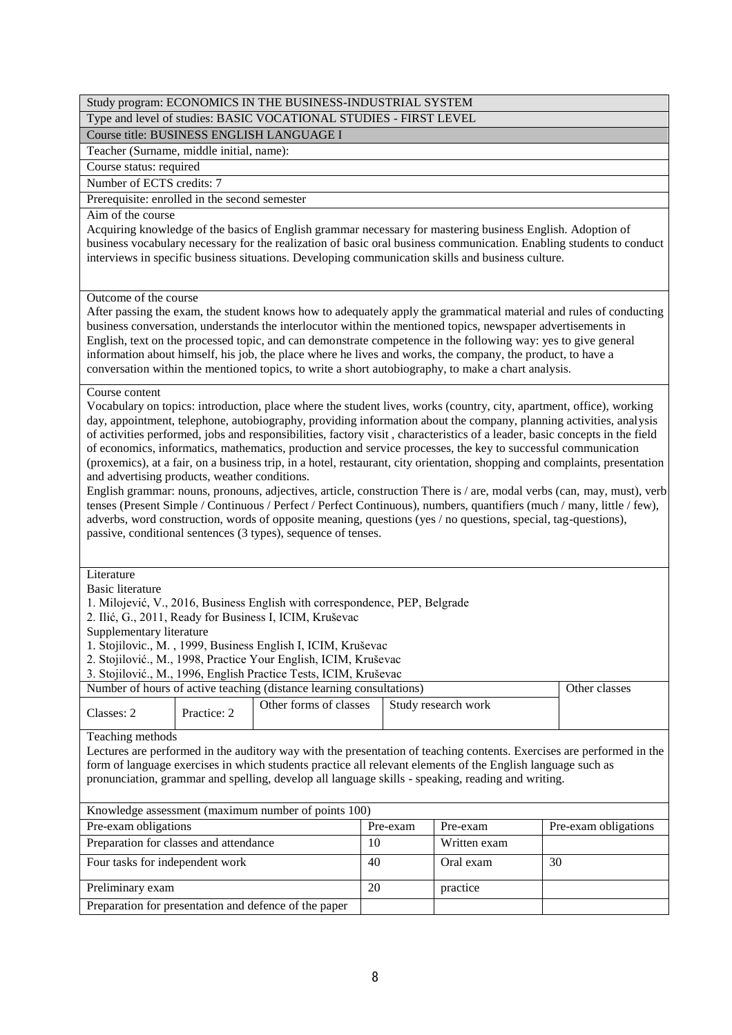Type and level of studies: BASIC VOCATIONAL STUDIES - FIRST LEVEL

Course title: BUSINESS ENGLISH LANGUAGE I

Teacher (Surname, middle initial, name):

Course status: required

Number of ECTS credits: 7

Prerequisite: enrolled in the second semester

# Aim of the course

Acquiring knowledge of the basics of English grammar necessary for mastering business English. Adoption of business vocabulary necessary for the realization of basic oral business communication. Enabling students to conduct interviews in specific business situations. Developing communication skills and business culture.

### Outcome of the course

After passing the exam, the student knows how to adequately apply the grammatical material and rules of conducting business conversation, understands the interlocutor within the mentioned topics, newspaper advertisements in English, text on the processed topic, and can demonstrate competence in the following way: yes to give general information about himself, his job, the place where he lives and works, the company, the product, to have a conversation within the mentioned topics, to write a short autobiography, to make a chart analysis.

### Course content

Vocabulary on topics: introduction, place where the student lives, works (country, city, apartment, office), working day, appointment, telephone, autobiography, providing information about the company, planning activities, analysis of activities performed, jobs and responsibilities, factory visit , characteristics of a leader, basic concepts in the field of economics, informatics, mathematics, production and service processes, the key to successful communication (proxemics), at a fair, on a business trip, in a hotel, restaurant, city orientation, shopping and complaints, presentation and advertising products, weather conditions.

English grammar: nouns, pronouns, adjectives, article, construction There is / are, modal verbs (can, may, must), verb tenses (Present Simple / Continuous / Perfect / Perfect Continuous), numbers, quantifiers (much / many, little / few), adverbs, word construction, words of opposite meaning, questions (yes / no questions, special, tag-questions), passive, conditional sentences (3 types), sequence of tenses.

**Literature** 

Basic literature

1. Milojević, V., 2016, Business English with correspondence, PEP, Belgrade

2. Ilić, G., 2011, Ready for Business I, ICIM, Kruševac

Supplementary literature

1. Stojilovic., M. , 1999, Business English I, ICIM, Kruševac

- 2. Stojilović., M., 1998, Practice Your English, ICIM, Kruševac
- 3. Stojilović., M., 1996, English Practice Tests, ICIM, Kruševac

| Number of hours of active teaching (distance learning consultations) | Other classes |                                              |  |  |
|----------------------------------------------------------------------|---------------|----------------------------------------------|--|--|
| Classes: 2                                                           | Practice: 2   | Other forms of classes   Study research work |  |  |

Teaching methods

Lectures are performed in the auditory way with the presentation of teaching contents. Exercises are performed in the form of language exercises in which students practice all relevant elements of the English language such as pronunciation, grammar and spelling, develop all language skills - speaking, reading and writing.

| Knowledge assessment (maximum number of points 100)   |          |              |                      |  |  |  |  |  |
|-------------------------------------------------------|----------|--------------|----------------------|--|--|--|--|--|
| Pre-exam obligations                                  | Pre-exam | Pre-exam     | Pre-exam obligations |  |  |  |  |  |
| Preparation for classes and attendance                | 10       | Written exam |                      |  |  |  |  |  |
| Four tasks for independent work                       | 40       | Oral exam    | 30                   |  |  |  |  |  |
| Preliminary exam                                      | 20       | practice     |                      |  |  |  |  |  |
| Preparation for presentation and defence of the paper |          |              |                      |  |  |  |  |  |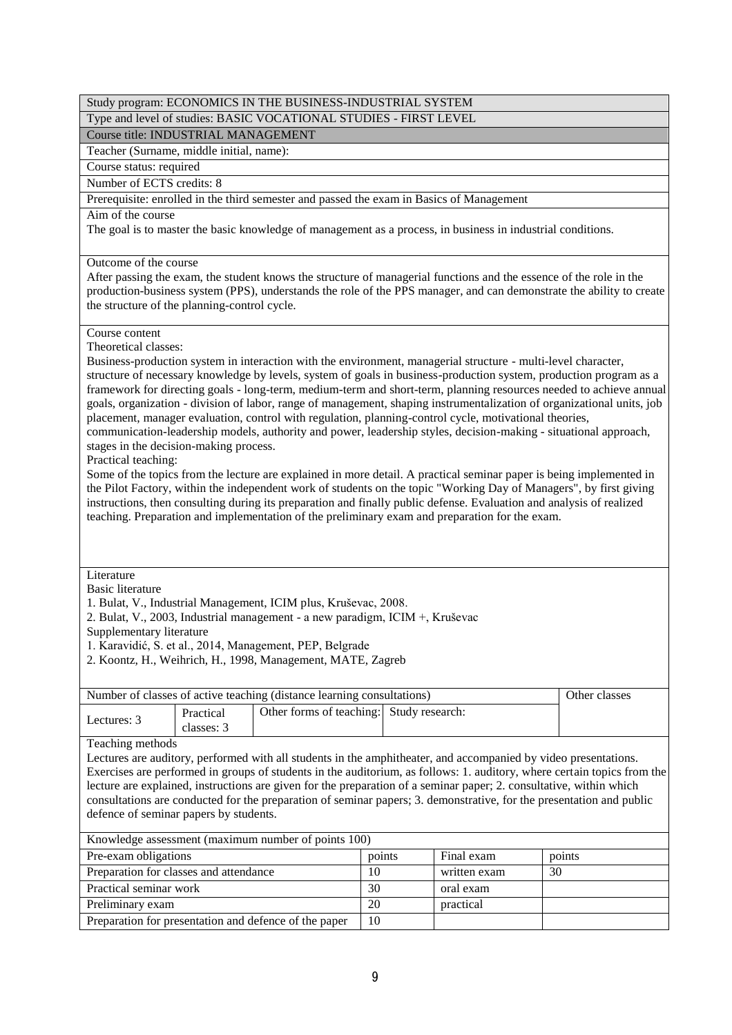|                                                                                                                                                                                                                                                                                                                                                                                                                                                                                                                                                         |                                                                                                                                                                                                                                                                                                                                                                                                                                                                                                                                                                                                                                                                                                                                                                                                                                                                                                                                                                                                                                                                                                                                                                                                                                                                                                     | Study program: ECONOMICS IN THE BUSINESS-INDUSTRIAL SYSTEM                                                                                                                                                                                                                 |                 |              |               |  |  |
|---------------------------------------------------------------------------------------------------------------------------------------------------------------------------------------------------------------------------------------------------------------------------------------------------------------------------------------------------------------------------------------------------------------------------------------------------------------------------------------------------------------------------------------------------------|-----------------------------------------------------------------------------------------------------------------------------------------------------------------------------------------------------------------------------------------------------------------------------------------------------------------------------------------------------------------------------------------------------------------------------------------------------------------------------------------------------------------------------------------------------------------------------------------------------------------------------------------------------------------------------------------------------------------------------------------------------------------------------------------------------------------------------------------------------------------------------------------------------------------------------------------------------------------------------------------------------------------------------------------------------------------------------------------------------------------------------------------------------------------------------------------------------------------------------------------------------------------------------------------------------|----------------------------------------------------------------------------------------------------------------------------------------------------------------------------------------------------------------------------------------------------------------------------|-----------------|--------------|---------------|--|--|
|                                                                                                                                                                                                                                                                                                                                                                                                                                                                                                                                                         |                                                                                                                                                                                                                                                                                                                                                                                                                                                                                                                                                                                                                                                                                                                                                                                                                                                                                                                                                                                                                                                                                                                                                                                                                                                                                                     | Type and level of studies: BASIC VOCATIONAL STUDIES - FIRST LEVEL                                                                                                                                                                                                          |                 |              |               |  |  |
| Course title: INDUSTRIAL MANAGEMENT                                                                                                                                                                                                                                                                                                                                                                                                                                                                                                                     |                                                                                                                                                                                                                                                                                                                                                                                                                                                                                                                                                                                                                                                                                                                                                                                                                                                                                                                                                                                                                                                                                                                                                                                                                                                                                                     |                                                                                                                                                                                                                                                                            |                 |              |               |  |  |
| Teacher (Surname, middle initial, name):                                                                                                                                                                                                                                                                                                                                                                                                                                                                                                                |                                                                                                                                                                                                                                                                                                                                                                                                                                                                                                                                                                                                                                                                                                                                                                                                                                                                                                                                                                                                                                                                                                                                                                                                                                                                                                     |                                                                                                                                                                                                                                                                            |                 |              |               |  |  |
| Course status: required                                                                                                                                                                                                                                                                                                                                                                                                                                                                                                                                 |                                                                                                                                                                                                                                                                                                                                                                                                                                                                                                                                                                                                                                                                                                                                                                                                                                                                                                                                                                                                                                                                                                                                                                                                                                                                                                     |                                                                                                                                                                                                                                                                            |                 |              |               |  |  |
| Number of ECTS credits: 8                                                                                                                                                                                                                                                                                                                                                                                                                                                                                                                               |                                                                                                                                                                                                                                                                                                                                                                                                                                                                                                                                                                                                                                                                                                                                                                                                                                                                                                                                                                                                                                                                                                                                                                                                                                                                                                     |                                                                                                                                                                                                                                                                            |                 |              |               |  |  |
|                                                                                                                                                                                                                                                                                                                                                                                                                                                                                                                                                         |                                                                                                                                                                                                                                                                                                                                                                                                                                                                                                                                                                                                                                                                                                                                                                                                                                                                                                                                                                                                                                                                                                                                                                                                                                                                                                     | Prerequisite: enrolled in the third semester and passed the exam in Basics of Management                                                                                                                                                                                   |                 |              |               |  |  |
|                                                                                                                                                                                                                                                                                                                                                                                                                                                                                                                                                         | Aim of the course<br>The goal is to master the basic knowledge of management as a process, in business in industrial conditions.                                                                                                                                                                                                                                                                                                                                                                                                                                                                                                                                                                                                                                                                                                                                                                                                                                                                                                                                                                                                                                                                                                                                                                    |                                                                                                                                                                                                                                                                            |                 |              |               |  |  |
|                                                                                                                                                                                                                                                                                                                                                                                                                                                                                                                                                         | Outcome of the course<br>After passing the exam, the student knows the structure of managerial functions and the essence of the role in the<br>production-business system (PPS), understands the role of the PPS manager, and can demonstrate the ability to create<br>the structure of the planning-control cycle.                                                                                                                                                                                                                                                                                                                                                                                                                                                                                                                                                                                                                                                                                                                                                                                                                                                                                                                                                                                 |                                                                                                                                                                                                                                                                            |                 |              |               |  |  |
|                                                                                                                                                                                                                                                                                                                                                                                                                                                                                                                                                         | Course content<br>Theoretical classes:<br>Business-production system in interaction with the environment, managerial structure - multi-level character,<br>structure of necessary knowledge by levels, system of goals in business-production system, production program as a<br>framework for directing goals - long-term, medium-term and short-term, planning resources needed to achieve annual<br>goals, organization - division of labor, range of management, shaping instrumentalization of organizational units, job<br>placement, manager evaluation, control with regulation, planning-control cycle, motivational theories,<br>communication-leadership models, authority and power, leadership styles, decision-making - situational approach,<br>stages in the decision-making process.<br>Practical teaching:<br>Some of the topics from the lecture are explained in more detail. A practical seminar paper is being implemented in<br>the Pilot Factory, within the independent work of students on the topic "Working Day of Managers", by first giving<br>instructions, then consulting during its preparation and finally public defense. Evaluation and analysis of realized<br>teaching. Preparation and implementation of the preliminary exam and preparation for the exam. |                                                                                                                                                                                                                                                                            |                 |              |               |  |  |
| Literature<br><b>Basic literature</b><br>Supplementary literature                                                                                                                                                                                                                                                                                                                                                                                                                                                                                       |                                                                                                                                                                                                                                                                                                                                                                                                                                                                                                                                                                                                                                                                                                                                                                                                                                                                                                                                                                                                                                                                                                                                                                                                                                                                                                     | 1. Bulat, V., Industrial Management, ICIM plus, Kruševac, 2008.<br>2. Bulat, V., 2003, Industrial management - a new paradigm, ICIM +, Kruševac<br>1. Karavidić, S. et al., 2014, Management, PEP, Belgrade<br>2. Koontz, H., Weihrich, H., 1998, Management, MATE, Zagreb |                 |              |               |  |  |
|                                                                                                                                                                                                                                                                                                                                                                                                                                                                                                                                                         |                                                                                                                                                                                                                                                                                                                                                                                                                                                                                                                                                                                                                                                                                                                                                                                                                                                                                                                                                                                                                                                                                                                                                                                                                                                                                                     | Number of classes of active teaching (distance learning consultations)                                                                                                                                                                                                     |                 |              | Other classes |  |  |
| Lectures: 3                                                                                                                                                                                                                                                                                                                                                                                                                                                                                                                                             | Practical<br>classes: 3                                                                                                                                                                                                                                                                                                                                                                                                                                                                                                                                                                                                                                                                                                                                                                                                                                                                                                                                                                                                                                                                                                                                                                                                                                                                             | Other forms of teaching:                                                                                                                                                                                                                                                   | Study research: |              |               |  |  |
| Teaching methods<br>Lectures are auditory, performed with all students in the amphitheater, and accompanied by video presentations.<br>Exercises are performed in groups of students in the auditorium, as follows: 1. auditory, where certain topics from the<br>lecture are explained, instructions are given for the preparation of a seminar paper; 2. consultative, within which<br>consultations are conducted for the preparation of seminar papers; 3. demonstrative, for the presentation and public<br>defence of seminar papers by students. |                                                                                                                                                                                                                                                                                                                                                                                                                                                                                                                                                                                                                                                                                                                                                                                                                                                                                                                                                                                                                                                                                                                                                                                                                                                                                                     |                                                                                                                                                                                                                                                                            |                 |              |               |  |  |
|                                                                                                                                                                                                                                                                                                                                                                                                                                                                                                                                                         | Knowledge assessment (maximum number of points 100)<br>Pre-exam obligations<br>points<br>Final exam<br>points                                                                                                                                                                                                                                                                                                                                                                                                                                                                                                                                                                                                                                                                                                                                                                                                                                                                                                                                                                                                                                                                                                                                                                                       |                                                                                                                                                                                                                                                                            |                 |              |               |  |  |
| Preparation for classes and attendance                                                                                                                                                                                                                                                                                                                                                                                                                                                                                                                  |                                                                                                                                                                                                                                                                                                                                                                                                                                                                                                                                                                                                                                                                                                                                                                                                                                                                                                                                                                                                                                                                                                                                                                                                                                                                                                     |                                                                                                                                                                                                                                                                            | 10              | written exam | 30            |  |  |
| Practical seminar work                                                                                                                                                                                                                                                                                                                                                                                                                                                                                                                                  |                                                                                                                                                                                                                                                                                                                                                                                                                                                                                                                                                                                                                                                                                                                                                                                                                                                                                                                                                                                                                                                                                                                                                                                                                                                                                                     |                                                                                                                                                                                                                                                                            | 30              | oral exam    |               |  |  |
| Preliminary exam                                                                                                                                                                                                                                                                                                                                                                                                                                                                                                                                        |                                                                                                                                                                                                                                                                                                                                                                                                                                                                                                                                                                                                                                                                                                                                                                                                                                                                                                                                                                                                                                                                                                                                                                                                                                                                                                     |                                                                                                                                                                                                                                                                            | 20              | practical    |               |  |  |
|                                                                                                                                                                                                                                                                                                                                                                                                                                                                                                                                                         |                                                                                                                                                                                                                                                                                                                                                                                                                                                                                                                                                                                                                                                                                                                                                                                                                                                                                                                                                                                                                                                                                                                                                                                                                                                                                                     |                                                                                                                                                                                                                                                                            |                 |              |               |  |  |
|                                                                                                                                                                                                                                                                                                                                                                                                                                                                                                                                                         |                                                                                                                                                                                                                                                                                                                                                                                                                                                                                                                                                                                                                                                                                                                                                                                                                                                                                                                                                                                                                                                                                                                                                                                                                                                                                                     | Preparation for presentation and defence of the paper                                                                                                                                                                                                                      | 10              |              |               |  |  |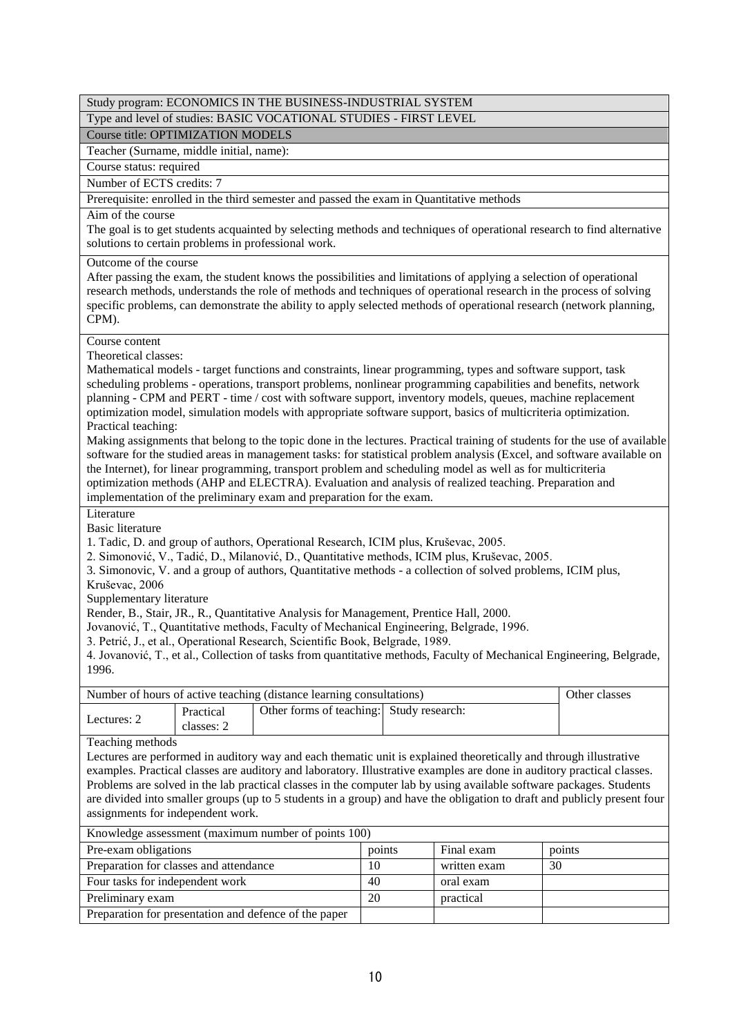|                                                                                                                                                                                                                                                                                                                                                                                                                                                                                                                                                         |                                                                                                                                                                                                                                                                                                                                                                                                                                                                                                                                                                                                                                                                                                                                                                                                                                                                                                                                                                                                                                                                                                                                                                                                                                                                                                                                                                                                                                                                                                                                                                                                                                                                             | Study program: ECONOMICS IN THE BUSINESS-INDUSTRIAL SYSTEM                               |        |              |               |  |  |
|---------------------------------------------------------------------------------------------------------------------------------------------------------------------------------------------------------------------------------------------------------------------------------------------------------------------------------------------------------------------------------------------------------------------------------------------------------------------------------------------------------------------------------------------------------|-----------------------------------------------------------------------------------------------------------------------------------------------------------------------------------------------------------------------------------------------------------------------------------------------------------------------------------------------------------------------------------------------------------------------------------------------------------------------------------------------------------------------------------------------------------------------------------------------------------------------------------------------------------------------------------------------------------------------------------------------------------------------------------------------------------------------------------------------------------------------------------------------------------------------------------------------------------------------------------------------------------------------------------------------------------------------------------------------------------------------------------------------------------------------------------------------------------------------------------------------------------------------------------------------------------------------------------------------------------------------------------------------------------------------------------------------------------------------------------------------------------------------------------------------------------------------------------------------------------------------------------------------------------------------------|------------------------------------------------------------------------------------------|--------|--------------|---------------|--|--|
|                                                                                                                                                                                                                                                                                                                                                                                                                                                                                                                                                         |                                                                                                                                                                                                                                                                                                                                                                                                                                                                                                                                                                                                                                                                                                                                                                                                                                                                                                                                                                                                                                                                                                                                                                                                                                                                                                                                                                                                                                                                                                                                                                                                                                                                             | Type and level of studies: BASIC VOCATIONAL STUDIES - FIRST LEVEL                        |        |              |               |  |  |
| Course title: OPTIMIZATION MODELS                                                                                                                                                                                                                                                                                                                                                                                                                                                                                                                       |                                                                                                                                                                                                                                                                                                                                                                                                                                                                                                                                                                                                                                                                                                                                                                                                                                                                                                                                                                                                                                                                                                                                                                                                                                                                                                                                                                                                                                                                                                                                                                                                                                                                             |                                                                                          |        |              |               |  |  |
| Teacher (Surname, middle initial, name):                                                                                                                                                                                                                                                                                                                                                                                                                                                                                                                |                                                                                                                                                                                                                                                                                                                                                                                                                                                                                                                                                                                                                                                                                                                                                                                                                                                                                                                                                                                                                                                                                                                                                                                                                                                                                                                                                                                                                                                                                                                                                                                                                                                                             |                                                                                          |        |              |               |  |  |
| Course status: required                                                                                                                                                                                                                                                                                                                                                                                                                                                                                                                                 |                                                                                                                                                                                                                                                                                                                                                                                                                                                                                                                                                                                                                                                                                                                                                                                                                                                                                                                                                                                                                                                                                                                                                                                                                                                                                                                                                                                                                                                                                                                                                                                                                                                                             |                                                                                          |        |              |               |  |  |
| Number of ECTS credits: 7                                                                                                                                                                                                                                                                                                                                                                                                                                                                                                                               |                                                                                                                                                                                                                                                                                                                                                                                                                                                                                                                                                                                                                                                                                                                                                                                                                                                                                                                                                                                                                                                                                                                                                                                                                                                                                                                                                                                                                                                                                                                                                                                                                                                                             |                                                                                          |        |              |               |  |  |
|                                                                                                                                                                                                                                                                                                                                                                                                                                                                                                                                                         |                                                                                                                                                                                                                                                                                                                                                                                                                                                                                                                                                                                                                                                                                                                                                                                                                                                                                                                                                                                                                                                                                                                                                                                                                                                                                                                                                                                                                                                                                                                                                                                                                                                                             | Prerequisite: enrolled in the third semester and passed the exam in Quantitative methods |        |              |               |  |  |
|                                                                                                                                                                                                                                                                                                                                                                                                                                                                                                                                                         | Aim of the course<br>The goal is to get students acquainted by selecting methods and techniques of operational research to find alternative<br>solutions to certain problems in professional work.                                                                                                                                                                                                                                                                                                                                                                                                                                                                                                                                                                                                                                                                                                                                                                                                                                                                                                                                                                                                                                                                                                                                                                                                                                                                                                                                                                                                                                                                          |                                                                                          |        |              |               |  |  |
| CPM).                                                                                                                                                                                                                                                                                                                                                                                                                                                                                                                                                   | Outcome of the course<br>After passing the exam, the student knows the possibilities and limitations of applying a selection of operational<br>research methods, understands the role of methods and techniques of operational research in the process of solving<br>specific problems, can demonstrate the ability to apply selected methods of operational research (network planning,                                                                                                                                                                                                                                                                                                                                                                                                                                                                                                                                                                                                                                                                                                                                                                                                                                                                                                                                                                                                                                                                                                                                                                                                                                                                                    |                                                                                          |        |              |               |  |  |
| Course content<br>Literature<br><b>Basic literature</b><br>Kruševac, 2006<br>4. Jovanović, T., et al., Collection of tasks from quantitative methods, Faculty of Mechanical Engineering, Belgrade,                                                                                                                                                                                                                                                                                                                                                      | Theoretical classes:<br>Mathematical models - target functions and constraints, linear programming, types and software support, task<br>scheduling problems - operations, transport problems, nonlinear programming capabilities and benefits, network<br>planning - CPM and PERT - time / cost with software support, inventory models, queues, machine replacement<br>optimization model, simulation models with appropriate software support, basics of multicriteria optimization.<br>Practical teaching:<br>Making assignments that belong to the topic done in the lectures. Practical training of students for the use of available<br>software for the studied areas in management tasks: for statistical problem analysis (Excel, and software available on<br>the Internet), for linear programming, transport problem and scheduling model as well as for multicriteria<br>optimization methods (AHP and ELECTRA). Evaluation and analysis of realized teaching. Preparation and<br>implementation of the preliminary exam and preparation for the exam.<br>1. Tadic, D. and group of authors, Operational Research, ICIM plus, Kruševac, 2005.<br>2. Simonović, V., Tadić, D., Milanović, D., Quantitative methods, ICIM plus, Kruševac, 2005.<br>3. Simonovic, V. and a group of authors, Quantitative methods - a collection of solved problems, ICIM plus,<br>Supplementary literature<br>Render, B., Stair, JR., R., Quantitative Analysis for Management, Prentice Hall, 2000.<br>Jovanović, T., Quantitative methods, Faculty of Mechanical Engineering, Belgrade, 1996.<br>3. Petrić, J., et al., Operational Research, Scientific Book, Belgrade, 1989. |                                                                                          |        |              |               |  |  |
| 1996.                                                                                                                                                                                                                                                                                                                                                                                                                                                                                                                                                   |                                                                                                                                                                                                                                                                                                                                                                                                                                                                                                                                                                                                                                                                                                                                                                                                                                                                                                                                                                                                                                                                                                                                                                                                                                                                                                                                                                                                                                                                                                                                                                                                                                                                             |                                                                                          |        |              |               |  |  |
|                                                                                                                                                                                                                                                                                                                                                                                                                                                                                                                                                         |                                                                                                                                                                                                                                                                                                                                                                                                                                                                                                                                                                                                                                                                                                                                                                                                                                                                                                                                                                                                                                                                                                                                                                                                                                                                                                                                                                                                                                                                                                                                                                                                                                                                             | Number of hours of active teaching (distance learning consultations)                     |        |              | Other classes |  |  |
| Lectures: 2                                                                                                                                                                                                                                                                                                                                                                                                                                                                                                                                             | Practical<br>classes: 2                                                                                                                                                                                                                                                                                                                                                                                                                                                                                                                                                                                                                                                                                                                                                                                                                                                                                                                                                                                                                                                                                                                                                                                                                                                                                                                                                                                                                                                                                                                                                                                                                                                     | Other forms of teaching: Study research:                                                 |        |              |               |  |  |
| Teaching methods<br>Lectures are performed in auditory way and each thematic unit is explained theoretically and through illustrative<br>examples. Practical classes are auditory and laboratory. Illustrative examples are done in auditory practical classes.<br>Problems are solved in the lab practical classes in the computer lab by using available software packages. Students<br>are divided into smaller groups (up to 5 students in a group) and have the obligation to draft and publicly present four<br>assignments for independent work. |                                                                                                                                                                                                                                                                                                                                                                                                                                                                                                                                                                                                                                                                                                                                                                                                                                                                                                                                                                                                                                                                                                                                                                                                                                                                                                                                                                                                                                                                                                                                                                                                                                                                             |                                                                                          |        |              |               |  |  |
| Knowledge assessment (maximum number of points 100)                                                                                                                                                                                                                                                                                                                                                                                                                                                                                                     |                                                                                                                                                                                                                                                                                                                                                                                                                                                                                                                                                                                                                                                                                                                                                                                                                                                                                                                                                                                                                                                                                                                                                                                                                                                                                                                                                                                                                                                                                                                                                                                                                                                                             |                                                                                          |        |              |               |  |  |
| Pre-exam obligations                                                                                                                                                                                                                                                                                                                                                                                                                                                                                                                                    |                                                                                                                                                                                                                                                                                                                                                                                                                                                                                                                                                                                                                                                                                                                                                                                                                                                                                                                                                                                                                                                                                                                                                                                                                                                                                                                                                                                                                                                                                                                                                                                                                                                                             |                                                                                          | points | Final exam   | points        |  |  |
| Preparation for classes and attendance                                                                                                                                                                                                                                                                                                                                                                                                                                                                                                                  |                                                                                                                                                                                                                                                                                                                                                                                                                                                                                                                                                                                                                                                                                                                                                                                                                                                                                                                                                                                                                                                                                                                                                                                                                                                                                                                                                                                                                                                                                                                                                                                                                                                                             |                                                                                          | 10     | written exam | 30            |  |  |
| Four tasks for independent work                                                                                                                                                                                                                                                                                                                                                                                                                                                                                                                         |                                                                                                                                                                                                                                                                                                                                                                                                                                                                                                                                                                                                                                                                                                                                                                                                                                                                                                                                                                                                                                                                                                                                                                                                                                                                                                                                                                                                                                                                                                                                                                                                                                                                             |                                                                                          | 40     | oral exam    |               |  |  |
| Preliminary exam                                                                                                                                                                                                                                                                                                                                                                                                                                                                                                                                        |                                                                                                                                                                                                                                                                                                                                                                                                                                                                                                                                                                                                                                                                                                                                                                                                                                                                                                                                                                                                                                                                                                                                                                                                                                                                                                                                                                                                                                                                                                                                                                                                                                                                             |                                                                                          | 20     | practical    |               |  |  |

10

Preparation for presentation and defence of the paper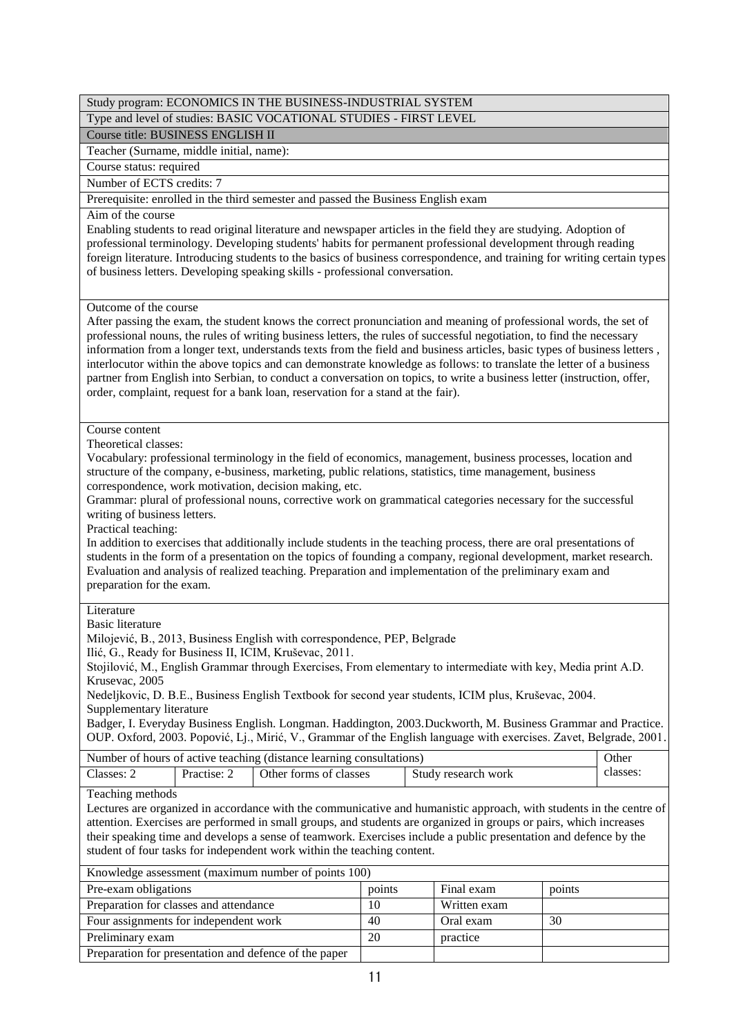# Type and level of studies: BASIC VOCATIONAL STUDIES - FIRST LEVEL

Course title: BUSINESS ENGLISH II

Teacher (Surname, middle initial, name):

Course status: required

Number of ECTS credits: 7

Prerequisite: enrolled in the third semester and passed the Business English exam

# Aim of the course

Enabling students to read original literature and newspaper articles in the field they are studying. Adoption of professional terminology. Developing students' habits for permanent professional development through reading foreign literature. Introducing students to the basics of business correspondence, and training for writing certain types of business letters. Developing speaking skills - professional conversation.

### Outcome of the course

After passing the exam, the student knows the correct pronunciation and meaning of professional words, the set of professional nouns, the rules of writing business letters, the rules of successful negotiation, to find the necessary information from a longer text, understands texts from the field and business articles, basic types of business letters , interlocutor within the above topics and can demonstrate knowledge as follows: to translate the letter of a business partner from English into Serbian, to conduct a conversation on topics, to write a business letter (instruction, offer, order, complaint, request for a bank loan, reservation for a stand at the fair).

### Course content

Theoretical classes:

Vocabulary: professional terminology in the field of economics, management, business processes, location and structure of the company, e-business, marketing, public relations, statistics, time management, business correspondence, work motivation, decision making, etc.

Grammar: plural of professional nouns, corrective work on grammatical categories necessary for the successful writing of business letters.

Practical teaching:

In addition to exercises that additionally include students in the teaching process, there are oral presentations of students in the form of a presentation on the topics of founding a company, regional development, market research. Evaluation and analysis of realized teaching. Preparation and implementation of the preliminary exam and preparation for the exam.

### Literature

Basic literature

Milojević, B., 2013, Business English with correspondence, PEP, Belgrade

Ilić, G., Ready for Business II, ICIM, Kruševac, 2011.

Stojilović, M., English Grammar through Exercises, From elementary to intermediate with key, Media print A.D. Krusevac, 2005

Nedeljkovic, D. B.E., Business English Textbook for second year students, ICIM plus, Kruševac, 2004. Supplementary literature

Badger, I. Everyday Business English. Longman. Haddington, 2003.Duckworth, M. Business Grammar and Practice. OUP. Oxford, 2003. Popović, Lj., Mirić, V., Grammar of the English language with exercises. Zavet, Belgrade, 2001.

| Number of hours of active teaching (distance learning consultations) |             |                        |                     | Other   |  |
|----------------------------------------------------------------------|-------------|------------------------|---------------------|---------|--|
| Classes:                                                             | Practise: 2 | Other forms of classes | Study research work | classes |  |
| $\sim$                                                               |             |                        |                     |         |  |

### Teaching methods

Lectures are organized in accordance with the communicative and humanistic approach, with students in the centre of attention. Exercises are performed in small groups, and students are organized in groups or pairs, which increases their speaking time and develops a sense of teamwork. Exercises include a public presentation and defence by the student of four tasks for independent work within the teaching content.

| Knowledge assessment (maximum number of points 100)   |        |              |        |  |  |  |
|-------------------------------------------------------|--------|--------------|--------|--|--|--|
| Pre-exam obligations                                  | points | Final exam   | points |  |  |  |
| Preparation for classes and attendance                | 10     | Written exam |        |  |  |  |
| Four assignments for independent work                 | 40     | Oral exam    | 30     |  |  |  |
| Preliminary exam                                      | 20     | practice     |        |  |  |  |
| Preparation for presentation and defence of the paper |        |              |        |  |  |  |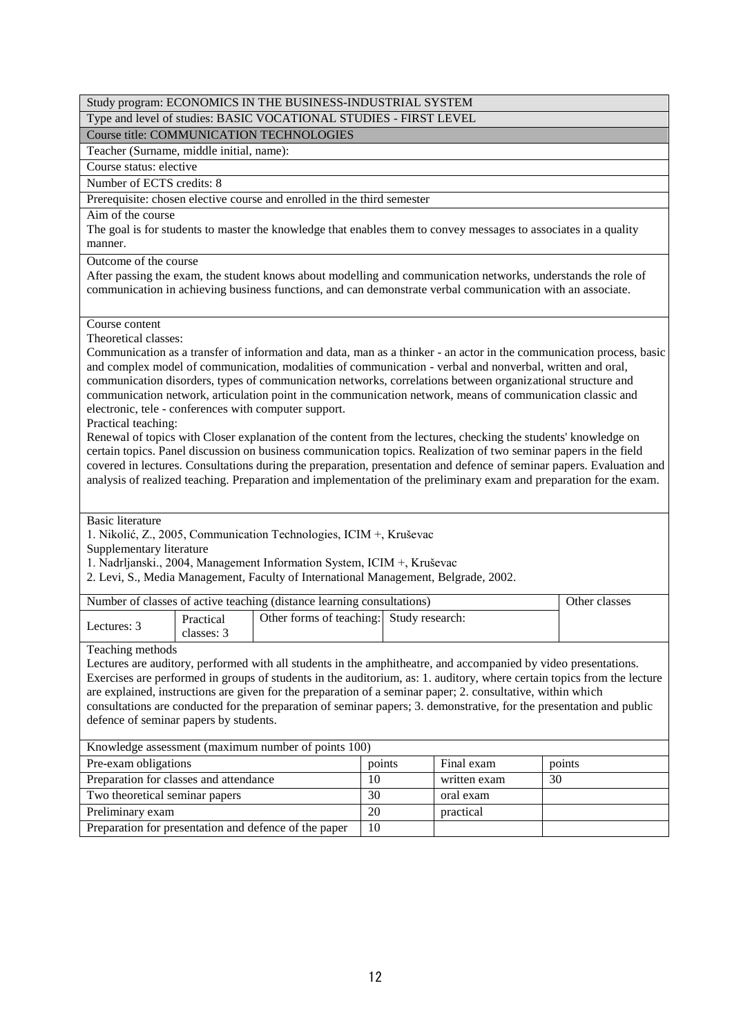|                                                               |                         | Study program: ECONOMICS IN THE BUSINESS-INDUSTRIAL SYSTEM                                                                                                                                                                                                                                                                                                                                                                                                                                                                                                                                                                                                                                                                                                                                                                                                                              |    |        |              |    |                                                                                                                      |
|---------------------------------------------------------------|-------------------------|-----------------------------------------------------------------------------------------------------------------------------------------------------------------------------------------------------------------------------------------------------------------------------------------------------------------------------------------------------------------------------------------------------------------------------------------------------------------------------------------------------------------------------------------------------------------------------------------------------------------------------------------------------------------------------------------------------------------------------------------------------------------------------------------------------------------------------------------------------------------------------------------|----|--------|--------------|----|----------------------------------------------------------------------------------------------------------------------|
|                                                               |                         | Type and level of studies: BASIC VOCATIONAL STUDIES - FIRST LEVEL                                                                                                                                                                                                                                                                                                                                                                                                                                                                                                                                                                                                                                                                                                                                                                                                                       |    |        |              |    |                                                                                                                      |
|                                                               |                         | Course title: COMMUNICATION TECHNOLOGIES                                                                                                                                                                                                                                                                                                                                                                                                                                                                                                                                                                                                                                                                                                                                                                                                                                                |    |        |              |    |                                                                                                                      |
| Teacher (Surname, middle initial, name):                      |                         |                                                                                                                                                                                                                                                                                                                                                                                                                                                                                                                                                                                                                                                                                                                                                                                                                                                                                         |    |        |              |    |                                                                                                                      |
| Course status: elective                                       |                         |                                                                                                                                                                                                                                                                                                                                                                                                                                                                                                                                                                                                                                                                                                                                                                                                                                                                                         |    |        |              |    |                                                                                                                      |
| Number of ECTS credits: 8                                     |                         |                                                                                                                                                                                                                                                                                                                                                                                                                                                                                                                                                                                                                                                                                                                                                                                                                                                                                         |    |        |              |    |                                                                                                                      |
|                                                               |                         | Prerequisite: chosen elective course and enrolled in the third semester                                                                                                                                                                                                                                                                                                                                                                                                                                                                                                                                                                                                                                                                                                                                                                                                                 |    |        |              |    |                                                                                                                      |
| Aim of the course<br>manner.                                  |                         | The goal is for students to master the knowledge that enables them to convey messages to associates in a quality                                                                                                                                                                                                                                                                                                                                                                                                                                                                                                                                                                                                                                                                                                                                                                        |    |        |              |    |                                                                                                                      |
| Outcome of the course                                         |                         | After passing the exam, the student knows about modelling and communication networks, understands the role of<br>communication in achieving business functions, and can demonstrate verbal communication with an associate.                                                                                                                                                                                                                                                                                                                                                                                                                                                                                                                                                                                                                                                             |    |        |              |    |                                                                                                                      |
| Course content<br>Theoretical classes:<br>Practical teaching: |                         | and complex model of communication, modalities of communication - verbal and nonverbal, written and oral,<br>communication disorders, types of communication networks, correlations between organizational structure and<br>communication network, articulation point in the communication network, means of communication classic and<br>electronic, tele - conferences with computer support.<br>Renewal of topics with Closer explanation of the content from the lectures, checking the students' knowledge on<br>certain topics. Panel discussion on business communication topics. Realization of two seminar papers in the field<br>covered in lectures. Consultations during the preparation, presentation and defence of seminar papers. Evaluation and<br>analysis of realized teaching. Preparation and implementation of the preliminary exam and preparation for the exam. |    |        |              |    | Communication as a transfer of information and data, man as a thinker - an actor in the communication process, basic |
| <b>Basic literature</b><br>Supplementary literature           |                         | 1. Nikolić, Z., 2005, Communication Technologies, ICIM +, Kruševac<br>1. Nadrljanski., 2004, Management Information System, ICIM +, Kruševac<br>2. Levi, S., Media Management, Faculty of International Management, Belgrade, 2002.                                                                                                                                                                                                                                                                                                                                                                                                                                                                                                                                                                                                                                                     |    |        |              |    |                                                                                                                      |
|                                                               |                         | Number of classes of active teaching (distance learning consultations)                                                                                                                                                                                                                                                                                                                                                                                                                                                                                                                                                                                                                                                                                                                                                                                                                  |    |        |              |    | Other classes                                                                                                        |
| Lectures: 3                                                   | Practical<br>classes: 3 | Other forms of teaching: Study research:                                                                                                                                                                                                                                                                                                                                                                                                                                                                                                                                                                                                                                                                                                                                                                                                                                                |    |        |              |    |                                                                                                                      |
| Teaching methods<br>defence of seminar papers by students.    |                         | Lectures are auditory, performed with all students in the amphitheatre, and accompanied by video presentations.<br>Exercises are performed in groups of students in the auditorium, as: 1. auditory, where certain topics from the lecture<br>are explained, instructions are given for the preparation of a seminar paper; 2. consultative, within which<br>consultations are conducted for the preparation of seminar papers; 3. demonstrative, for the presentation and public                                                                                                                                                                                                                                                                                                                                                                                                       |    |        |              |    |                                                                                                                      |
|                                                               |                         | Knowledge assessment (maximum number of points 100)                                                                                                                                                                                                                                                                                                                                                                                                                                                                                                                                                                                                                                                                                                                                                                                                                                     |    |        |              |    |                                                                                                                      |
| Pre-exam obligations                                          |                         |                                                                                                                                                                                                                                                                                                                                                                                                                                                                                                                                                                                                                                                                                                                                                                                                                                                                                         |    | points | Final exam   |    | points                                                                                                               |
| Preparation for classes and attendance                        |                         |                                                                                                                                                                                                                                                                                                                                                                                                                                                                                                                                                                                                                                                                                                                                                                                                                                                                                         | 10 |        | written exam | 30 |                                                                                                                      |
| Two theoretical seminar papers                                |                         |                                                                                                                                                                                                                                                                                                                                                                                                                                                                                                                                                                                                                                                                                                                                                                                                                                                                                         | 30 |        | oral exam    |    |                                                                                                                      |
| Preliminary exam                                              |                         |                                                                                                                                                                                                                                                                                                                                                                                                                                                                                                                                                                                                                                                                                                                                                                                                                                                                                         | 20 |        | practical    |    |                                                                                                                      |
|                                                               |                         | Preparation for presentation and defence of the paper                                                                                                                                                                                                                                                                                                                                                                                                                                                                                                                                                                                                                                                                                                                                                                                                                                   | 10 |        |              |    |                                                                                                                      |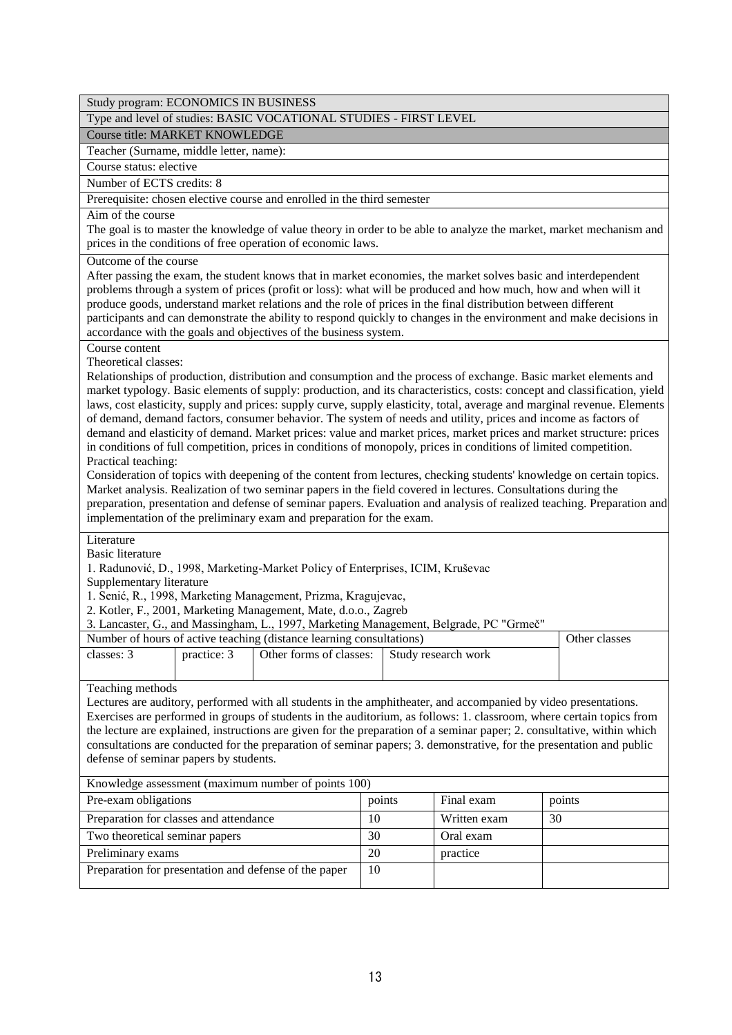Study program: ECONOMICS IN BUSINESS

### Type and level of studies: BASIC VOCATIONAL STUDIES - FIRST LEVEL

Course title: MARKET KNOWLEDGE

Teacher (Surname, middle letter, name):

Course status: elective

Number of ECTS credits: 8

Prerequisite: chosen elective course and enrolled in the third semester

Aim of the course

The goal is to master the knowledge of value theory in order to be able to analyze the market, market mechanism and prices in the conditions of free operation of economic laws.

Outcome of the course

After passing the exam, the student knows that in market economies, the market solves basic and interdependent problems through a system of prices (profit or loss): what will be produced and how much, how and when will it produce goods, understand market relations and the role of prices in the final distribution between different participants and can demonstrate the ability to respond quickly to changes in the environment and make decisions in accordance with the goals and objectives of the business system.

Course content

Theoretical classes:

Relationships of production, distribution and consumption and the process of exchange. Basic market elements and market typology. Basic elements of supply: production, and its characteristics, costs: concept and classification, yield laws, cost elasticity, supply and prices: supply curve, supply elasticity, total, average and marginal revenue. Elements of demand, demand factors, consumer behavior. The system of needs and utility, prices and income as factors of demand and elasticity of demand. Market prices: value and market prices, market prices and market structure: prices in conditions of full competition, prices in conditions of monopoly, prices in conditions of limited competition. Practical teaching:

Consideration of topics with deepening of the content from lectures, checking students' knowledge on certain topics. Market analysis. Realization of two seminar papers in the field covered in lectures. Consultations during the preparation, presentation and defense of seminar papers. Evaluation and analysis of realized teaching. Preparation and implementation of the preliminary exam and preparation for the exam.

Literature

Basic literature

1. Radunović, D., 1998, Marketing-Market Policy of Enterprises, ICIM, Kruševac

Supplementary literature

1. Senić, R., 1998, Marketing Management, Prizma, Kragujevac,

2. Kotler, F., 2001, Marketing Management, Mate, d.o.o., Zagreb

3. Lancaster, G., and Massingham, L., 1997, Marketing Management, Belgrade, PC "Grmeč"

| Number of hours of active teaching (distance learning consultations) | Other classes |                                             |  |  |
|----------------------------------------------------------------------|---------------|---------------------------------------------|--|--|
| classes: 3                                                           | practice: 3   | Other forms of classes: Study research work |  |  |
|                                                                      |               |                                             |  |  |

Teaching methods

Lectures are auditory, performed with all students in the amphitheater, and accompanied by video presentations. Exercises are performed in groups of students in the auditorium, as follows: 1. classroom, where certain topics from the lecture are explained, instructions are given for the preparation of a seminar paper; 2. consultative, within which consultations are conducted for the preparation of seminar papers; 3. demonstrative, for the presentation and public defense of seminar papers by students.

| Knowledge assessment (maximum number of points 100)   |        |              |        |  |  |  |
|-------------------------------------------------------|--------|--------------|--------|--|--|--|
| Pre-exam obligations                                  | points | Final exam   | points |  |  |  |
| Preparation for classes and attendance                | 10     | Written exam | 30     |  |  |  |
| Two theoretical seminar papers                        | 30     | Oral exam    |        |  |  |  |
| Preliminary exams                                     | 20     | practice     |        |  |  |  |
| Preparation for presentation and defense of the paper | 10     |              |        |  |  |  |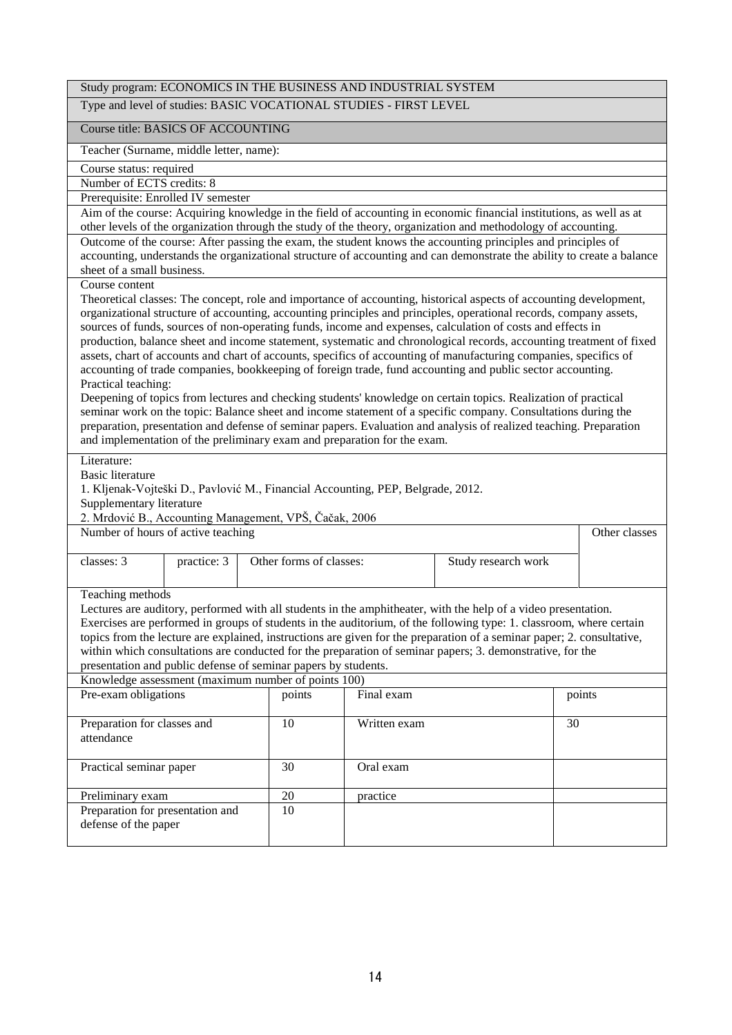|                                                        | Study program: ECONOMICS IN THE BUSINESS AND INDUSTRIAL SYSTEM                                                                                                                                                                                                                                                                                       |                                                                                 |           |                                                                                                                                                                                                                                     |               |  |  |  |
|--------------------------------------------------------|------------------------------------------------------------------------------------------------------------------------------------------------------------------------------------------------------------------------------------------------------------------------------------------------------------------------------------------------------|---------------------------------------------------------------------------------|-----------|-------------------------------------------------------------------------------------------------------------------------------------------------------------------------------------------------------------------------------------|---------------|--|--|--|
|                                                        | Type and level of studies: BASIC VOCATIONAL STUDIES - FIRST LEVEL                                                                                                                                                                                                                                                                                    |                                                                                 |           |                                                                                                                                                                                                                                     |               |  |  |  |
| Course title: BASICS OF ACCOUNTING                     |                                                                                                                                                                                                                                                                                                                                                      |                                                                                 |           |                                                                                                                                                                                                                                     |               |  |  |  |
| Teacher (Surname, middle letter, name):                |                                                                                                                                                                                                                                                                                                                                                      |                                                                                 |           |                                                                                                                                                                                                                                     |               |  |  |  |
| Course status: required                                |                                                                                                                                                                                                                                                                                                                                                      |                                                                                 |           |                                                                                                                                                                                                                                     |               |  |  |  |
| Number of ECTS credits: 8                              |                                                                                                                                                                                                                                                                                                                                                      |                                                                                 |           |                                                                                                                                                                                                                                     |               |  |  |  |
| Prerequisite: Enrolled IV semester                     |                                                                                                                                                                                                                                                                                                                                                      |                                                                                 |           |                                                                                                                                                                                                                                     |               |  |  |  |
|                                                        | Aim of the course: Acquiring knowledge in the field of accounting in economic financial institutions, as well as at<br>other levels of the organization through the study of the theory, organization and methodology of accounting.<br>Outcome of the course: After passing the exam, the student knows the accounting principles and principles of |                                                                                 |           |                                                                                                                                                                                                                                     |               |  |  |  |
| sheet of a small business.                             |                                                                                                                                                                                                                                                                                                                                                      |                                                                                 |           | accounting, understands the organizational structure of accounting and can demonstrate the ability to create a balance                                                                                                              |               |  |  |  |
| Course content                                         |                                                                                                                                                                                                                                                                                                                                                      |                                                                                 |           | Theoretical classes: The concept, role and importance of accounting, historical aspects of accounting development,                                                                                                                  |               |  |  |  |
|                                                        |                                                                                                                                                                                                                                                                                                                                                      |                                                                                 |           | organizational structure of accounting, accounting principles and principles, operational records, company assets,<br>sources of funds, sources of non-operating funds, income and expenses, calculation of costs and effects in    |               |  |  |  |
|                                                        |                                                                                                                                                                                                                                                                                                                                                      |                                                                                 |           | production, balance sheet and income statement, systematic and chronological records, accounting treatment of fixed                                                                                                                 |               |  |  |  |
|                                                        |                                                                                                                                                                                                                                                                                                                                                      |                                                                                 |           | assets, chart of accounts and chart of accounts, specifics of accounting of manufacturing companies, specifics of                                                                                                                   |               |  |  |  |
|                                                        |                                                                                                                                                                                                                                                                                                                                                      |                                                                                 |           | accounting of trade companies, bookkeeping of foreign trade, fund accounting and public sector accounting.                                                                                                                          |               |  |  |  |
| Practical teaching:                                    |                                                                                                                                                                                                                                                                                                                                                      |                                                                                 |           |                                                                                                                                                                                                                                     |               |  |  |  |
|                                                        |                                                                                                                                                                                                                                                                                                                                                      |                                                                                 |           | Deepening of topics from lectures and checking students' knowledge on certain topics. Realization of practical                                                                                                                      |               |  |  |  |
|                                                        |                                                                                                                                                                                                                                                                                                                                                      |                                                                                 |           | seminar work on the topic: Balance sheet and income statement of a specific company. Consultations during the                                                                                                                       |               |  |  |  |
|                                                        |                                                                                                                                                                                                                                                                                                                                                      | and implementation of the preliminary exam and preparation for the exam.        |           | preparation, presentation and defense of seminar papers. Evaluation and analysis of realized teaching. Preparation                                                                                                                  |               |  |  |  |
|                                                        |                                                                                                                                                                                                                                                                                                                                                      |                                                                                 |           |                                                                                                                                                                                                                                     |               |  |  |  |
| Literature:<br><b>Basic literature</b>                 |                                                                                                                                                                                                                                                                                                                                                      |                                                                                 |           |                                                                                                                                                                                                                                     |               |  |  |  |
|                                                        |                                                                                                                                                                                                                                                                                                                                                      | 1. Kljenak-Vojteški D., Pavlović M., Financial Accounting, PEP, Belgrade, 2012. |           |                                                                                                                                                                                                                                     |               |  |  |  |
| Supplementary literature                               |                                                                                                                                                                                                                                                                                                                                                      |                                                                                 |           |                                                                                                                                                                                                                                     |               |  |  |  |
|                                                        |                                                                                                                                                                                                                                                                                                                                                      | 2. Mrdović B., Accounting Management, VPŠ, Čačak, 2006                          |           |                                                                                                                                                                                                                                     |               |  |  |  |
| Number of hours of active teaching                     |                                                                                                                                                                                                                                                                                                                                                      |                                                                                 |           |                                                                                                                                                                                                                                     | Other classes |  |  |  |
|                                                        |                                                                                                                                                                                                                                                                                                                                                      |                                                                                 |           |                                                                                                                                                                                                                                     |               |  |  |  |
| classes: 3                                             | practice: 3                                                                                                                                                                                                                                                                                                                                          | Other forms of classes:                                                         |           | Study research work                                                                                                                                                                                                                 |               |  |  |  |
|                                                        |                                                                                                                                                                                                                                                                                                                                                      |                                                                                 |           |                                                                                                                                                                                                                                     |               |  |  |  |
| Teaching methods                                       |                                                                                                                                                                                                                                                                                                                                                      |                                                                                 |           |                                                                                                                                                                                                                                     |               |  |  |  |
|                                                        |                                                                                                                                                                                                                                                                                                                                                      |                                                                                 |           | Lectures are auditory, performed with all students in the amphitheater, with the help of a video presentation.                                                                                                                      |               |  |  |  |
|                                                        |                                                                                                                                                                                                                                                                                                                                                      |                                                                                 |           | Exercises are performed in groups of students in the auditorium, of the following type: 1. classroom, where certain                                                                                                                 |               |  |  |  |
|                                                        |                                                                                                                                                                                                                                                                                                                                                      |                                                                                 |           | topics from the lecture are explained, instructions are given for the preparation of a seminar paper; 2. consultative,<br>within which consultations are conducted for the preparation of seminar papers; 3. demonstrative, for the |               |  |  |  |
|                                                        |                                                                                                                                                                                                                                                                                                                                                      | presentation and public defense of seminar papers by students.                  |           |                                                                                                                                                                                                                                     |               |  |  |  |
|                                                        |                                                                                                                                                                                                                                                                                                                                                      | Knowledge assessment (maximum number of points 100)                             |           |                                                                                                                                                                                                                                     |               |  |  |  |
| Pre-exam obligations<br>Final exam<br>points<br>points |                                                                                                                                                                                                                                                                                                                                                      |                                                                                 |           |                                                                                                                                                                                                                                     |               |  |  |  |
|                                                        |                                                                                                                                                                                                                                                                                                                                                      |                                                                                 |           |                                                                                                                                                                                                                                     |               |  |  |  |
| Preparation for classes and<br>attendance              |                                                                                                                                                                                                                                                                                                                                                      | 10                                                                              | 30        |                                                                                                                                                                                                                                     |               |  |  |  |
| Practical seminar paper                                |                                                                                                                                                                                                                                                                                                                                                      | 30                                                                              | Oral exam |                                                                                                                                                                                                                                     |               |  |  |  |
| Preliminary exam                                       |                                                                                                                                                                                                                                                                                                                                                      | 20                                                                              | practice  |                                                                                                                                                                                                                                     |               |  |  |  |
| Preparation for presentation and                       |                                                                                                                                                                                                                                                                                                                                                      | 10                                                                              |           |                                                                                                                                                                                                                                     |               |  |  |  |
| defense of the paper                                   |                                                                                                                                                                                                                                                                                                                                                      |                                                                                 |           |                                                                                                                                                                                                                                     |               |  |  |  |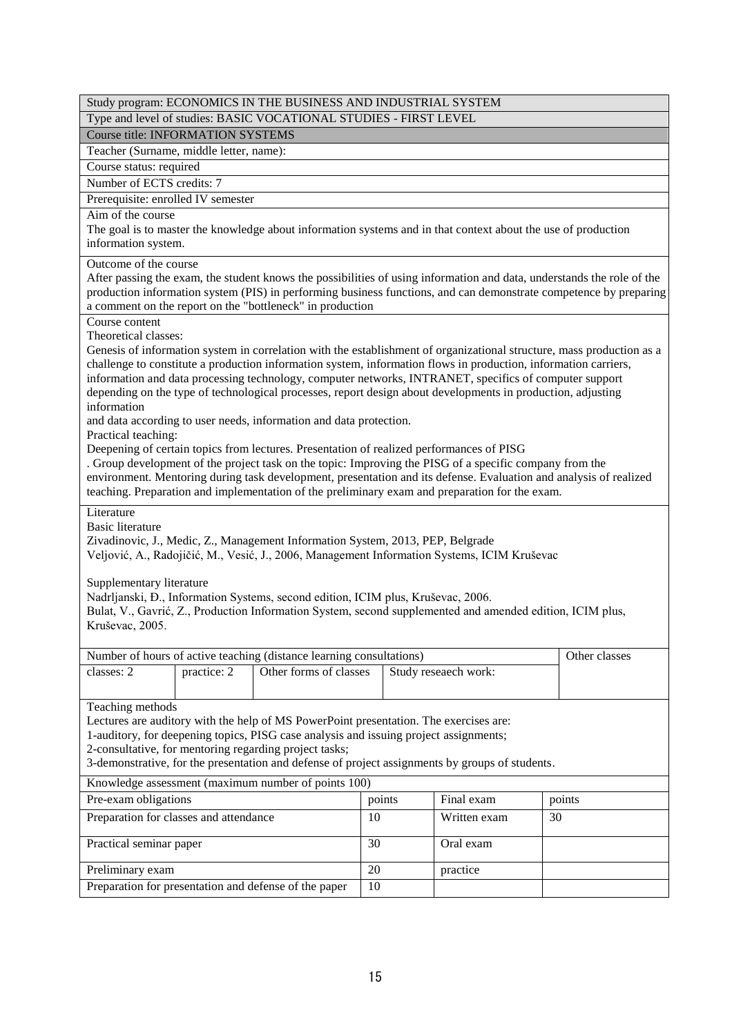| Study program: ECONOMICS IN THE BUSINESS AND INDUSTRIAL SYSTEM                                                                                                                                                                                                                                                                                                                                                                                                                                           |    |                      |               |  |  |
|----------------------------------------------------------------------------------------------------------------------------------------------------------------------------------------------------------------------------------------------------------------------------------------------------------------------------------------------------------------------------------------------------------------------------------------------------------------------------------------------------------|----|----------------------|---------------|--|--|
| Type and level of studies: BASIC VOCATIONAL STUDIES - FIRST LEVEL                                                                                                                                                                                                                                                                                                                                                                                                                                        |    |                      |               |  |  |
| <b>Course title: INFORMATION SYSTEMS</b>                                                                                                                                                                                                                                                                                                                                                                                                                                                                 |    |                      |               |  |  |
| Teacher (Surname, middle letter, name):                                                                                                                                                                                                                                                                                                                                                                                                                                                                  |    |                      |               |  |  |
| Course status: required                                                                                                                                                                                                                                                                                                                                                                                                                                                                                  |    |                      |               |  |  |
| Number of ECTS credits: 7                                                                                                                                                                                                                                                                                                                                                                                                                                                                                |    |                      |               |  |  |
| Prerequisite: enrolled IV semester                                                                                                                                                                                                                                                                                                                                                                                                                                                                       |    |                      |               |  |  |
| Aim of the course                                                                                                                                                                                                                                                                                                                                                                                                                                                                                        |    |                      |               |  |  |
| The goal is to master the knowledge about information systems and in that context about the use of production<br>information system.                                                                                                                                                                                                                                                                                                                                                                     |    |                      |               |  |  |
| Outcome of the course<br>After passing the exam, the student knows the possibilities of using information and data, understands the role of the<br>production information system (PIS) in performing business functions, and can demonstrate competence by preparing<br>a comment on the report on the "bottleneck" in production                                                                                                                                                                        |    |                      |               |  |  |
| Course content                                                                                                                                                                                                                                                                                                                                                                                                                                                                                           |    |                      |               |  |  |
| Theoretical classes:<br>Genesis of information system in correlation with the establishment of organizational structure, mass production as a<br>challenge to constitute a production information system, information flows in production, information carriers,<br>information and data processing technology, computer networks, INTRANET, specifics of computer support<br>depending on the type of technological processes, report design about developments in production, adjusting<br>information |    |                      |               |  |  |
| and data according to user needs, information and data protection.<br>Practical teaching:                                                                                                                                                                                                                                                                                                                                                                                                                |    |                      |               |  |  |
| Deepening of certain topics from lectures. Presentation of realized performances of PISG<br>. Group development of the project task on the topic: Improving the PISG of a specific company from the<br>environment. Mentoring during task development, presentation and its defense. Evaluation and analysis of realized<br>teaching. Preparation and implementation of the preliminary exam and preparation for the exam.                                                                               |    |                      |               |  |  |
| Literature<br><b>Basic literature</b><br>Zivadinovic, J., Medic, Z., Management Information System, 2013, PEP, Belgrade<br>Veljović, A., Radojičić, M., Vesić, J., 2006, Management Information Systems, ICIM Kruševac<br>Supplementary literature                                                                                                                                                                                                                                                       |    |                      |               |  |  |
| Nadrljanski, Đ., Information Systems, second edition, ICIM plus, Kruševac, 2006.<br>Bulat, V., Gavrić, Z., Production Information System, second supplemented and amended edition, ICIM plus,<br>Kruševac, 2005.                                                                                                                                                                                                                                                                                         |    |                      |               |  |  |
| Number of hours of active teaching (distance learning consultations)                                                                                                                                                                                                                                                                                                                                                                                                                                     |    |                      | Other classes |  |  |
| Other forms of classes<br>classes: 2<br>practice: 2                                                                                                                                                                                                                                                                                                                                                                                                                                                      |    | Study reseaech work: |               |  |  |
| Teaching methods<br>Lectures are auditory with the help of MS PowerPoint presentation. The exercises are:<br>1-auditory, for deepening topics, PISG case analysis and issuing project assignments;<br>2-consultative, for mentoring regarding project tasks;<br>3-demonstrative, for the presentation and defense of project assignments by groups of students.                                                                                                                                          |    |                      |               |  |  |
| Knowledge assessment (maximum number of points 100)                                                                                                                                                                                                                                                                                                                                                                                                                                                      |    |                      |               |  |  |
| Pre-exam obligations<br>Final exam<br>points<br>points                                                                                                                                                                                                                                                                                                                                                                                                                                                   |    |                      |               |  |  |
| Preparation for classes and attendance                                                                                                                                                                                                                                                                                                                                                                                                                                                                   | 10 | Written exam         | 30            |  |  |
| Practical seminar paper                                                                                                                                                                                                                                                                                                                                                                                                                                                                                  | 30 | Oral exam            |               |  |  |
| Preliminary exam                                                                                                                                                                                                                                                                                                                                                                                                                                                                                         | 20 | practice             |               |  |  |
| Preparation for presentation and defense of the paper<br>10                                                                                                                                                                                                                                                                                                                                                                                                                                              |    |                      |               |  |  |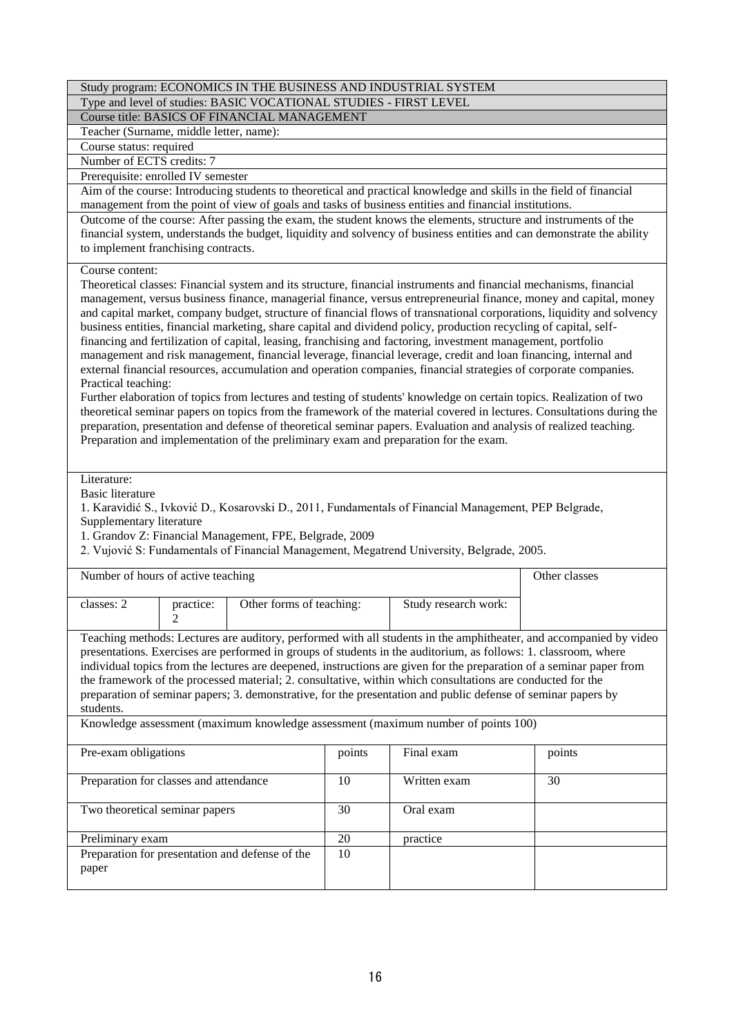|                                                                                                                                                                                                                                                                                                                                                                                                                                                                                                                                                                                                                                                                                                                                                                                                                                                                                                                                                                                                                                                                                                                                                                                                                                                                                                                                                                       |                                                                                                                                                                                                                                                                                 |                                                                   |    | Study program: ECONOMICS IN THE BUSINESS AND INDUSTRIAL SYSTEM                                                                                                                                     |               |  |
|-----------------------------------------------------------------------------------------------------------------------------------------------------------------------------------------------------------------------------------------------------------------------------------------------------------------------------------------------------------------------------------------------------------------------------------------------------------------------------------------------------------------------------------------------------------------------------------------------------------------------------------------------------------------------------------------------------------------------------------------------------------------------------------------------------------------------------------------------------------------------------------------------------------------------------------------------------------------------------------------------------------------------------------------------------------------------------------------------------------------------------------------------------------------------------------------------------------------------------------------------------------------------------------------------------------------------------------------------------------------------|---------------------------------------------------------------------------------------------------------------------------------------------------------------------------------------------------------------------------------------------------------------------------------|-------------------------------------------------------------------|----|----------------------------------------------------------------------------------------------------------------------------------------------------------------------------------------------------|---------------|--|
|                                                                                                                                                                                                                                                                                                                                                                                                                                                                                                                                                                                                                                                                                                                                                                                                                                                                                                                                                                                                                                                                                                                                                                                                                                                                                                                                                                       |                                                                                                                                                                                                                                                                                 | Type and level of studies: BASIC VOCATIONAL STUDIES - FIRST LEVEL |    |                                                                                                                                                                                                    |               |  |
|                                                                                                                                                                                                                                                                                                                                                                                                                                                                                                                                                                                                                                                                                                                                                                                                                                                                                                                                                                                                                                                                                                                                                                                                                                                                                                                                                                       |                                                                                                                                                                                                                                                                                 | Course title: BASICS OF FINANCIAL MANAGEMENT                      |    |                                                                                                                                                                                                    |               |  |
| Teacher (Surname, middle letter, name):                                                                                                                                                                                                                                                                                                                                                                                                                                                                                                                                                                                                                                                                                                                                                                                                                                                                                                                                                                                                                                                                                                                                                                                                                                                                                                                               |                                                                                                                                                                                                                                                                                 |                                                                   |    |                                                                                                                                                                                                    |               |  |
| Course status: required                                                                                                                                                                                                                                                                                                                                                                                                                                                                                                                                                                                                                                                                                                                                                                                                                                                                                                                                                                                                                                                                                                                                                                                                                                                                                                                                               |                                                                                                                                                                                                                                                                                 |                                                                   |    |                                                                                                                                                                                                    |               |  |
| Number of ECTS credits: 7                                                                                                                                                                                                                                                                                                                                                                                                                                                                                                                                                                                                                                                                                                                                                                                                                                                                                                                                                                                                                                                                                                                                                                                                                                                                                                                                             |                                                                                                                                                                                                                                                                                 |                                                                   |    |                                                                                                                                                                                                    |               |  |
| Prerequisite: enrolled IV semester                                                                                                                                                                                                                                                                                                                                                                                                                                                                                                                                                                                                                                                                                                                                                                                                                                                                                                                                                                                                                                                                                                                                                                                                                                                                                                                                    |                                                                                                                                                                                                                                                                                 |                                                                   |    |                                                                                                                                                                                                    |               |  |
|                                                                                                                                                                                                                                                                                                                                                                                                                                                                                                                                                                                                                                                                                                                                                                                                                                                                                                                                                                                                                                                                                                                                                                                                                                                                                                                                                                       |                                                                                                                                                                                                                                                                                 |                                                                   |    | Aim of the course: Introducing students to theoretical and practical knowledge and skills in the field of financial                                                                                |               |  |
|                                                                                                                                                                                                                                                                                                                                                                                                                                                                                                                                                                                                                                                                                                                                                                                                                                                                                                                                                                                                                                                                                                                                                                                                                                                                                                                                                                       |                                                                                                                                                                                                                                                                                 |                                                                   |    | management from the point of view of goals and tasks of business entities and financial institutions.                                                                                              |               |  |
|                                                                                                                                                                                                                                                                                                                                                                                                                                                                                                                                                                                                                                                                                                                                                                                                                                                                                                                                                                                                                                                                                                                                                                                                                                                                                                                                                                       | Outcome of the course: After passing the exam, the student knows the elements, structure and instruments of the<br>financial system, understands the budget, liquidity and solvency of business entities and can demonstrate the ability<br>to implement franchising contracts. |                                                                   |    |                                                                                                                                                                                                    |               |  |
| Course content:<br>Theoretical classes: Financial system and its structure, financial instruments and financial mechanisms, financial<br>management, versus business finance, managerial finance, versus entrepreneurial finance, money and capital, money<br>and capital market, company budget, structure of financial flows of transnational corporations, liquidity and solvency<br>business entities, financial marketing, share capital and dividend policy, production recycling of capital, self-<br>financing and fertilization of capital, leasing, franchising and factoring, investment management, portfolio<br>management and risk management, financial leverage, financial leverage, credit and loan financing, internal and<br>external financial resources, accumulation and operation companies, financial strategies of corporate companies.<br>Practical teaching:<br>Further elaboration of topics from lectures and testing of students' knowledge on certain topics. Realization of two<br>theoretical seminar papers on topics from the framework of the material covered in lectures. Consultations during the<br>preparation, presentation and defense of theoretical seminar papers. Evaluation and analysis of realized teaching.<br>Preparation and implementation of the preliminary exam and preparation for the exam.<br>Literature: |                                                                                                                                                                                                                                                                                 |                                                                   |    |                                                                                                                                                                                                    |               |  |
| <b>Basic literature</b><br>Supplementary literature                                                                                                                                                                                                                                                                                                                                                                                                                                                                                                                                                                                                                                                                                                                                                                                                                                                                                                                                                                                                                                                                                                                                                                                                                                                                                                                   |                                                                                                                                                                                                                                                                                 | 1. Grandov Z: Financial Management, FPE, Belgrade, 2009           |    | 1. Karavidić S., Ivković D., Kosarovski D., 2011, Fundamentals of Financial Management, PEP Belgrade,<br>2. Vujović S: Fundamentals of Financial Management, Megatrend University, Belgrade, 2005. |               |  |
| Number of hours of active teaching                                                                                                                                                                                                                                                                                                                                                                                                                                                                                                                                                                                                                                                                                                                                                                                                                                                                                                                                                                                                                                                                                                                                                                                                                                                                                                                                    |                                                                                                                                                                                                                                                                                 |                                                                   |    |                                                                                                                                                                                                    | Other classes |  |
|                                                                                                                                                                                                                                                                                                                                                                                                                                                                                                                                                                                                                                                                                                                                                                                                                                                                                                                                                                                                                                                                                                                                                                                                                                                                                                                                                                       |                                                                                                                                                                                                                                                                                 |                                                                   |    |                                                                                                                                                                                                    |               |  |
| classes: 2                                                                                                                                                                                                                                                                                                                                                                                                                                                                                                                                                                                                                                                                                                                                                                                                                                                                                                                                                                                                                                                                                                                                                                                                                                                                                                                                                            | practice:                                                                                                                                                                                                                                                                       | Other forms of teaching:                                          |    | Study research work:                                                                                                                                                                               |               |  |
|                                                                                                                                                                                                                                                                                                                                                                                                                                                                                                                                                                                                                                                                                                                                                                                                                                                                                                                                                                                                                                                                                                                                                                                                                                                                                                                                                                       | $\overline{c}$                                                                                                                                                                                                                                                                  |                                                                   |    |                                                                                                                                                                                                    |               |  |
| Teaching methods: Lectures are auditory, performed with all students in the amphitheater, and accompanied by video<br>presentations. Exercises are performed in groups of students in the auditorium, as follows: 1. classroom, where<br>individual topics from the lectures are deepened, instructions are given for the preparation of a seminar paper from<br>the framework of the processed material; 2. consultative, within which consultations are conducted for the<br>preparation of seminar papers; 3. demonstrative, for the presentation and public defense of seminar papers by<br>students.                                                                                                                                                                                                                                                                                                                                                                                                                                                                                                                                                                                                                                                                                                                                                             |                                                                                                                                                                                                                                                                                 |                                                                   |    |                                                                                                                                                                                                    |               |  |
| Knowledge assessment (maximum knowledge assessment (maximum number of points 100)                                                                                                                                                                                                                                                                                                                                                                                                                                                                                                                                                                                                                                                                                                                                                                                                                                                                                                                                                                                                                                                                                                                                                                                                                                                                                     |                                                                                                                                                                                                                                                                                 |                                                                   |    |                                                                                                                                                                                                    |               |  |
|                                                                                                                                                                                                                                                                                                                                                                                                                                                                                                                                                                                                                                                                                                                                                                                                                                                                                                                                                                                                                                                                                                                                                                                                                                                                                                                                                                       | points<br>Final exam<br>Pre-exam obligations<br>points                                                                                                                                                                                                                          |                                                                   |    |                                                                                                                                                                                                    |               |  |
| Preparation for classes and attendance                                                                                                                                                                                                                                                                                                                                                                                                                                                                                                                                                                                                                                                                                                                                                                                                                                                                                                                                                                                                                                                                                                                                                                                                                                                                                                                                |                                                                                                                                                                                                                                                                                 |                                                                   | 10 | Written exam                                                                                                                                                                                       | 30            |  |
| Two theoretical seminar papers                                                                                                                                                                                                                                                                                                                                                                                                                                                                                                                                                                                                                                                                                                                                                                                                                                                                                                                                                                                                                                                                                                                                                                                                                                                                                                                                        |                                                                                                                                                                                                                                                                                 |                                                                   | 30 | Oral exam                                                                                                                                                                                          |               |  |
| Preliminary exam                                                                                                                                                                                                                                                                                                                                                                                                                                                                                                                                                                                                                                                                                                                                                                                                                                                                                                                                                                                                                                                                                                                                                                                                                                                                                                                                                      |                                                                                                                                                                                                                                                                                 |                                                                   | 20 | practice                                                                                                                                                                                           |               |  |
| Preparation for presentation and defense of the<br>10<br>paper                                                                                                                                                                                                                                                                                                                                                                                                                                                                                                                                                                                                                                                                                                                                                                                                                                                                                                                                                                                                                                                                                                                                                                                                                                                                                                        |                                                                                                                                                                                                                                                                                 |                                                                   |    |                                                                                                                                                                                                    |               |  |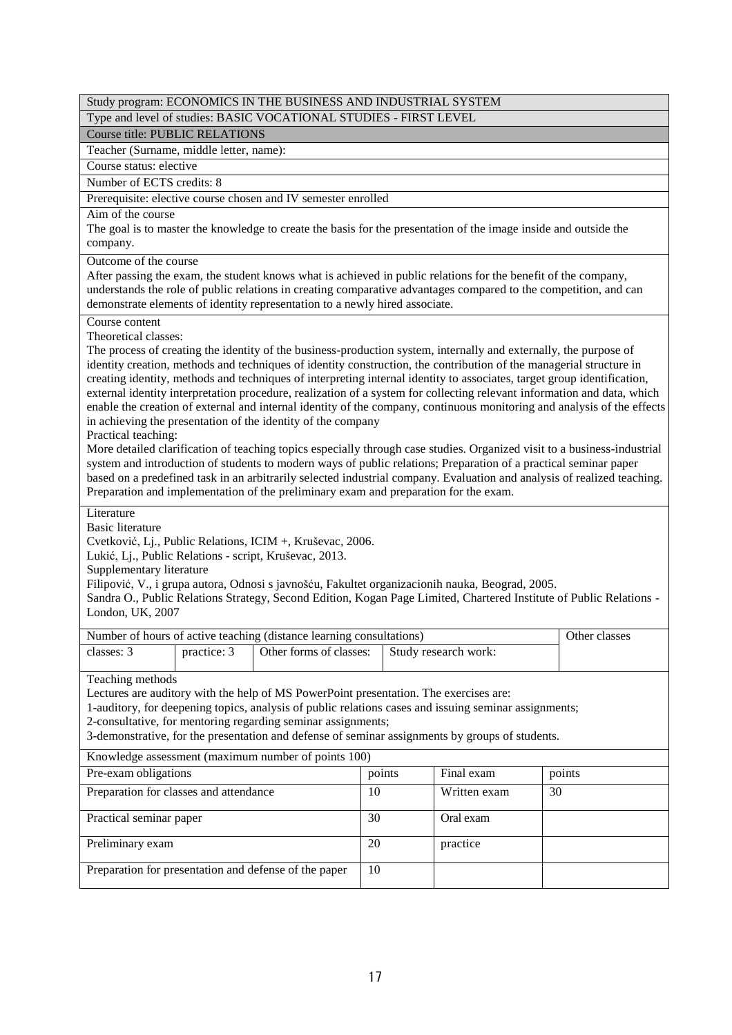|                                                                                                      |             | Study program: ECONOMICS IN THE BUSINESS AND INDUSTRIAL SYSTEM                                  |    |                                                                                                                                                                                                                                          |  |               |
|------------------------------------------------------------------------------------------------------|-------------|-------------------------------------------------------------------------------------------------|----|------------------------------------------------------------------------------------------------------------------------------------------------------------------------------------------------------------------------------------------|--|---------------|
|                                                                                                      |             | Type and level of studies: BASIC VOCATIONAL STUDIES - FIRST LEVEL                               |    |                                                                                                                                                                                                                                          |  |               |
| <b>Course title: PUBLIC RELATIONS</b>                                                                |             |                                                                                                 |    |                                                                                                                                                                                                                                          |  |               |
| Teacher (Surname, middle letter, name):                                                              |             |                                                                                                 |    |                                                                                                                                                                                                                                          |  |               |
| Course status: elective                                                                              |             |                                                                                                 |    |                                                                                                                                                                                                                                          |  |               |
| Number of ECTS credits: 8                                                                            |             |                                                                                                 |    |                                                                                                                                                                                                                                          |  |               |
|                                                                                                      |             | Prerequisite: elective course chosen and IV semester enrolled                                   |    |                                                                                                                                                                                                                                          |  |               |
| Aim of the course                                                                                    |             |                                                                                                 |    | The goal is to master the knowledge to create the basis for the presentation of the image inside and outside the                                                                                                                         |  |               |
| company.                                                                                             |             |                                                                                                 |    |                                                                                                                                                                                                                                          |  |               |
| Outcome of the course                                                                                |             |                                                                                                 |    | After passing the exam, the student knows what is achieved in public relations for the benefit of the company,                                                                                                                           |  |               |
|                                                                                                      |             | demonstrate elements of identity representation to a newly hired associate.                     |    | understands the role of public relations in creating comparative advantages compared to the competition, and can                                                                                                                         |  |               |
| Course content                                                                                       |             |                                                                                                 |    |                                                                                                                                                                                                                                          |  |               |
| Theoretical classes:                                                                                 |             |                                                                                                 |    |                                                                                                                                                                                                                                          |  |               |
|                                                                                                      |             |                                                                                                 |    | The process of creating the identity of the business-production system, internally and externally, the purpose of<br>identity creation, methods and techniques of identity construction, the contribution of the managerial structure in |  |               |
|                                                                                                      |             |                                                                                                 |    | creating identity, methods and techniques of interpreting internal identity to associates, target group identification,                                                                                                                  |  |               |
|                                                                                                      |             |                                                                                                 |    | external identity interpretation procedure, realization of a system for collecting relevant information and data, which                                                                                                                  |  |               |
|                                                                                                      |             |                                                                                                 |    | enable the creation of external and internal identity of the company, continuous monitoring and analysis of the effects                                                                                                                  |  |               |
| Practical teaching:                                                                                  |             | in achieving the presentation of the identity of the company                                    |    |                                                                                                                                                                                                                                          |  |               |
|                                                                                                      |             |                                                                                                 |    | More detailed clarification of teaching topics especially through case studies. Organized visit to a business-industrial                                                                                                                 |  |               |
|                                                                                                      |             |                                                                                                 |    | system and introduction of students to modern ways of public relations; Preparation of a practical seminar paper                                                                                                                         |  |               |
|                                                                                                      |             |                                                                                                 |    | based on a predefined task in an arbitrarily selected industrial company. Evaluation and analysis of realized teaching.                                                                                                                  |  |               |
|                                                                                                      |             | Preparation and implementation of the preliminary exam and preparation for the exam.            |    |                                                                                                                                                                                                                                          |  |               |
| Literature                                                                                           |             |                                                                                                 |    |                                                                                                                                                                                                                                          |  |               |
| <b>Basic literature</b>                                                                              |             |                                                                                                 |    |                                                                                                                                                                                                                                          |  |               |
|                                                                                                      |             | Cvetković, Lj., Public Relations, ICIM +, Kruševac, 2006.                                       |    |                                                                                                                                                                                                                                          |  |               |
|                                                                                                      |             | Lukić, Lj., Public Relations - script, Kruševac, 2013.                                          |    |                                                                                                                                                                                                                                          |  |               |
| Supplementary literature                                                                             |             |                                                                                                 |    |                                                                                                                                                                                                                                          |  |               |
|                                                                                                      |             |                                                                                                 |    | Filipović, V., i grupa autora, Odnosi s javnošću, Fakultet organizacionih nauka, Beograd, 2005.<br>Sandra O., Public Relations Strategy, Second Edition, Kogan Page Limited, Chartered Institute of Public Relations -                   |  |               |
| London, UK, 2007                                                                                     |             |                                                                                                 |    |                                                                                                                                                                                                                                          |  |               |
|                                                                                                      |             |                                                                                                 |    |                                                                                                                                                                                                                                          |  |               |
| classes: 3                                                                                           |             | Number of hours of active teaching (distance learning consultations)<br>Other forms of classes: |    |                                                                                                                                                                                                                                          |  | Other classes |
|                                                                                                      | practice: 3 |                                                                                                 |    | Study research work:                                                                                                                                                                                                                     |  |               |
| Teaching methods                                                                                     |             |                                                                                                 |    |                                                                                                                                                                                                                                          |  |               |
|                                                                                                      |             | Lectures are auditory with the help of MS PowerPoint presentation. The exercises are:           |    |                                                                                                                                                                                                                                          |  |               |
|                                                                                                      |             |                                                                                                 |    | 1-auditory, for deepening topics, analysis of public relations cases and issuing seminar assignments;                                                                                                                                    |  |               |
|                                                                                                      |             | 2-consultative, for mentoring regarding seminar assignments;                                    |    | 3-demonstrative, for the presentation and defense of seminar assignments by groups of students.                                                                                                                                          |  |               |
|                                                                                                      |             |                                                                                                 |    |                                                                                                                                                                                                                                          |  |               |
| Knowledge assessment (maximum number of points 100)<br>Pre-exam obligations                          |             |                                                                                                 |    |                                                                                                                                                                                                                                          |  |               |
| points<br>Final exam<br>points<br>Preparation for classes and attendance<br>10<br>Written exam<br>30 |             |                                                                                                 |    |                                                                                                                                                                                                                                          |  |               |
|                                                                                                      |             |                                                                                                 |    |                                                                                                                                                                                                                                          |  |               |
| 30<br>Oral exam<br>Practical seminar paper                                                           |             |                                                                                                 |    |                                                                                                                                                                                                                                          |  |               |
| Preliminary exam                                                                                     |             |                                                                                                 | 20 | practice                                                                                                                                                                                                                                 |  |               |
|                                                                                                      |             | Preparation for presentation and defense of the paper                                           | 10 |                                                                                                                                                                                                                                          |  |               |
|                                                                                                      |             |                                                                                                 |    |                                                                                                                                                                                                                                          |  |               |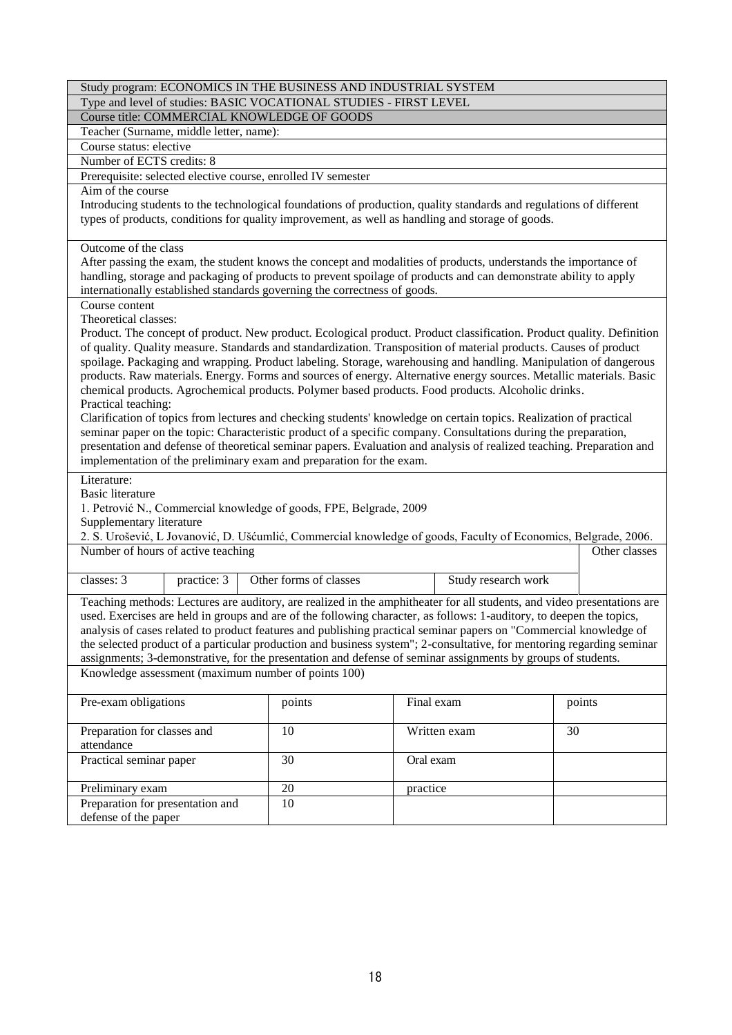|                                                                                                                                                                                                                                                                                                                                                                                                                                                                                                                                                                                                                                                                                                                                                                                                                                                                                                                                                                                                                                                                                      | Study program: ECONOMICS IN THE BUSINESS AND INDUSTRIAL SYSTEM |                     |               |  |  |  |
|--------------------------------------------------------------------------------------------------------------------------------------------------------------------------------------------------------------------------------------------------------------------------------------------------------------------------------------------------------------------------------------------------------------------------------------------------------------------------------------------------------------------------------------------------------------------------------------------------------------------------------------------------------------------------------------------------------------------------------------------------------------------------------------------------------------------------------------------------------------------------------------------------------------------------------------------------------------------------------------------------------------------------------------------------------------------------------------|----------------------------------------------------------------|---------------------|---------------|--|--|--|
| Type and level of studies: BASIC VOCATIONAL STUDIES - FIRST LEVEL                                                                                                                                                                                                                                                                                                                                                                                                                                                                                                                                                                                                                                                                                                                                                                                                                                                                                                                                                                                                                    |                                                                |                     |               |  |  |  |
| Course title: COMMERCIAL KNOWLEDGE OF GOODS                                                                                                                                                                                                                                                                                                                                                                                                                                                                                                                                                                                                                                                                                                                                                                                                                                                                                                                                                                                                                                          |                                                                |                     |               |  |  |  |
| Teacher (Surname, middle letter, name):                                                                                                                                                                                                                                                                                                                                                                                                                                                                                                                                                                                                                                                                                                                                                                                                                                                                                                                                                                                                                                              |                                                                |                     |               |  |  |  |
| Course status: elective                                                                                                                                                                                                                                                                                                                                                                                                                                                                                                                                                                                                                                                                                                                                                                                                                                                                                                                                                                                                                                                              |                                                                |                     |               |  |  |  |
| Number of ECTS credits: 8                                                                                                                                                                                                                                                                                                                                                                                                                                                                                                                                                                                                                                                                                                                                                                                                                                                                                                                                                                                                                                                            |                                                                |                     |               |  |  |  |
| Prerequisite: selected elective course, enrolled IV semester                                                                                                                                                                                                                                                                                                                                                                                                                                                                                                                                                                                                                                                                                                                                                                                                                                                                                                                                                                                                                         |                                                                |                     |               |  |  |  |
| Aim of the course                                                                                                                                                                                                                                                                                                                                                                                                                                                                                                                                                                                                                                                                                                                                                                                                                                                                                                                                                                                                                                                                    |                                                                |                     |               |  |  |  |
| Introducing students to the technological foundations of production, quality standards and regulations of different<br>types of products, conditions for quality improvement, as well as handling and storage of goods.                                                                                                                                                                                                                                                                                                                                                                                                                                                                                                                                                                                                                                                                                                                                                                                                                                                              |                                                                |                     |               |  |  |  |
| Outcome of the class<br>After passing the exam, the student knows the concept and modalities of products, understands the importance of<br>handling, storage and packaging of products to prevent spoilage of products and can demonstrate ability to apply<br>internationally established standards governing the correctness of goods.                                                                                                                                                                                                                                                                                                                                                                                                                                                                                                                                                                                                                                                                                                                                             |                                                                |                     |               |  |  |  |
| Course content                                                                                                                                                                                                                                                                                                                                                                                                                                                                                                                                                                                                                                                                                                                                                                                                                                                                                                                                                                                                                                                                       |                                                                |                     |               |  |  |  |
| Theoretical classes:<br>Product. The concept of product. New product. Ecological product. Product classification. Product quality. Definition<br>of quality. Quality measure. Standards and standardization. Transposition of material products. Causes of product<br>spoilage. Packaging and wrapping. Product labeling. Storage, warehousing and handling. Manipulation of dangerous<br>products. Raw materials. Energy. Forms and sources of energy. Alternative energy sources. Metallic materials. Basic<br>chemical products. Agrochemical products. Polymer based products. Food products. Alcoholic drinks.<br>Practical teaching:<br>Clarification of topics from lectures and checking students' knowledge on certain topics. Realization of practical<br>seminar paper on the topic: Characteristic product of a specific company. Consultations during the preparation,<br>presentation and defense of theoretical seminar papers. Evaluation and analysis of realized teaching. Preparation and<br>implementation of the preliminary exam and preparation for the exam. |                                                                |                     |               |  |  |  |
|                                                                                                                                                                                                                                                                                                                                                                                                                                                                                                                                                                                                                                                                                                                                                                                                                                                                                                                                                                                                                                                                                      |                                                                |                     |               |  |  |  |
| Literature:                                                                                                                                                                                                                                                                                                                                                                                                                                                                                                                                                                                                                                                                                                                                                                                                                                                                                                                                                                                                                                                                          |                                                                |                     |               |  |  |  |
| <b>Basic literature</b>                                                                                                                                                                                                                                                                                                                                                                                                                                                                                                                                                                                                                                                                                                                                                                                                                                                                                                                                                                                                                                                              |                                                                |                     |               |  |  |  |
| 1. Petrović N., Commercial knowledge of goods, FPE, Belgrade, 2009                                                                                                                                                                                                                                                                                                                                                                                                                                                                                                                                                                                                                                                                                                                                                                                                                                                                                                                                                                                                                   |                                                                |                     |               |  |  |  |
| Supplementary literature                                                                                                                                                                                                                                                                                                                                                                                                                                                                                                                                                                                                                                                                                                                                                                                                                                                                                                                                                                                                                                                             |                                                                |                     |               |  |  |  |
| 2. S. Urošević, L Jovanović, D. Ušćumlić, Commercial knowledge of goods, Faculty of Economics, Belgrade, 2006.                                                                                                                                                                                                                                                                                                                                                                                                                                                                                                                                                                                                                                                                                                                                                                                                                                                                                                                                                                       |                                                                |                     |               |  |  |  |
| Number of hours of active teaching                                                                                                                                                                                                                                                                                                                                                                                                                                                                                                                                                                                                                                                                                                                                                                                                                                                                                                                                                                                                                                                   |                                                                |                     | Other classes |  |  |  |
| classes: 3<br>practice: 3                                                                                                                                                                                                                                                                                                                                                                                                                                                                                                                                                                                                                                                                                                                                                                                                                                                                                                                                                                                                                                                            | Other forms of classes                                         | Study research work |               |  |  |  |
| Teaching methods: Lectures are auditory, are realized in the amphitheater for all students, and video presentations are<br>used. Exercises are held in groups and are of the following character, as follows: 1-auditory, to deepen the topics,<br>analysis of cases related to product features and publishing practical seminar papers on "Commercial knowledge of<br>the selected product of a particular production and business system"; 2-consultative, for mentoring regarding seminar<br>assignments; 3-demonstrative, for the presentation and defense of seminar assignments by groups of students.<br>Knowledge assessment (maximum number of points 100)                                                                                                                                                                                                                                                                                                                                                                                                                 |                                                                |                     |               |  |  |  |
| Pre-exam obligations                                                                                                                                                                                                                                                                                                                                                                                                                                                                                                                                                                                                                                                                                                                                                                                                                                                                                                                                                                                                                                                                 | points                                                         | Final exam          | points        |  |  |  |
|                                                                                                                                                                                                                                                                                                                                                                                                                                                                                                                                                                                                                                                                                                                                                                                                                                                                                                                                                                                                                                                                                      |                                                                |                     |               |  |  |  |
| Preparation for classes and                                                                                                                                                                                                                                                                                                                                                                                                                                                                                                                                                                                                                                                                                                                                                                                                                                                                                                                                                                                                                                                          | 10                                                             | Written exam        | 30            |  |  |  |
| attendance                                                                                                                                                                                                                                                                                                                                                                                                                                                                                                                                                                                                                                                                                                                                                                                                                                                                                                                                                                                                                                                                           |                                                                |                     |               |  |  |  |
| Practical seminar paper                                                                                                                                                                                                                                                                                                                                                                                                                                                                                                                                                                                                                                                                                                                                                                                                                                                                                                                                                                                                                                                              | 30                                                             | Oral exam           |               |  |  |  |
| Preliminary exam                                                                                                                                                                                                                                                                                                                                                                                                                                                                                                                                                                                                                                                                                                                                                                                                                                                                                                                                                                                                                                                                     | 20                                                             | practice            |               |  |  |  |
| Preparation for presentation and<br>defense of the paper                                                                                                                                                                                                                                                                                                                                                                                                                                                                                                                                                                                                                                                                                                                                                                                                                                                                                                                                                                                                                             | 10                                                             |                     |               |  |  |  |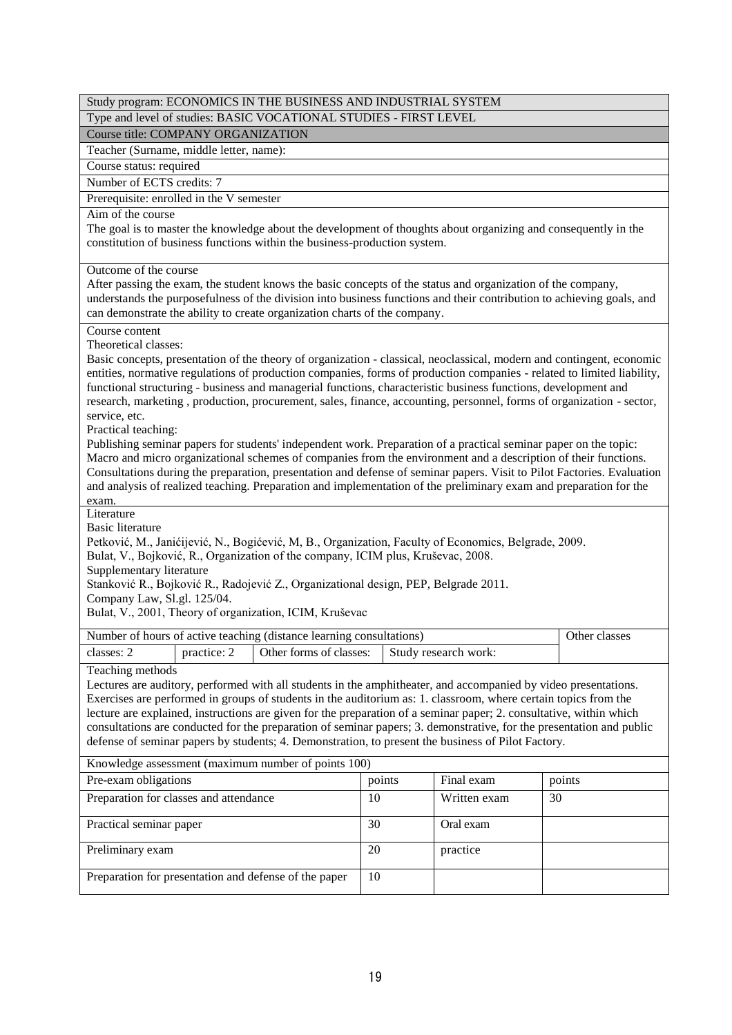|                                                                                                                                                                                                                                                                                                                                                                                                                                                                                                                                                                                                             |                                                        | Study program: ECONOMICS IN THE BUSINESS AND INDUSTRIAL SYSTEM                                                                                                                                                                                                                                                                                                                                                                                                                                                                                                                                                                                                                                                                                                                                                                                                                                                                                                                 |    |           |                      |  |               |
|-------------------------------------------------------------------------------------------------------------------------------------------------------------------------------------------------------------------------------------------------------------------------------------------------------------------------------------------------------------------------------------------------------------------------------------------------------------------------------------------------------------------------------------------------------------------------------------------------------------|--------------------------------------------------------|--------------------------------------------------------------------------------------------------------------------------------------------------------------------------------------------------------------------------------------------------------------------------------------------------------------------------------------------------------------------------------------------------------------------------------------------------------------------------------------------------------------------------------------------------------------------------------------------------------------------------------------------------------------------------------------------------------------------------------------------------------------------------------------------------------------------------------------------------------------------------------------------------------------------------------------------------------------------------------|----|-----------|----------------------|--|---------------|
|                                                                                                                                                                                                                                                                                                                                                                                                                                                                                                                                                                                                             |                                                        | Type and level of studies: BASIC VOCATIONAL STUDIES - FIRST LEVEL                                                                                                                                                                                                                                                                                                                                                                                                                                                                                                                                                                                                                                                                                                                                                                                                                                                                                                              |    |           |                      |  |               |
| <b>Course title: COMPANY ORGANIZATION</b>                                                                                                                                                                                                                                                                                                                                                                                                                                                                                                                                                                   |                                                        |                                                                                                                                                                                                                                                                                                                                                                                                                                                                                                                                                                                                                                                                                                                                                                                                                                                                                                                                                                                |    |           |                      |  |               |
| Teacher (Surname, middle letter, name):                                                                                                                                                                                                                                                                                                                                                                                                                                                                                                                                                                     |                                                        |                                                                                                                                                                                                                                                                                                                                                                                                                                                                                                                                                                                                                                                                                                                                                                                                                                                                                                                                                                                |    |           |                      |  |               |
| Course status: required                                                                                                                                                                                                                                                                                                                                                                                                                                                                                                                                                                                     |                                                        |                                                                                                                                                                                                                                                                                                                                                                                                                                                                                                                                                                                                                                                                                                                                                                                                                                                                                                                                                                                |    |           |                      |  |               |
| Number of ECTS credits: 7                                                                                                                                                                                                                                                                                                                                                                                                                                                                                                                                                                                   |                                                        |                                                                                                                                                                                                                                                                                                                                                                                                                                                                                                                                                                                                                                                                                                                                                                                                                                                                                                                                                                                |    |           |                      |  |               |
| Prerequisite: enrolled in the V semester                                                                                                                                                                                                                                                                                                                                                                                                                                                                                                                                                                    |                                                        |                                                                                                                                                                                                                                                                                                                                                                                                                                                                                                                                                                                                                                                                                                                                                                                                                                                                                                                                                                                |    |           |                      |  |               |
| Aim of the course                                                                                                                                                                                                                                                                                                                                                                                                                                                                                                                                                                                           |                                                        | The goal is to master the knowledge about the development of thoughts about organizing and consequently in the                                                                                                                                                                                                                                                                                                                                                                                                                                                                                                                                                                                                                                                                                                                                                                                                                                                                 |    |           |                      |  |               |
|                                                                                                                                                                                                                                                                                                                                                                                                                                                                                                                                                                                                             |                                                        | constitution of business functions within the business-production system.                                                                                                                                                                                                                                                                                                                                                                                                                                                                                                                                                                                                                                                                                                                                                                                                                                                                                                      |    |           |                      |  |               |
| Outcome of the course                                                                                                                                                                                                                                                                                                                                                                                                                                                                                                                                                                                       |                                                        | After passing the exam, the student knows the basic concepts of the status and organization of the company,<br>understands the purposefulness of the division into business functions and their contribution to achieving goals, and<br>can demonstrate the ability to create organization charts of the company.                                                                                                                                                                                                                                                                                                                                                                                                                                                                                                                                                                                                                                                              |    |           |                      |  |               |
| Course content                                                                                                                                                                                                                                                                                                                                                                                                                                                                                                                                                                                              |                                                        |                                                                                                                                                                                                                                                                                                                                                                                                                                                                                                                                                                                                                                                                                                                                                                                                                                                                                                                                                                                |    |           |                      |  |               |
| Theoretical classes:<br>service, etc.<br>Practical teaching:<br>exam.                                                                                                                                                                                                                                                                                                                                                                                                                                                                                                                                       |                                                        | Basic concepts, presentation of the theory of organization - classical, neoclassical, modern and contingent, economic<br>entities, normative regulations of production companies, forms of production companies - related to limited liability,<br>functional structuring - business and managerial functions, characteristic business functions, development and<br>research, marketing, production, procurement, sales, finance, accounting, personnel, forms of organization - sector,<br>Publishing seminar papers for students' independent work. Preparation of a practical seminar paper on the topic:<br>Macro and micro organizational schemes of companies from the environment and a description of their functions.<br>Consultations during the preparation, presentation and defense of seminar papers. Visit to Pilot Factories. Evaluation<br>and analysis of realized teaching. Preparation and implementation of the preliminary exam and preparation for the |    |           |                      |  |               |
| Literature<br><b>Basic literature</b><br>Supplementary literature<br>Company Law, Sl.gl. 125/04.                                                                                                                                                                                                                                                                                                                                                                                                                                                                                                            |                                                        | Petković, M., Janićijević, N., Bogićević, M, B., Organization, Faculty of Economics, Belgrade, 2009.<br>Bulat, V., Bojković, R., Organization of the company, ICIM plus, Kruševac, 2008.<br>Stanković R., Bojković R., Radojević Z., Organizational design, PEP, Belgrade 2011.<br>Bulat, V., 2001, Theory of organization, ICIM, Kruševac                                                                                                                                                                                                                                                                                                                                                                                                                                                                                                                                                                                                                                     |    |           |                      |  |               |
|                                                                                                                                                                                                                                                                                                                                                                                                                                                                                                                                                                                                             |                                                        | Number of hours of active teaching (distance learning consultations)                                                                                                                                                                                                                                                                                                                                                                                                                                                                                                                                                                                                                                                                                                                                                                                                                                                                                                           |    |           |                      |  | Other classes |
| classes: 2                                                                                                                                                                                                                                                                                                                                                                                                                                                                                                                                                                                                  | practice: 2                                            | Other forms of classes:                                                                                                                                                                                                                                                                                                                                                                                                                                                                                                                                                                                                                                                                                                                                                                                                                                                                                                                                                        |    |           | Study research work: |  |               |
| Teaching methods<br>Lectures are auditory, performed with all students in the amphitheater, and accompanied by video presentations.<br>Exercises are performed in groups of students in the auditorium as: 1. classroom, where certain topics from the<br>lecture are explained, instructions are given for the preparation of a seminar paper; 2. consultative, within which<br>consultations are conducted for the preparation of seminar papers; 3. demonstrative, for the presentation and public<br>defense of seminar papers by students; 4. Demonstration, to present the business of Pilot Factory. |                                                        |                                                                                                                                                                                                                                                                                                                                                                                                                                                                                                                                                                                                                                                                                                                                                                                                                                                                                                                                                                                |    |           |                      |  |               |
| Knowledge assessment (maximum number of points 100)                                                                                                                                                                                                                                                                                                                                                                                                                                                                                                                                                         |                                                        |                                                                                                                                                                                                                                                                                                                                                                                                                                                                                                                                                                                                                                                                                                                                                                                                                                                                                                                                                                                |    |           |                      |  |               |
|                                                                                                                                                                                                                                                                                                                                                                                                                                                                                                                                                                                                             | Pre-exam obligations<br>Final exam<br>points<br>points |                                                                                                                                                                                                                                                                                                                                                                                                                                                                                                                                                                                                                                                                                                                                                                                                                                                                                                                                                                                |    |           |                      |  |               |
| Preparation for classes and attendance<br>Written exam<br>10<br>30                                                                                                                                                                                                                                                                                                                                                                                                                                                                                                                                          |                                                        |                                                                                                                                                                                                                                                                                                                                                                                                                                                                                                                                                                                                                                                                                                                                                                                                                                                                                                                                                                                |    |           |                      |  |               |
| 30<br>Practical seminar paper                                                                                                                                                                                                                                                                                                                                                                                                                                                                                                                                                                               |                                                        |                                                                                                                                                                                                                                                                                                                                                                                                                                                                                                                                                                                                                                                                                                                                                                                                                                                                                                                                                                                |    | Oral exam |                      |  |               |
| Preliminary exam                                                                                                                                                                                                                                                                                                                                                                                                                                                                                                                                                                                            |                                                        |                                                                                                                                                                                                                                                                                                                                                                                                                                                                                                                                                                                                                                                                                                                                                                                                                                                                                                                                                                                | 20 |           | practice             |  |               |
|                                                                                                                                                                                                                                                                                                                                                                                                                                                                                                                                                                                                             |                                                        | Preparation for presentation and defense of the paper                                                                                                                                                                                                                                                                                                                                                                                                                                                                                                                                                                                                                                                                                                                                                                                                                                                                                                                          | 10 |           |                      |  |               |
|                                                                                                                                                                                                                                                                                                                                                                                                                                                                                                                                                                                                             |                                                        |                                                                                                                                                                                                                                                                                                                                                                                                                                                                                                                                                                                                                                                                                                                                                                                                                                                                                                                                                                                |    |           |                      |  |               |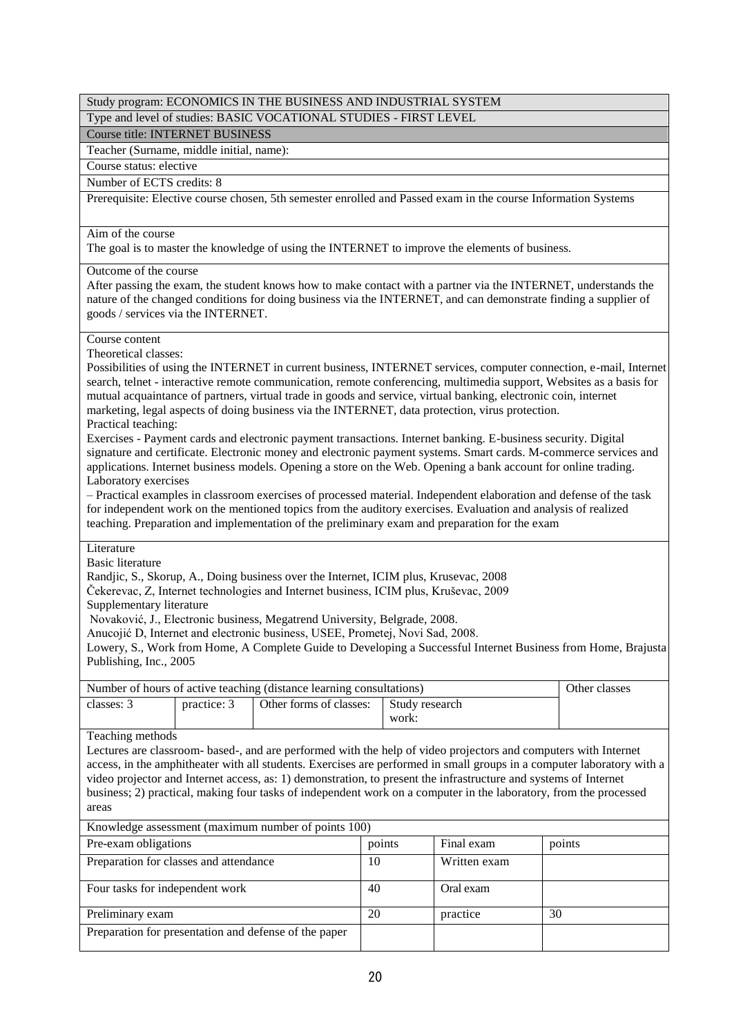Type and level of studies: BASIC VOCATIONAL STUDIES - FIRST LEVEL

Course title: INTERNET BUSINESS

Teacher (Surname, middle initial, name):

# Course status: elective

Number of ECTS credits: 8

Prerequisite: Elective course chosen, 5th semester enrolled and Passed exam in the course Information Systems

### Aim of the course

The goal is to master the knowledge of using the INTERNET to improve the elements of business.

### Outcome of the course

After passing the exam, the student knows how to make contact with a partner via the INTERNET, understands the nature of the changed conditions for doing business via the INTERNET, and can demonstrate finding a supplier of goods / services via the INTERNET.

### Course content

Theoretical classes:

Possibilities of using the INTERNET in current business, INTERNET services, computer connection, e-mail, Internet search, telnet - interactive remote communication, remote conferencing, multimedia support, Websites as a basis for mutual acquaintance of partners, virtual trade in goods and service, virtual banking, electronic coin, internet marketing, legal aspects of doing business via the INTERNET, data protection, virus protection. Practical teaching:

Exercises - Payment cards and electronic payment transactions. Internet banking. E-business security. Digital signature and certificate. Electronic money and electronic payment systems. Smart cards. M-commerce services and applications. Internet business models. Opening a store on the Web. Opening a bank account for online trading. Laboratory exercises

– Practical examples in classroom exercises of processed material. Independent elaboration and defense of the task for independent work on the mentioned topics from the auditory exercises. Evaluation and analysis of realized teaching. Preparation and implementation of the preliminary exam and preparation for the exam

### Literature

Basic literature

Randjic, S., Skorup, A., Doing business over the Internet, ICIM plus, Krusevac, 2008

Čekerevac, Z, Internet technologies and Internet business, ICIM plus, Kruševac, 2009

Supplementary literature

Novaković, J., Electronic business, Megatrend University, Belgrade, 2008.

Anucojić D, Internet and electronic business, USEE, Prometej, Novi Sad, 2008.

Lowery, S., Work from Home, A Complete Guide to Developing a Successful Internet Business from Home, Brajusta Publishing, Inc., 2005

| Number of hours of active teaching (distance learning consultations) |             |                         |                         | Other classes |
|----------------------------------------------------------------------|-------------|-------------------------|-------------------------|---------------|
| classes: 3                                                           | practice: 3 | Other forms of classes: | Study research<br>work: |               |

## Teaching methods

Lectures are classroom- based-, and are performed with the help of video projectors and computers with Internet access, in the amphitheater with all students. Exercises are performed in small groups in a computer laboratory with a video projector and Internet access, as: 1) demonstration, to present the infrastructure and systems of Internet business; 2) practical, making four tasks of independent work on a computer in the laboratory, from the processed areas

Pre-exam obligations points Final exam points points points points points points [Preparation for classes and attendance](https://play.google.com/store/apps/details?id=com.google.android.apps.translate&hl=sr&gl=US) 10 approximately 10 Written exam Four tasks for independent work  $\begin{vmatrix} 40 & \text{O} & \text{O} & \text{O} \end{vmatrix}$  and exam and The Preliminary exam 20 practice 30 Оцена: 4,5 · 7.895.850 гласова · Бесплатно · Android · Услужни програми/алатке Preparation for presentation and defense of the paper [Knowledge assessment \(maximum number of points 100\)](https://play.google.com/store/apps/details?id=com.google.android.apps.translate&hl=sr&gl=US)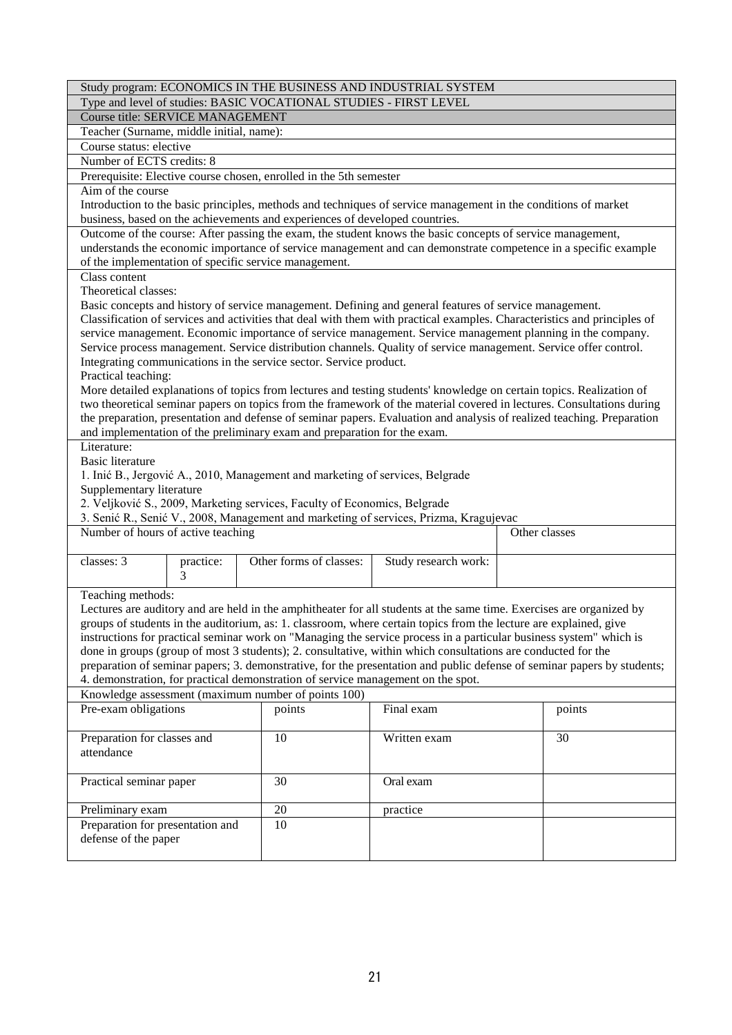|                                                                             |           |                         |  | Study program: ECONOMICS IN THE BUSINESS AND INDUSTRIAL SYSTEM                                                                                                                                                                     |  |               |
|-----------------------------------------------------------------------------|-----------|-------------------------|--|------------------------------------------------------------------------------------------------------------------------------------------------------------------------------------------------------------------------------------|--|---------------|
|                                                                             |           |                         |  | Type and level of studies: BASIC VOCATIONAL STUDIES - FIRST LEVEL                                                                                                                                                                  |  |               |
| Course title: SERVICE MANAGEMENT                                            |           |                         |  |                                                                                                                                                                                                                                    |  |               |
| Teacher (Surname, middle initial, name):                                    |           |                         |  |                                                                                                                                                                                                                                    |  |               |
| Course status: elective                                                     |           |                         |  |                                                                                                                                                                                                                                    |  |               |
| Number of ECTS credits: 8                                                   |           |                         |  |                                                                                                                                                                                                                                    |  |               |
| Prerequisite: Elective course chosen, enrolled in the 5th semester          |           |                         |  |                                                                                                                                                                                                                                    |  |               |
| Aim of the course                                                           |           |                         |  |                                                                                                                                                                                                                                    |  |               |
|                                                                             |           |                         |  | Introduction to the basic principles, methods and techniques of service management in the conditions of market                                                                                                                     |  |               |
| business, based on the achievements and experiences of developed countries. |           |                         |  |                                                                                                                                                                                                                                    |  |               |
|                                                                             |           |                         |  | Outcome of the course: After passing the exam, the student knows the basic concepts of service management,                                                                                                                         |  |               |
|                                                                             |           |                         |  | understands the economic importance of service management and can demonstrate competence in a specific example                                                                                                                     |  |               |
| of the implementation of specific service management.                       |           |                         |  |                                                                                                                                                                                                                                    |  |               |
| Class content                                                               |           |                         |  |                                                                                                                                                                                                                                    |  |               |
| Theoretical classes:                                                        |           |                         |  |                                                                                                                                                                                                                                    |  |               |
|                                                                             |           |                         |  | Basic concepts and history of service management. Defining and general features of service management.<br>Classification of services and activities that deal with them with practical examples. Characteristics and principles of |  |               |
|                                                                             |           |                         |  | service management. Economic importance of service management. Service management planning in the company.                                                                                                                         |  |               |
|                                                                             |           |                         |  | Service process management. Service distribution channels. Quality of service management. Service offer control.                                                                                                                   |  |               |
| Integrating communications in the service sector. Service product.          |           |                         |  |                                                                                                                                                                                                                                    |  |               |
| Practical teaching:                                                         |           |                         |  |                                                                                                                                                                                                                                    |  |               |
|                                                                             |           |                         |  | More detailed explanations of topics from lectures and testing students' knowledge on certain topics. Realization of                                                                                                               |  |               |
|                                                                             |           |                         |  | two theoretical seminar papers on topics from the framework of the material covered in lectures. Consultations during                                                                                                              |  |               |
|                                                                             |           |                         |  | the preparation, presentation and defense of seminar papers. Evaluation and analysis of realized teaching. Preparation                                                                                                             |  |               |
| and implementation of the preliminary exam and preparation for the exam.    |           |                         |  |                                                                                                                                                                                                                                    |  |               |
| Literature:                                                                 |           |                         |  |                                                                                                                                                                                                                                    |  |               |
| <b>Basic literature</b>                                                     |           |                         |  |                                                                                                                                                                                                                                    |  |               |
|                                                                             |           |                         |  | 1. Inić B., Jergović A., 2010, Management and marketing of services, Belgrade                                                                                                                                                      |  |               |
| Supplementary literature                                                    |           |                         |  |                                                                                                                                                                                                                                    |  |               |
| 2. Veljković S., 2009, Marketing services, Faculty of Economics, Belgrade   |           |                         |  |                                                                                                                                                                                                                                    |  |               |
|                                                                             |           |                         |  | 3. Senić R., Senić V., 2008, Management and marketing of services, Prizma, Kragujevac                                                                                                                                              |  |               |
| Number of hours of active teaching                                          |           |                         |  |                                                                                                                                                                                                                                    |  | Other classes |
|                                                                             |           |                         |  |                                                                                                                                                                                                                                    |  |               |
| classes: 3                                                                  | practice: | Other forms of classes: |  | Study research work:                                                                                                                                                                                                               |  |               |
|                                                                             | 3         |                         |  |                                                                                                                                                                                                                                    |  |               |
| Teaching methods:                                                           |           |                         |  |                                                                                                                                                                                                                                    |  |               |
|                                                                             |           |                         |  | Lectures are auditory and are held in the amphitheater for all students at the same time. Exercises are organized by                                                                                                               |  |               |
|                                                                             |           |                         |  | groups of students in the auditorium, as: 1. classroom, where certain topics from the lecture are explained, give                                                                                                                  |  |               |
|                                                                             |           |                         |  | instructions for practical seminar work on "Managing the service process in a particular business system" which is                                                                                                                 |  |               |
|                                                                             |           |                         |  | done in groups (group of most 3 students); 2. consultative, within which consultations are conducted for the                                                                                                                       |  |               |
|                                                                             |           |                         |  | preparation of seminar papers; 3. demonstrative, for the presentation and public defense of seminar papers by students;                                                                                                            |  |               |
|                                                                             |           |                         |  | 4. demonstration, for practical demonstration of service management on the spot.                                                                                                                                                   |  |               |
| Knowledge assessment (maximum number of points 100)                         |           |                         |  |                                                                                                                                                                                                                                    |  |               |
| Pre-exam obligations                                                        |           | points                  |  | Final exam                                                                                                                                                                                                                         |  | points        |
|                                                                             |           |                         |  |                                                                                                                                                                                                                                    |  |               |
| Preparation for classes and                                                 |           | 10                      |  | Written exam                                                                                                                                                                                                                       |  | 30            |
| attendance                                                                  |           |                         |  |                                                                                                                                                                                                                                    |  |               |
|                                                                             |           |                         |  |                                                                                                                                                                                                                                    |  |               |
| Practical seminar paper                                                     |           | 30                      |  | Oral exam                                                                                                                                                                                                                          |  |               |
|                                                                             |           |                         |  |                                                                                                                                                                                                                                    |  |               |
| Preliminary exam                                                            |           | 20                      |  | practice                                                                                                                                                                                                                           |  |               |
| Preparation for presentation and                                            |           | 10                      |  |                                                                                                                                                                                                                                    |  |               |
| defense of the paper                                                        |           |                         |  |                                                                                                                                                                                                                                    |  |               |
|                                                                             |           |                         |  |                                                                                                                                                                                                                                    |  |               |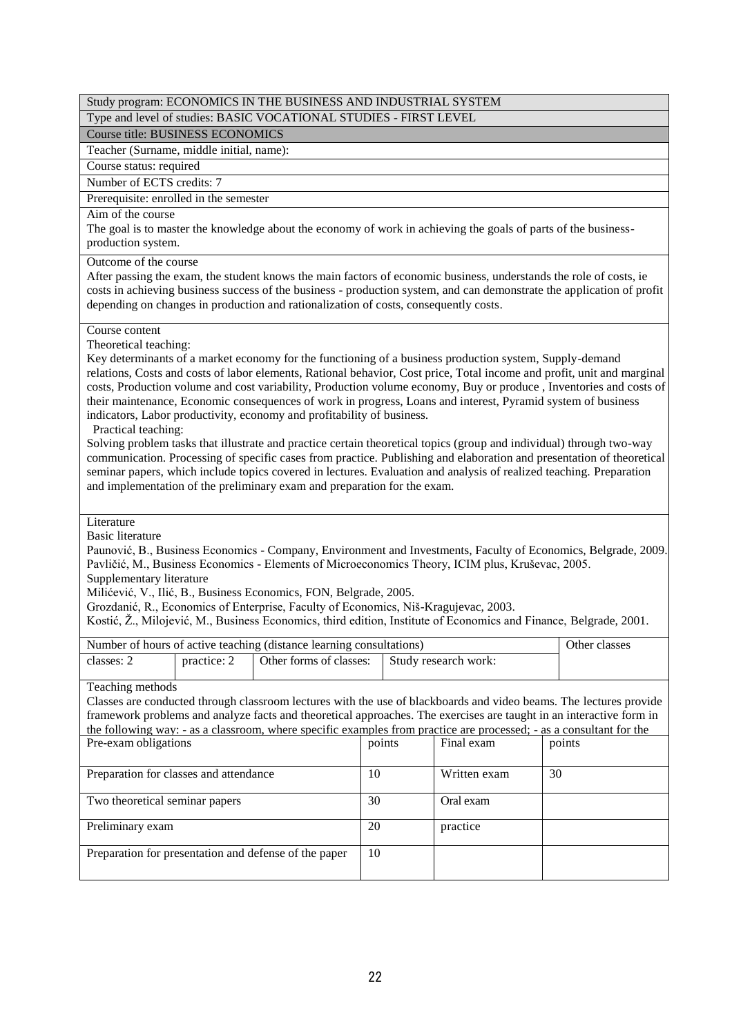|                                                                                                                                     |             | Study program: ECONOMICS IN THE BUSINESS AND INDUSTRIAL SYSTEM                                                                                                                                                                                                                                                                                                                                                                                                                                                                                                                                                                                                                                                                                                                                                                                                                                                                                                                                                    |        |                      |    |                                                                                                                                                                                                                                                                                                                                                                                                                                                                                          |
|-------------------------------------------------------------------------------------------------------------------------------------|-------------|-------------------------------------------------------------------------------------------------------------------------------------------------------------------------------------------------------------------------------------------------------------------------------------------------------------------------------------------------------------------------------------------------------------------------------------------------------------------------------------------------------------------------------------------------------------------------------------------------------------------------------------------------------------------------------------------------------------------------------------------------------------------------------------------------------------------------------------------------------------------------------------------------------------------------------------------------------------------------------------------------------------------|--------|----------------------|----|------------------------------------------------------------------------------------------------------------------------------------------------------------------------------------------------------------------------------------------------------------------------------------------------------------------------------------------------------------------------------------------------------------------------------------------------------------------------------------------|
|                                                                                                                                     |             | Type and level of studies: BASIC VOCATIONAL STUDIES - FIRST LEVEL                                                                                                                                                                                                                                                                                                                                                                                                                                                                                                                                                                                                                                                                                                                                                                                                                                                                                                                                                 |        |                      |    |                                                                                                                                                                                                                                                                                                                                                                                                                                                                                          |
| <b>Course title: BUSINESS ECONOMICS</b>                                                                                             |             |                                                                                                                                                                                                                                                                                                                                                                                                                                                                                                                                                                                                                                                                                                                                                                                                                                                                                                                                                                                                                   |        |                      |    |                                                                                                                                                                                                                                                                                                                                                                                                                                                                                          |
| Teacher (Surname, middle initial, name):                                                                                            |             |                                                                                                                                                                                                                                                                                                                                                                                                                                                                                                                                                                                                                                                                                                                                                                                                                                                                                                                                                                                                                   |        |                      |    |                                                                                                                                                                                                                                                                                                                                                                                                                                                                                          |
| Course status: required                                                                                                             |             |                                                                                                                                                                                                                                                                                                                                                                                                                                                                                                                                                                                                                                                                                                                                                                                                                                                                                                                                                                                                                   |        |                      |    |                                                                                                                                                                                                                                                                                                                                                                                                                                                                                          |
| Number of ECTS credits: 7                                                                                                           |             |                                                                                                                                                                                                                                                                                                                                                                                                                                                                                                                                                                                                                                                                                                                                                                                                                                                                                                                                                                                                                   |        |                      |    |                                                                                                                                                                                                                                                                                                                                                                                                                                                                                          |
| Prerequisite: enrolled in the semester                                                                                              |             |                                                                                                                                                                                                                                                                                                                                                                                                                                                                                                                                                                                                                                                                                                                                                                                                                                                                                                                                                                                                                   |        |                      |    |                                                                                                                                                                                                                                                                                                                                                                                                                                                                                          |
| Aim of the course<br>production system.                                                                                             |             | The goal is to master the knowledge about the economy of work in achieving the goals of parts of the business-                                                                                                                                                                                                                                                                                                                                                                                                                                                                                                                                                                                                                                                                                                                                                                                                                                                                                                    |        |                      |    |                                                                                                                                                                                                                                                                                                                                                                                                                                                                                          |
| Outcome of the course                                                                                                               |             | After passing the exam, the student knows the main factors of economic business, understands the role of costs, ie<br>depending on changes in production and rationalization of costs, consequently costs.                                                                                                                                                                                                                                                                                                                                                                                                                                                                                                                                                                                                                                                                                                                                                                                                        |        |                      |    | costs in achieving business success of the business - production system, and can demonstrate the application of profit                                                                                                                                                                                                                                                                                                                                                                   |
| Course content<br>Theoretical teaching:<br>Practical teaching:<br>Literature<br><b>Basic literature</b><br>Supplementary literature |             | Key determinants of a market economy for the functioning of a business production system, Supply-demand<br>their maintenance, Economic consequences of work in progress, Loans and interest, Pyramid system of business<br>indicators, Labor productivity, economy and profitability of business.<br>Solving problem tasks that illustrate and practice certain theoretical topics (group and individual) through two-way<br>seminar papers, which include topics covered in lectures. Evaluation and analysis of realized teaching. Preparation<br>and implementation of the preliminary exam and preparation for the exam.<br>Pavličić, M., Business Economics - Elements of Microeconomics Theory, ICIM plus, Kruševac, 2005.<br>Milićević, V., Ilić, B., Business Economics, FON, Belgrade, 2005.<br>Grozdanić, R., Economics of Enterprise, Faculty of Economics, Niš-Kragujevac, 2003.<br>Kostić, Ž., Milojević, M., Business Economics, third edition, Institute of Economics and Finance, Belgrade, 2001. |        |                      |    | relations, Costs and costs of labor elements, Rational behavior, Cost price, Total income and profit, unit and marginal<br>costs, Production volume and cost variability, Production volume economy, Buy or produce, Inventories and costs of<br>communication. Processing of specific cases from practice. Publishing and elaboration and presentation of theoretical<br>Paunović, B., Business Economics - Company, Environment and Investments, Faculty of Economics, Belgrade, 2009. |
|                                                                                                                                     |             | Number of hours of active teaching (distance learning consultations)                                                                                                                                                                                                                                                                                                                                                                                                                                                                                                                                                                                                                                                                                                                                                                                                                                                                                                                                              |        |                      |    | Other classes                                                                                                                                                                                                                                                                                                                                                                                                                                                                            |
| classes: 2                                                                                                                          | practice: 2 | Other forms of classes:                                                                                                                                                                                                                                                                                                                                                                                                                                                                                                                                                                                                                                                                                                                                                                                                                                                                                                                                                                                           |        | Study research work: |    |                                                                                                                                                                                                                                                                                                                                                                                                                                                                                          |
| Teaching methods                                                                                                                    |             | Classes are conducted through classroom lectures with the use of blackboards and video beams. The lectures provide<br>framework problems and analyze facts and theoretical approaches. The exercises are taught in an interactive form in<br>the following way: - as a classroom, where specific examples from practice are processed; - as a consultant for the                                                                                                                                                                                                                                                                                                                                                                                                                                                                                                                                                                                                                                                  |        |                      |    |                                                                                                                                                                                                                                                                                                                                                                                                                                                                                          |
| Pre-exam obligations                                                                                                                |             |                                                                                                                                                                                                                                                                                                                                                                                                                                                                                                                                                                                                                                                                                                                                                                                                                                                                                                                                                                                                                   | points | Final exam           |    | points                                                                                                                                                                                                                                                                                                                                                                                                                                                                                   |
| Preparation for classes and attendance                                                                                              |             |                                                                                                                                                                                                                                                                                                                                                                                                                                                                                                                                                                                                                                                                                                                                                                                                                                                                                                                                                                                                                   | 10     | Written exam         | 30 |                                                                                                                                                                                                                                                                                                                                                                                                                                                                                          |
| Two theoretical seminar papers                                                                                                      |             |                                                                                                                                                                                                                                                                                                                                                                                                                                                                                                                                                                                                                                                                                                                                                                                                                                                                                                                                                                                                                   | 30     | Oral exam            |    |                                                                                                                                                                                                                                                                                                                                                                                                                                                                                          |
| Preliminary exam                                                                                                                    |             |                                                                                                                                                                                                                                                                                                                                                                                                                                                                                                                                                                                                                                                                                                                                                                                                                                                                                                                                                                                                                   | 20     | practice             |    |                                                                                                                                                                                                                                                                                                                                                                                                                                                                                          |
|                                                                                                                                     |             | Preparation for presentation and defense of the paper                                                                                                                                                                                                                                                                                                                                                                                                                                                                                                                                                                                                                                                                                                                                                                                                                                                                                                                                                             | 10     |                      |    |                                                                                                                                                                                                                                                                                                                                                                                                                                                                                          |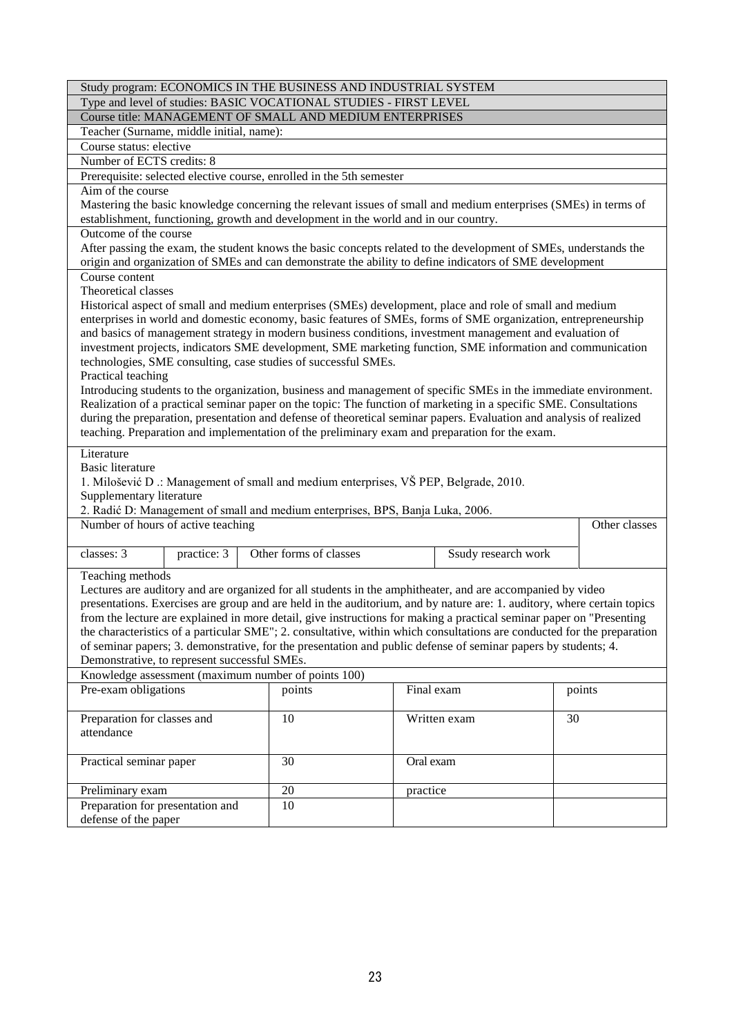|                                                                                                                         | Study program: ECONOMICS IN THE BUSINESS AND INDUSTRIAL SYSTEM<br>Type and level of studies: BASIC VOCATIONAL STUDIES - FIRST LEVEL |                     |               |  |  |  |  |
|-------------------------------------------------------------------------------------------------------------------------|-------------------------------------------------------------------------------------------------------------------------------------|---------------------|---------------|--|--|--|--|
|                                                                                                                         |                                                                                                                                     |                     |               |  |  |  |  |
| Course title: MANAGEMENT OF SMALL AND MEDIUM ENTERPRISES                                                                |                                                                                                                                     |                     |               |  |  |  |  |
| Teacher (Surname, middle initial, name):                                                                                |                                                                                                                                     |                     |               |  |  |  |  |
| Course status: elective                                                                                                 |                                                                                                                                     |                     |               |  |  |  |  |
| Number of ECTS credits: 8                                                                                               |                                                                                                                                     |                     |               |  |  |  |  |
| Prerequisite: selected elective course, enrolled in the 5th semester                                                    |                                                                                                                                     |                     |               |  |  |  |  |
| Aim of the course                                                                                                       |                                                                                                                                     |                     |               |  |  |  |  |
| Mastering the basic knowledge concerning the relevant issues of small and medium enterprises (SMEs) in terms of         |                                                                                                                                     |                     |               |  |  |  |  |
| establishment, functioning, growth and development in the world and in our country.                                     |                                                                                                                                     |                     |               |  |  |  |  |
| Outcome of the course                                                                                                   |                                                                                                                                     |                     |               |  |  |  |  |
| After passing the exam, the student knows the basic concepts related to the development of SMEs, understands the        |                                                                                                                                     |                     |               |  |  |  |  |
| origin and organization of SMEs and can demonstrate the ability to define indicators of SME development                 |                                                                                                                                     |                     |               |  |  |  |  |
| Course content                                                                                                          |                                                                                                                                     |                     |               |  |  |  |  |
| Theoretical classes                                                                                                     |                                                                                                                                     |                     |               |  |  |  |  |
| Historical aspect of small and medium enterprises (SMEs) development, place and role of small and medium                |                                                                                                                                     |                     |               |  |  |  |  |
| enterprises in world and domestic economy, basic features of SMEs, forms of SME organization, entrepreneurship          |                                                                                                                                     |                     |               |  |  |  |  |
| and basics of management strategy in modern business conditions, investment management and evaluation of                |                                                                                                                                     |                     |               |  |  |  |  |
| investment projects, indicators SME development, SME marketing function, SME information and communication              |                                                                                                                                     |                     |               |  |  |  |  |
| technologies, SME consulting, case studies of successful SMEs.                                                          |                                                                                                                                     |                     |               |  |  |  |  |
| Practical teaching                                                                                                      |                                                                                                                                     |                     |               |  |  |  |  |
| Introducing students to the organization, business and management of specific SMEs in the immediate environment.        |                                                                                                                                     |                     |               |  |  |  |  |
| Realization of a practical seminar paper on the topic: The function of marketing in a specific SME. Consultations       |                                                                                                                                     |                     |               |  |  |  |  |
| during the preparation, presentation and defense of theoretical seminar papers. Evaluation and analysis of realized     |                                                                                                                                     |                     |               |  |  |  |  |
| teaching. Preparation and implementation of the preliminary exam and preparation for the exam.                          |                                                                                                                                     |                     |               |  |  |  |  |
| Literature                                                                                                              |                                                                                                                                     |                     |               |  |  |  |  |
| <b>Basic literature</b>                                                                                                 |                                                                                                                                     |                     |               |  |  |  |  |
| 1. Milošević D .: Management of small and medium enterprises, VŠ PEP, Belgrade, 2010.                                   |                                                                                                                                     |                     |               |  |  |  |  |
| Supplementary literature                                                                                                |                                                                                                                                     |                     |               |  |  |  |  |
| 2. Radić D: Management of small and medium enterprises, BPS, Banja Luka, 2006.                                          |                                                                                                                                     |                     |               |  |  |  |  |
| Number of hours of active teaching                                                                                      |                                                                                                                                     |                     | Other classes |  |  |  |  |
|                                                                                                                         |                                                                                                                                     |                     |               |  |  |  |  |
| classes: 3<br>practice: 3                                                                                               | Other forms of classes                                                                                                              | Ssudy research work |               |  |  |  |  |
|                                                                                                                         |                                                                                                                                     |                     |               |  |  |  |  |
| Teaching methods                                                                                                        |                                                                                                                                     |                     |               |  |  |  |  |
| Lectures are auditory and are organized for all students in the amphitheater, and are accompanied by video              |                                                                                                                                     |                     |               |  |  |  |  |
| presentations. Exercises are group and are held in the auditorium, and by nature are: 1. auditory, where certain topics |                                                                                                                                     |                     |               |  |  |  |  |
| from the lecture are explained in more detail, give instructions for making a practical seminar paper on "Presenting"   |                                                                                                                                     |                     |               |  |  |  |  |
| the characteristics of a particular SME"; 2. consultative, within which consultations are conducted for the preparation |                                                                                                                                     |                     |               |  |  |  |  |
| of seminar papers; 3. demonstrative, for the presentation and public defense of seminar papers by students; 4.          |                                                                                                                                     |                     |               |  |  |  |  |
| Demonstrative, to represent successful SMEs.                                                                            |                                                                                                                                     |                     |               |  |  |  |  |
| Knowledge assessment (maximum number of points 100)                                                                     |                                                                                                                                     |                     |               |  |  |  |  |
| Pre-exam obligations                                                                                                    | points                                                                                                                              | Final exam          | points        |  |  |  |  |
|                                                                                                                         |                                                                                                                                     |                     |               |  |  |  |  |
| Preparation for classes and                                                                                             | 10                                                                                                                                  | Written exam        | 30            |  |  |  |  |
| attendance                                                                                                              |                                                                                                                                     |                     |               |  |  |  |  |
|                                                                                                                         |                                                                                                                                     |                     |               |  |  |  |  |
| Practical seminar paper                                                                                                 | 30<br>Oral exam                                                                                                                     |                     |               |  |  |  |  |
|                                                                                                                         |                                                                                                                                     |                     |               |  |  |  |  |
|                                                                                                                         |                                                                                                                                     |                     |               |  |  |  |  |
| Preliminary exam                                                                                                        | 20                                                                                                                                  | practice            |               |  |  |  |  |
| Preparation for presentation and                                                                                        | 10                                                                                                                                  |                     |               |  |  |  |  |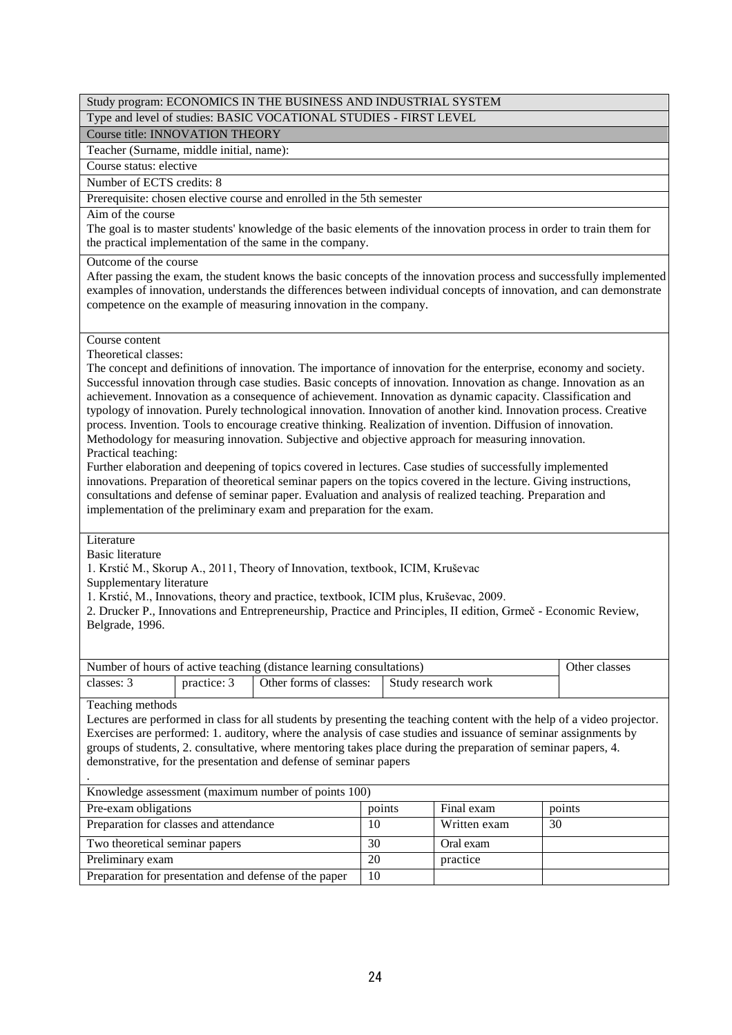Type and level of studies: BASIC VOCATIONAL STUDIES - FIRST LEVEL

Course title: INNOVATION THEORY

Teacher (Surname, middle initial, name):

Course status: elective

Number of ECTS credits: 8

Prerequisite: chosen elective course and enrolled in the 5th semester

Aim of the course

The goal is to master students' knowledge of the basic elements of the innovation process in order to train them for the practical implementation of the same in the company.

Outcome of the course

After passing the exam, the student knows the basic concepts of the innovation process and successfully implemented examples of innovation, understands the differences between individual concepts of innovation, and can demonstrate competence on the example of measuring innovation in the company.

Course content

Theoretical classes:

The concept and definitions of innovation. The importance of innovation for the enterprise, economy and society. Successful innovation through case studies. Basic concepts of innovation. Innovation as change. Innovation as an achievement. Innovation as a consequence of achievement. Innovation as dynamic capacity. Classification and typology of innovation. Purely technological innovation. Innovation of another kind. Innovation process. Creative process. Invention. Tools to encourage creative thinking. Realization of invention. Diffusion of innovation. Methodology for measuring innovation. Subjective and objective approach for measuring innovation. Practical teaching:

Further elaboration and deepening of topics covered in lectures. Case studies of successfully implemented innovations. Preparation of theoretical seminar papers on the topics covered in the lecture. Giving instructions, consultations and defense of seminar paper. Evaluation and analysis of realized teaching. Preparation and implementation of the preliminary exam and preparation for the exam.

### Literature

Basic literature

1. Krstić M., Skorup A., 2011, Theory of Innovation, textbook, ICIM, Kruševac

Supplementary literature

1. Krstić, M., Innovations, theory and practice, textbook, ICIM plus, Kruševac, 2009.

2. Drucker P., Innovations and Entrepreneurship, Practice and Principles, II edition, Grmeč - Economic Review, Belgrade, 1996.

| Number of hours of active teaching (distance learning consultations) | Other classes |                                               |  |  |
|----------------------------------------------------------------------|---------------|-----------------------------------------------|--|--|
| classes: 3                                                           | practice: 3   | Other forms of classes:   Study research work |  |  |

Teaching methods

Lectures are performed in class for all students by presenting the teaching content with the help of a video projector. Exercises are performed: 1. auditory, where the analysis of case studies and issuance of seminar assignments by groups of students, 2. consultative, where mentoring takes place during the preparation of seminar papers, 4. demonstrative, for the presentation and defense of seminar papers

|                                                       | Knowledge assessment (maximum number of points 100) |              |        |  |  |  |  |
|-------------------------------------------------------|-----------------------------------------------------|--------------|--------|--|--|--|--|
| Pre-exam obligations                                  | points                                              | Final exam   | points |  |  |  |  |
| Preparation for classes and attendance                | 10                                                  | Written exam | 30     |  |  |  |  |
| Two theoretical seminar papers                        | 30                                                  | Oral exam    |        |  |  |  |  |
| Preliminary exam                                      | 20                                                  | practice     |        |  |  |  |  |
| Preparation for presentation and defense of the paper | 10                                                  |              |        |  |  |  |  |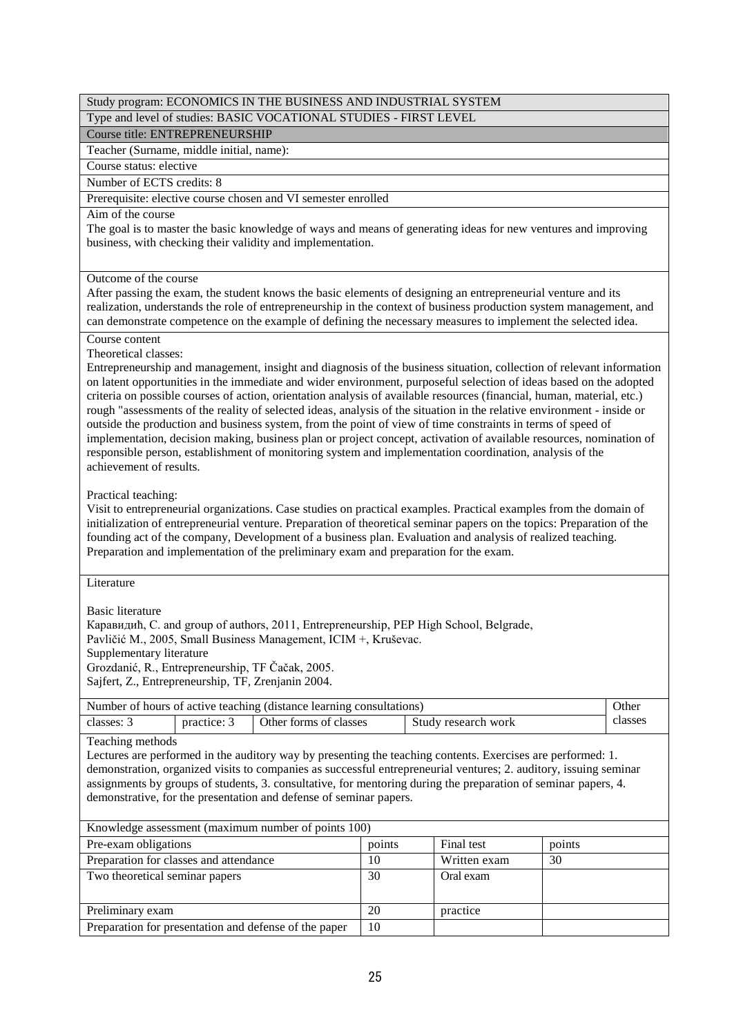Type and level of studies: BASIC VOCATIONAL STUDIES - FIRST LEVEL

Course title: ENTREPRENEURSHIP

Teacher (Surname, middle initial, name):

Course status: elective

Number of ECTS credits: 8

Prerequisite: elective course chosen and VI semester enrolled

### Aim of the course

The goal is to master the basic knowledge of ways and means of generating ideas for new ventures and improving business, with checking their validity and implementation.

### Outcome of the course

After passing the exam, the student knows the basic elements of designing an entrepreneurial venture and its realization, understands the role of entrepreneurship in the context of business production system management, and can demonstrate competence on the example of defining the necessary measures to implement the selected idea.

### Course content

# Theoretical classes:

Entrepreneurship and management, insight and diagnosis of the business situation, collection of relevant information on latent opportunities in the immediate and wider environment, purposeful selection of ideas based on the adopted criteria on possible courses of action, orientation analysis of available resources (financial, human, material, etc.) rough "assessments of the reality of selected ideas, analysis of the situation in the relative environment - inside or outside the production and business system, from the point of view of time constraints in terms of speed of implementation, decision making, business plan or project concept, activation of available resources, nomination of responsible person, establishment of monitoring system and implementation coordination, analysis of the achievement of results.

# Practical teaching:

Visit to entrepreneurial organizations. Case studies on practical examples. Practical examples from the domain of initialization of entrepreneurial venture. Preparation of theoretical seminar papers on the topics: Preparation of the founding act of the company, Development of a business plan. Evaluation and analysis of realized teaching. Preparation and implementation of the preliminary exam and preparation for the exam.

### Literature

Basic literature

Каравидић, С. and group of authors, 2011, Entrepreneurship, PEP High School, Belgrade,

Pavličić M., 2005, Small Business Management, ICIM +, Kruševac.

Supplementary literature

Grozdanić, R., Entrepreneurship, TF Čačak, 2005.

Sajfert, Z., Entrepreneurship, TF, Zrenjanin 2004.

| Number of hours of active teaching (distance learning consultations) |             |                        |                     |         |
|----------------------------------------------------------------------|-------------|------------------------|---------------------|---------|
| classes:                                                             | practice: 3 | Other forms of classes | Study research work | classes |

Teaching methods

Lectures are performed in the auditory way by presenting the teaching contents. Exercises are performed: 1. demonstration, organized visits to companies as successful entrepreneurial ventures; 2. auditory, issuing seminar assignments by groups of students, 3. consultative, for mentoring during the preparation of seminar papers, 4. demonstrative, for the presentation and defense of seminar papers.

| Knowledge assessment (maximum number of points 100)   |        |              |        |  |  |
|-------------------------------------------------------|--------|--------------|--------|--|--|
| Pre-exam obligations                                  | points | Final test   | points |  |  |
| Preparation for classes and attendance                | 10     | Written exam | 30     |  |  |
| Two theoretical seminar papers                        | 30     | Oral exam    |        |  |  |
| Preliminary exam                                      | 20     | practice     |        |  |  |
| Preparation for presentation and defense of the paper | 10     |              |        |  |  |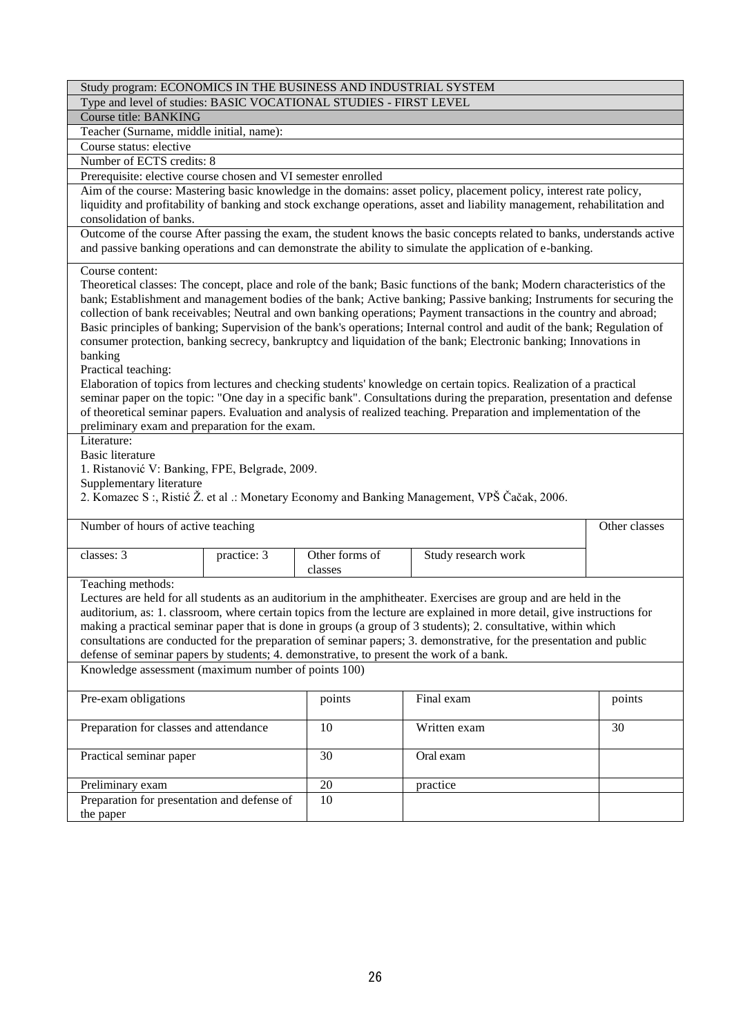| Study program: ECONOMICS IN THE BUSINESS AND INDUSTRIAL SYSTEM                                                                                                                                                                                                                                                                                                                                                                                                                                                                                                                                                                                               |                                                                                                                                                                                                                                                                                                                                                                                                                                                                                                                                                                                                                                                                                                                                                                                                                                                                                                                                                                                                                                                   |                     |               |  |  |  |  |
|--------------------------------------------------------------------------------------------------------------------------------------------------------------------------------------------------------------------------------------------------------------------------------------------------------------------------------------------------------------------------------------------------------------------------------------------------------------------------------------------------------------------------------------------------------------------------------------------------------------------------------------------------------------|---------------------------------------------------------------------------------------------------------------------------------------------------------------------------------------------------------------------------------------------------------------------------------------------------------------------------------------------------------------------------------------------------------------------------------------------------------------------------------------------------------------------------------------------------------------------------------------------------------------------------------------------------------------------------------------------------------------------------------------------------------------------------------------------------------------------------------------------------------------------------------------------------------------------------------------------------------------------------------------------------------------------------------------------------|---------------------|---------------|--|--|--|--|
|                                                                                                                                                                                                                                                                                                                                                                                                                                                                                                                                                                                                                                                              | Type and level of studies: BASIC VOCATIONAL STUDIES - FIRST LEVEL                                                                                                                                                                                                                                                                                                                                                                                                                                                                                                                                                                                                                                                                                                                                                                                                                                                                                                                                                                                 |                     |               |  |  |  |  |
| <b>Course title: BANKING</b>                                                                                                                                                                                                                                                                                                                                                                                                                                                                                                                                                                                                                                 |                                                                                                                                                                                                                                                                                                                                                                                                                                                                                                                                                                                                                                                                                                                                                                                                                                                                                                                                                                                                                                                   |                     |               |  |  |  |  |
| Teacher (Surname, middle initial, name):                                                                                                                                                                                                                                                                                                                                                                                                                                                                                                                                                                                                                     |                                                                                                                                                                                                                                                                                                                                                                                                                                                                                                                                                                                                                                                                                                                                                                                                                                                                                                                                                                                                                                                   |                     |               |  |  |  |  |
| Course status: elective                                                                                                                                                                                                                                                                                                                                                                                                                                                                                                                                                                                                                                      |                                                                                                                                                                                                                                                                                                                                                                                                                                                                                                                                                                                                                                                                                                                                                                                                                                                                                                                                                                                                                                                   |                     |               |  |  |  |  |
| Number of ECTS credits: 8                                                                                                                                                                                                                                                                                                                                                                                                                                                                                                                                                                                                                                    |                                                                                                                                                                                                                                                                                                                                                                                                                                                                                                                                                                                                                                                                                                                                                                                                                                                                                                                                                                                                                                                   |                     |               |  |  |  |  |
| Prerequisite: elective course chosen and VI semester enrolled                                                                                                                                                                                                                                                                                                                                                                                                                                                                                                                                                                                                |                                                                                                                                                                                                                                                                                                                                                                                                                                                                                                                                                                                                                                                                                                                                                                                                                                                                                                                                                                                                                                                   |                     |               |  |  |  |  |
| Aim of the course: Mastering basic knowledge in the domains: asset policy, placement policy, interest rate policy,<br>liquidity and profitability of banking and stock exchange operations, asset and liability management, rehabilitation and<br>consolidation of banks.                                                                                                                                                                                                                                                                                                                                                                                    |                                                                                                                                                                                                                                                                                                                                                                                                                                                                                                                                                                                                                                                                                                                                                                                                                                                                                                                                                                                                                                                   |                     |               |  |  |  |  |
| Outcome of the course After passing the exam, the student knows the basic concepts related to banks, understands active<br>and passive banking operations and can demonstrate the ability to simulate the application of e-banking.                                                                                                                                                                                                                                                                                                                                                                                                                          |                                                                                                                                                                                                                                                                                                                                                                                                                                                                                                                                                                                                                                                                                                                                                                                                                                                                                                                                                                                                                                                   |                     |               |  |  |  |  |
| Course content:<br>banking<br>Practical teaching:<br>Literature:<br><b>Basic literature</b>                                                                                                                                                                                                                                                                                                                                                                                                                                                                                                                                                                  | Theoretical classes: The concept, place and role of the bank; Basic functions of the bank; Modern characteristics of the<br>bank; Establishment and management bodies of the bank; Active banking; Passive banking; Instruments for securing the<br>collection of bank receivables; Neutral and own banking operations; Payment transactions in the country and abroad;<br>Basic principles of banking; Supervision of the bank's operations; Internal control and audit of the bank; Regulation of<br>consumer protection, banking secrecy, bankruptcy and liquidation of the bank; Electronic banking; Innovations in<br>Elaboration of topics from lectures and checking students' knowledge on certain topics. Realization of a practical<br>seminar paper on the topic: "One day in a specific bank". Consultations during the preparation, presentation and defense<br>of theoretical seminar papers. Evaluation and analysis of realized teaching. Preparation and implementation of the<br>preliminary exam and preparation for the exam. |                     |               |  |  |  |  |
| 1. Ristanović V: Banking, FPE, Belgrade, 2009.<br>Supplementary literature<br>2. Komazec S:, Ristić Ž. et al .: Monetary Economy and Banking Management, VPŠ Čačak, 2006.                                                                                                                                                                                                                                                                                                                                                                                                                                                                                    |                                                                                                                                                                                                                                                                                                                                                                                                                                                                                                                                                                                                                                                                                                                                                                                                                                                                                                                                                                                                                                                   |                     |               |  |  |  |  |
| Number of hours of active teaching                                                                                                                                                                                                                                                                                                                                                                                                                                                                                                                                                                                                                           |                                                                                                                                                                                                                                                                                                                                                                                                                                                                                                                                                                                                                                                                                                                                                                                                                                                                                                                                                                                                                                                   |                     | Other classes |  |  |  |  |
| classes: 3<br>practice: 3                                                                                                                                                                                                                                                                                                                                                                                                                                                                                                                                                                                                                                    | Other forms of<br>classes                                                                                                                                                                                                                                                                                                                                                                                                                                                                                                                                                                                                                                                                                                                                                                                                                                                                                                                                                                                                                         | Study research work |               |  |  |  |  |
| Teaching methods:<br>Lectures are held for all students as an auditorium in the amphitheater. Exercises are group and are held in the<br>auditorium, as: 1. classroom, where certain topics from the lecture are explained in more detail, give instructions for<br>making a practical seminar paper that is done in groups (a group of 3 students); 2. consultative, within which<br>consultations are conducted for the preparation of seminar papers; 3. demonstrative, for the presentation and public<br>defense of seminar papers by students; 4. demonstrative, to present the work of a bank.<br>Knowledge assessment (maximum number of points 100) |                                                                                                                                                                                                                                                                                                                                                                                                                                                                                                                                                                                                                                                                                                                                                                                                                                                                                                                                                                                                                                                   |                     |               |  |  |  |  |
|                                                                                                                                                                                                                                                                                                                                                                                                                                                                                                                                                                                                                                                              |                                                                                                                                                                                                                                                                                                                                                                                                                                                                                                                                                                                                                                                                                                                                                                                                                                                                                                                                                                                                                                                   |                     |               |  |  |  |  |
| Pre-exam obligations<br>Final exam<br>points<br>points                                                                                                                                                                                                                                                                                                                                                                                                                                                                                                                                                                                                       |                                                                                                                                                                                                                                                                                                                                                                                                                                                                                                                                                                                                                                                                                                                                                                                                                                                                                                                                                                                                                                                   |                     |               |  |  |  |  |
| Preparation for classes and attendance<br>Written exam<br>10<br>30                                                                                                                                                                                                                                                                                                                                                                                                                                                                                                                                                                                           |                                                                                                                                                                                                                                                                                                                                                                                                                                                                                                                                                                                                                                                                                                                                                                                                                                                                                                                                                                                                                                                   |                     |               |  |  |  |  |
| Practical seminar paper<br>30<br>Oral exam                                                                                                                                                                                                                                                                                                                                                                                                                                                                                                                                                                                                                   |                                                                                                                                                                                                                                                                                                                                                                                                                                                                                                                                                                                                                                                                                                                                                                                                                                                                                                                                                                                                                                                   |                     |               |  |  |  |  |
|                                                                                                                                                                                                                                                                                                                                                                                                                                                                                                                                                                                                                                                              |                                                                                                                                                                                                                                                                                                                                                                                                                                                                                                                                                                                                                                                                                                                                                                                                                                                                                                                                                                                                                                                   |                     |               |  |  |  |  |
| Preliminary exam                                                                                                                                                                                                                                                                                                                                                                                                                                                                                                                                                                                                                                             | 20                                                                                                                                                                                                                                                                                                                                                                                                                                                                                                                                                                                                                                                                                                                                                                                                                                                                                                                                                                                                                                                | practice            |               |  |  |  |  |

the paper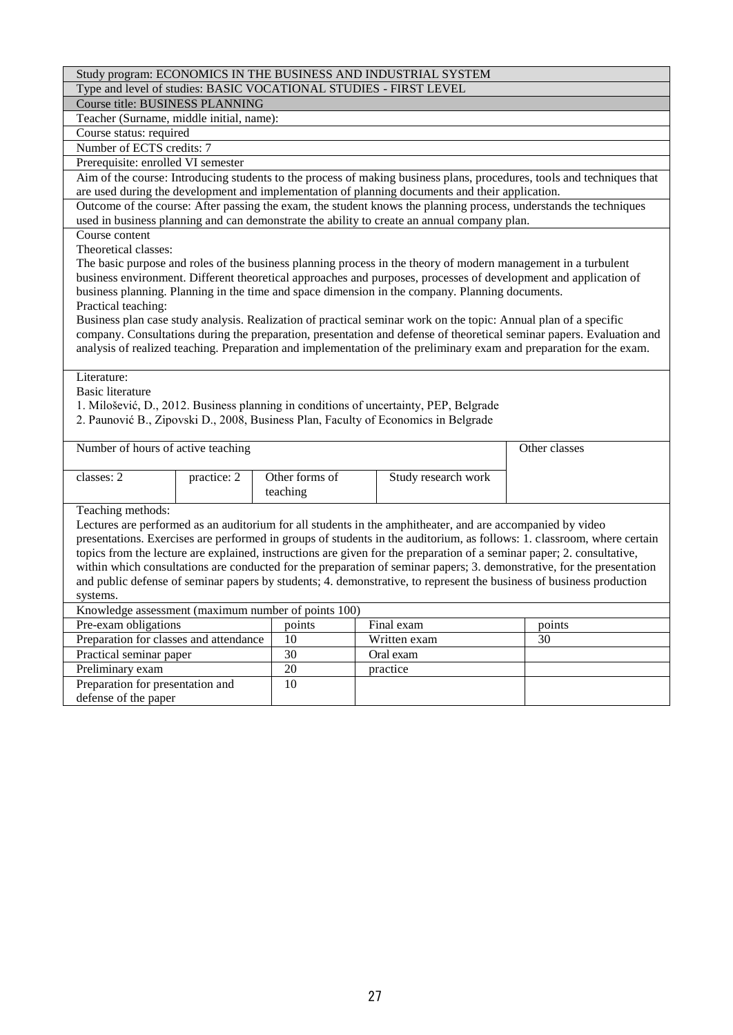Type and level of studies: BASIC VOCATIONAL STUDIES - FIRST LEVEL

Course title: BUSINESS PLANNING Teacher (Surname, middle initial, name):

Course status: required

Number of ECTS credits: 7

Prerequisite: enrolled VI semester

Aim of the course: Introducing students to the process of making business plans, procedures, tools and techniques that are used during the development and implementation of planning documents and their application.

Outcome of the course: After passing the exam, the student knows the planning process, understands the techniques used in business planning and can demonstrate the ability to create an annual company plan.

Course content

Theoretical classes:

| The basic purpose and roles of the business planning process in the theory of modern management in a turbulent   |
|------------------------------------------------------------------------------------------------------------------|
| business environment. Different theoretical approaches and purposes, processes of development and application of |
| business planning. Planning in the time and space dimension in the company. Planning documents.                  |
| Practical teaching:                                                                                              |

Business plan case study analysis. Realization of practical seminar work on the topic: Annual plan of a specific company. Consultations during the preparation, presentation and defense of theoretical seminar papers. Evaluation and analysis of realized teaching. Preparation and implementation of the preliminary exam and preparation for the exam.

Literature:

Basic literature

1. Milošević, D., 2012. Business planning in conditions of uncertainty, PEP, Belgrade

2. Paunović B., Zipovski D., 2008, Business Plan, Faculty of Economics in Belgrade

| Number of hours of active teaching | Other classes |                            |                     |  |
|------------------------------------|---------------|----------------------------|---------------------|--|
| classes: 2                         | practice: 2   | Other forms of<br>teaching | Study research work |  |

Teaching methods:

Lectures are performed as an auditorium for all students in the amphitheater, and are accompanied by video presentations. Exercises are performed in groups of students in the auditorium, as follows: 1. classroom, where certain topics from the lecture are explained, instructions are given for the preparation of a seminar paper; 2. consultative, within which consultations are conducted for the preparation of seminar papers; 3. demonstrative, for the presentation and public defense of seminar papers by students; 4. demonstrative, to represent the business of business production systems.

Knowledge assessment (maximum number of points 100)

| Knowledge assessment (maximum number of points Too) |        |              |        |  |  |
|-----------------------------------------------------|--------|--------------|--------|--|--|
| Pre-exam obligations                                | points | Final exam   | points |  |  |
| Preparation for classes and attendance              | 10     | Written exam | 30     |  |  |
| Practical seminar paper                             | 30     | Oral exam    |        |  |  |
| Preliminary exam                                    | 20     | practice     |        |  |  |
| Preparation for presentation and                    | 10     |              |        |  |  |
| defense of the paper                                |        |              |        |  |  |